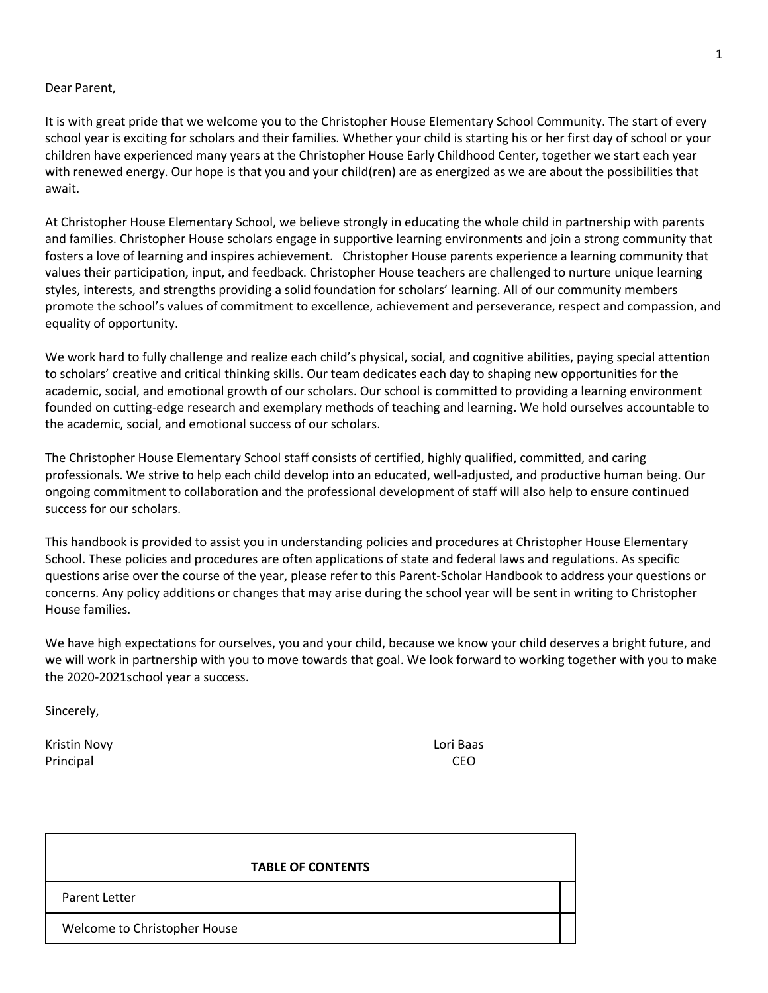#### Dear Parent,

It is with great pride that we welcome you to the Christopher House Elementary School Community. The start of every school year is exciting for scholars and their families. Whether your child is starting his or her first day of school or your children have experienced many years at the Christopher House Early Childhood Center, together we start each year with renewed energy. Our hope is that you and your child(ren) are as energized as we are about the possibilities that await.

At Christopher House Elementary School, we believe strongly in educating the whole child in partnership with parents and families. Christopher House scholars engage in supportive learning environments and join a strong community that fosters a love of learning and inspires achievement. Christopher House parents experience a learning community that values their participation, input, and feedback. Christopher House teachers are challenged to nurture unique learning styles, interests, and strengths providing a solid foundation for scholars' learning. All of our community members promote the school's values of commitment to excellence, achievement and perseverance, respect and compassion, and equality of opportunity.

We work hard to fully challenge and realize each child's physical, social, and cognitive abilities, paying special attention to scholars' creative and critical thinking skills. Our team dedicates each day to shaping new opportunities for the academic, social, and emotional growth of our scholars. Our school is committed to providing a learning environment founded on cutting-edge research and exemplary methods of teaching and learning. We hold ourselves accountable to the academic, social, and emotional success of our scholars.

The Christopher House Elementary School staff consists of certified, highly qualified, committed, and caring professionals. We strive to help each child develop into an educated, well-adjusted, and productive human being. Our ongoing commitment to collaboration and the professional development of staff will also help to ensure continued success for our scholars.

This handbook is provided to assist you in understanding policies and procedures at Christopher House Elementary School. These policies and procedures are often applications of state and federal laws and regulations. As specific questions arise over the course of the year, please refer to this Parent-Scholar Handbook to address your questions or concerns. Any policy additions or changes that may arise during the school year will be sent in writing to Christopher House families.

We have high expectations for ourselves, you and your child, because we know your child deserves a bright future, and we will work in partnership with you to move towards that goal. We look forward to working together with you to make the 2020-2021school year a success.

Sincerely,

Kristin Novy Lori Baas Principal CEO

#### **TABLE OF CONTENTS**

Parent Letter

Welcome to Christopher House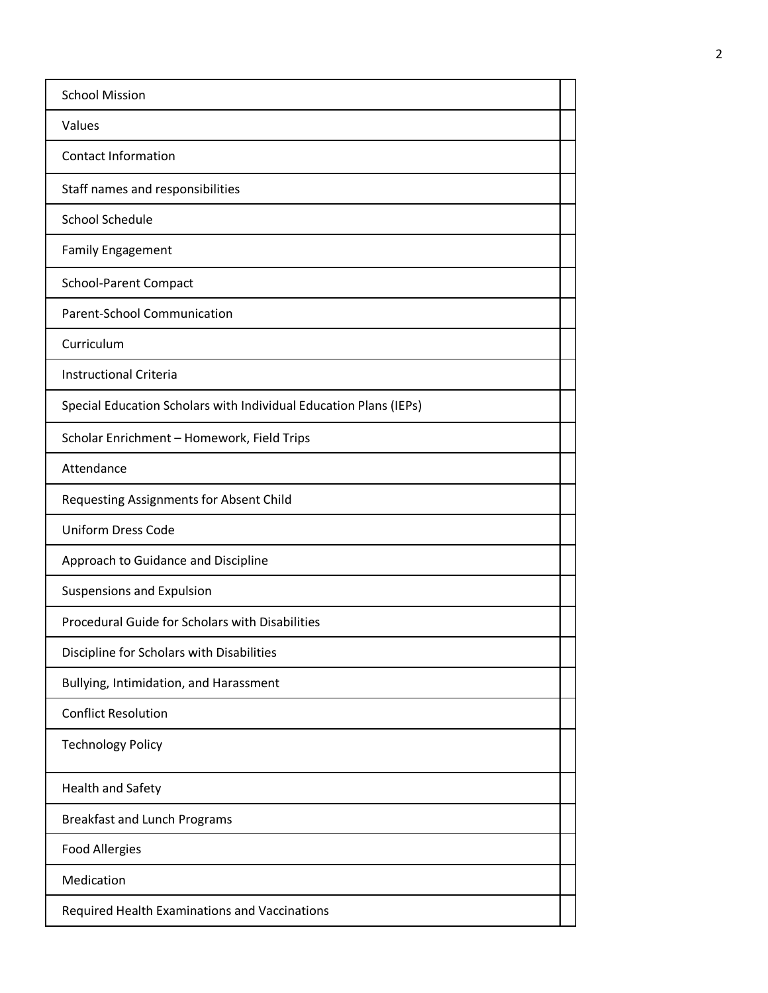| <b>School Mission</b>                                             |  |
|-------------------------------------------------------------------|--|
| Values                                                            |  |
| <b>Contact Information</b>                                        |  |
| Staff names and responsibilities                                  |  |
| School Schedule                                                   |  |
| <b>Family Engagement</b>                                          |  |
| <b>School-Parent Compact</b>                                      |  |
| Parent-School Communication                                       |  |
| Curriculum                                                        |  |
| <b>Instructional Criteria</b>                                     |  |
| Special Education Scholars with Individual Education Plans (IEPs) |  |
| Scholar Enrichment - Homework, Field Trips                        |  |
| Attendance                                                        |  |
| Requesting Assignments for Absent Child                           |  |
| <b>Uniform Dress Code</b>                                         |  |
| Approach to Guidance and Discipline                               |  |
| Suspensions and Expulsion                                         |  |
| Procedural Guide for Scholars with Disabilities                   |  |
| Discipline for Scholars with Disabilities                         |  |
| Bullying, Intimidation, and Harassment                            |  |
| <b>Conflict Resolution</b>                                        |  |
| <b>Technology Policy</b>                                          |  |
| <b>Health and Safety</b>                                          |  |
| <b>Breakfast and Lunch Programs</b>                               |  |
| <b>Food Allergies</b>                                             |  |
| Medication                                                        |  |
| Required Health Examinations and Vaccinations                     |  |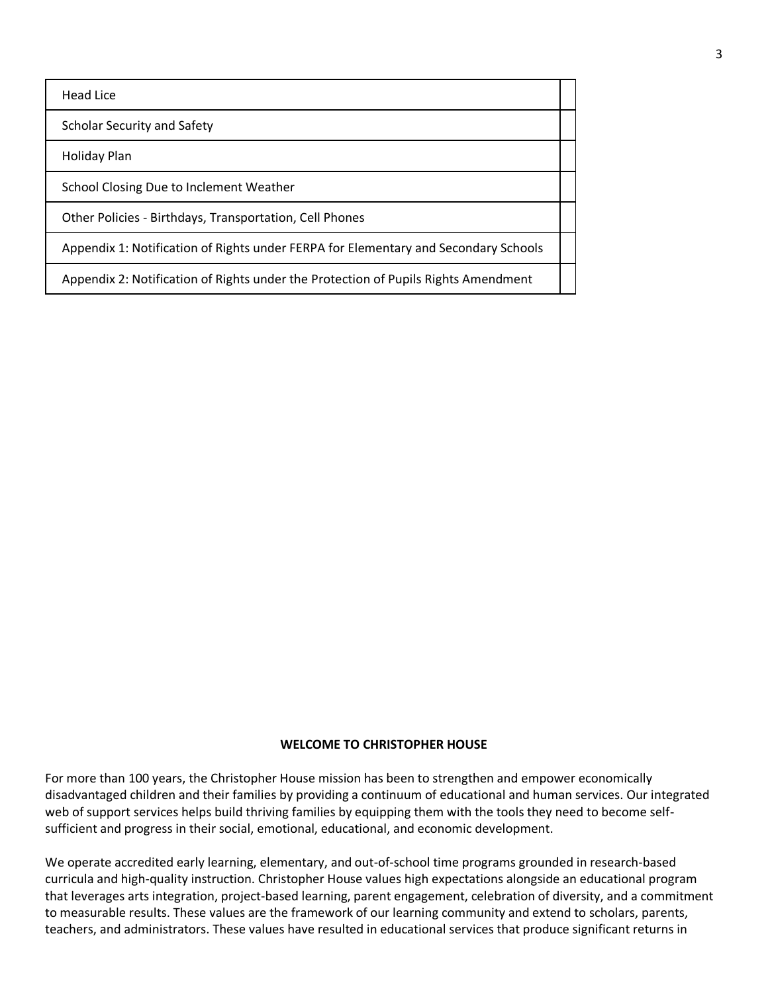Head Lice

Scholar Security and Safety

Holiday Plan

School Closing Due to Inclement Weather

Other Policies - Birthdays, Transportation, Cell Phones

Appendix 1: Notification of Rights under FERPA for Elementary and Secondary Schools

Appendix 2: Notification of Rights under the Protection of Pupils Rights Amendment

#### **WELCOME TO CHRISTOPHER HOUSE**

For more than 100 years, the Christopher House mission has been to strengthen and empower economically disadvantaged children and their families by providing a continuum of educational and human services. Our integrated web of support services helps build thriving families by equipping them with the tools they need to become selfsufficient and progress in their social, emotional, educational, and economic development.

We operate accredited early learning, elementary, and out-of-school time programs grounded in research-based curricula and high-quality instruction. Christopher House values high expectations alongside an educational program that leverages arts integration, project-based learning, parent engagement, celebration of diversity, and a commitment to measurable results. These values are the framework of our learning community and extend to scholars, parents, teachers, and administrators. These values have resulted in educational services that produce significant returns in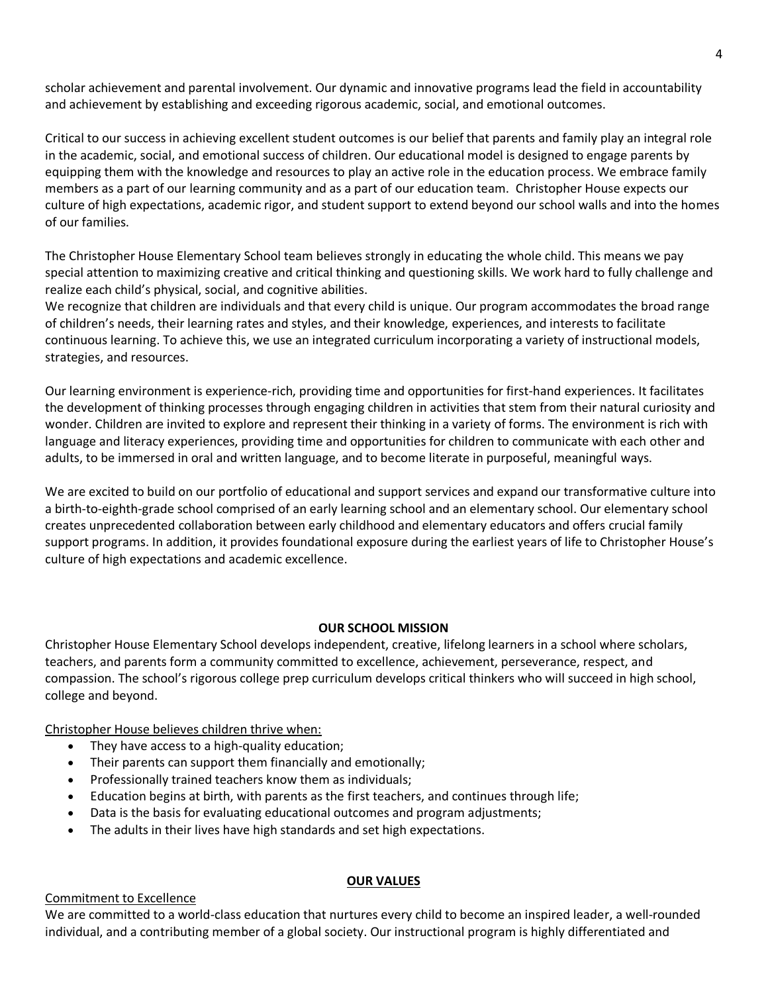scholar achievement and parental involvement. Our dynamic and innovative programs lead the field in accountability and achievement by establishing and exceeding rigorous academic, social, and emotional outcomes.

Critical to our success in achieving excellent student outcomes is our belief that parents and family play an integral role in the academic, social, and emotional success of children. Our educational model is designed to engage parents by equipping them with the knowledge and resources to play an active role in the education process. We embrace family members as a part of our learning community and as a part of our education team. Christopher House expects our culture of high expectations, academic rigor, and student support to extend beyond our school walls and into the homes of our families.

The Christopher House Elementary School team believes strongly in educating the whole child. This means we pay special attention to maximizing creative and critical thinking and questioning skills. We work hard to fully challenge and realize each child's physical, social, and cognitive abilities.

We recognize that children are individuals and that every child is unique. Our program accommodates the broad range of children's needs, their learning rates and styles, and their knowledge, experiences, and interests to facilitate continuous learning. To achieve this, we use an integrated curriculum incorporating a variety of instructional models, strategies, and resources.

Our learning environment is experience-rich, providing time and opportunities for first-hand experiences. It facilitates the development of thinking processes through engaging children in activities that stem from their natural curiosity and wonder. Children are invited to explore and represent their thinking in a variety of forms. The environment is rich with language and literacy experiences, providing time and opportunities for children to communicate with each other and adults, to be immersed in oral and written language, and to become literate in purposeful, meaningful ways.

We are excited to build on our portfolio of educational and support services and expand our transformative culture into a birth-to-eighth-grade school comprised of an early learning school and an elementary school. Our elementary school creates unprecedented collaboration between early childhood and elementary educators and offers crucial family support programs. In addition, it provides foundational exposure during the earliest years of life to Christopher House's culture of high expectations and academic excellence.

### **OUR SCHOOL MISSION**

Christopher House Elementary School develops independent, creative, lifelong learners in a school where scholars, teachers, and parents form a community committed to excellence, achievement, perseverance, respect, and compassion. The school's rigorous college prep curriculum develops critical thinkers who will succeed in high school, college and beyond.

Christopher House believes children thrive when:

- They have access to a high-quality education;
- Their parents can support them financially and emotionally;
- Professionally trained teachers know them as individuals;
- Education begins at birth, with parents as the first teachers, and continues through life;
- Data is the basis for evaluating educational outcomes and program adjustments;
- The adults in their lives have high standards and set high expectations.

#### **OUR VALUES**

## Commitment to Excellence

We are committed to a world-class education that nurtures every child to become an inspired leader, a well-rounded individual, and a contributing member of a global society. Our instructional program is highly differentiated and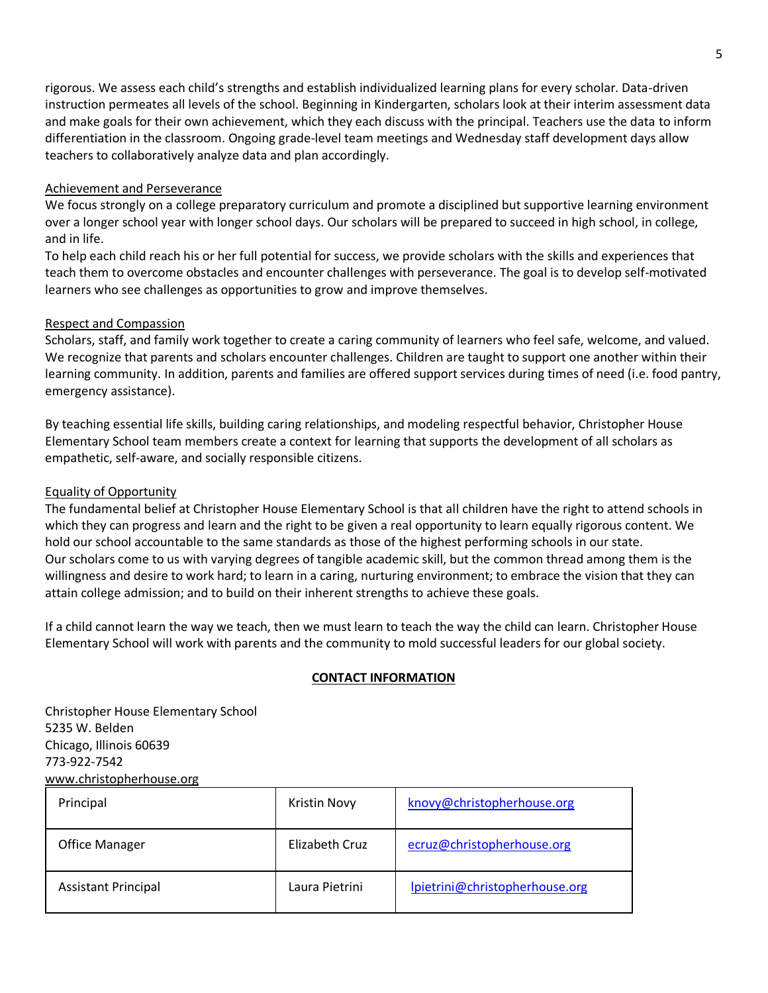rigorous. We assess each child's strengths and establish individualized learning plans for every scholar. Data-driven instruction permeates all levels of the school. Beginning in Kindergarten, scholars look at their interim assessment data and make goals for their own achievement, which they each discuss with the principal. Teachers use the data to inform differentiation in the classroom. Ongoing grade-level team meetings and Wednesday staff development days allow teachers to collaboratively analyze data and plan accordingly.

### Achievement and Perseverance

We focus strongly on a college preparatory curriculum and promote a disciplined but supportive learning environment over a longer school year with longer school days. Our scholars will be prepared to succeed in high school, in college, and in life.

To help each child reach his or her full potential for success, we provide scholars with the skills and experiences that teach them to overcome obstacles and encounter challenges with perseverance. The goal is to develop self-motivated learners who see challenges as opportunities to grow and improve themselves.

### Respect and Compassion

Scholars, staff, and family work together to create a caring community of learners who feel safe, welcome, and valued. We recognize that parents and scholars encounter challenges. Children are taught to support one another within their learning community. In addition, parents and families are offered support services during times of need (i.e. food pantry, emergency assistance).

By teaching essential life skills, building caring relationships, and modeling respectful behavior, Christopher House Elementary School team members create a context for learning that supports the development of all scholars as empathetic, self-aware, and socially responsible citizens.

### Equality of Opportunity

The fundamental belief at Christopher House Elementary School is that all children have the right to attend schools in which they can progress and learn and the right to be given a real opportunity to learn equally rigorous content. We hold our school accountable to the same standards as those of the highest performing schools in our state. Our scholars come to us with varying degrees of tangible academic skill, but the common thread among them is the willingness and desire to work hard; to learn in a caring, nurturing environment; to embrace the vision that they can attain college admission; and to build on their inherent strengths to achieve these goals.

If a child cannot learn the way we teach, then we must learn to teach the way the child can learn. Christopher House Elementary School will work with parents and the community to mold successful leaders for our global society.

### **CONTACT INFORMATION**

Christopher House Elementary School 5235 W. Belden Chicago, Illinois 60639 773-922-7542 [www.christopherhouse.org](http://www.christopherhouse.org/)

| Principal                  | Kristin Novy   | knovy@christopherhouse.org     |
|----------------------------|----------------|--------------------------------|
| <b>Office Manager</b>      | Elizabeth Cruz | ecruz@christopherhouse.org     |
| <b>Assistant Principal</b> | Laura Pietrini | lpietrini@christopherhouse.org |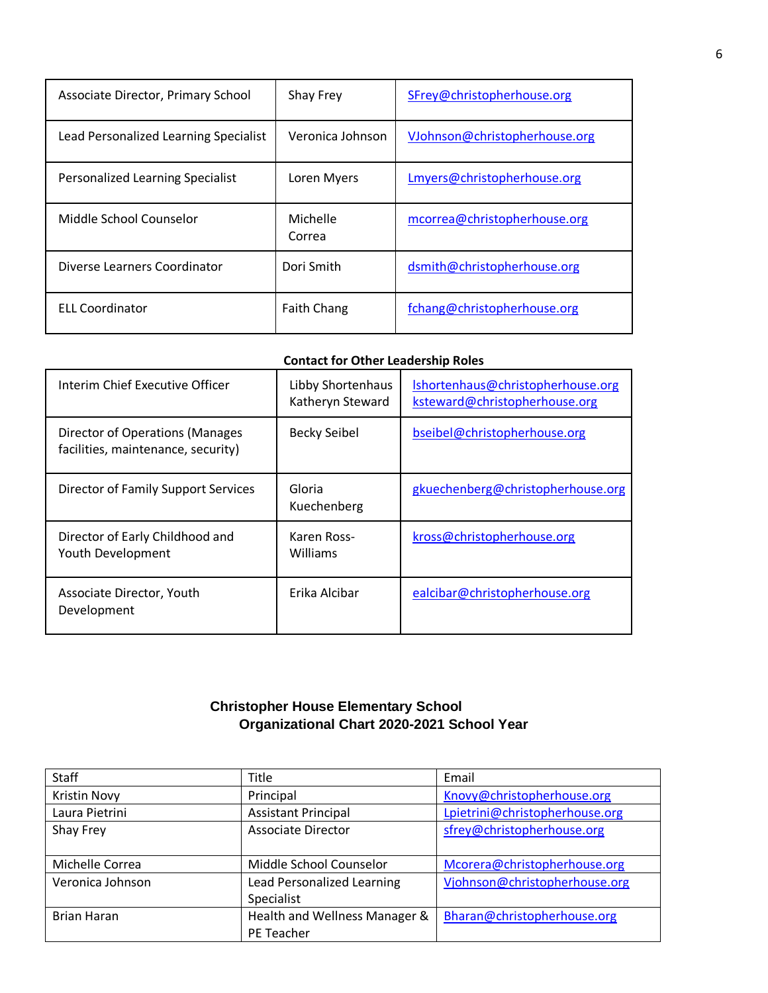| Associate Director, Primary School    | Shay Frey          | SFrey@christopherhouse.org    |
|---------------------------------------|--------------------|-------------------------------|
| Lead Personalized Learning Specialist | Veronica Johnson   | VJohnson@christopherhouse.org |
| Personalized Learning Specialist      | Loren Myers        | Lmyers@christopherhouse.org   |
| Middle School Counselor               | Michelle<br>Correa | mcorrea@christopherhouse.org  |
| Diverse Learners Coordinator          | Dori Smith         | dsmith@christopherhouse.org   |
| <b>ELL Coordinator</b>                | <b>Faith Chang</b> | fchang@christopherhouse.org   |

## **Contact for Other Leadership Roles**

| Interim Chief Executive Officer                                       | Libby Shortenhaus<br>Katheryn Steward | Ishortenhaus@christopherhouse.org<br>ksteward@christopherhouse.org |
|-----------------------------------------------------------------------|---------------------------------------|--------------------------------------------------------------------|
| Director of Operations (Manages<br>facilities, maintenance, security) | <b>Becky Seibel</b>                   | bseibel@christopherhouse.org                                       |
| Director of Family Support Services                                   | Gloria<br>Kuechenberg                 | gkuechenberg@christopherhouse.org                                  |
| Director of Early Childhood and<br>Youth Development                  | Karen Ross-<br>Williams               | kross@christopherhouse.org                                         |
| Associate Director, Youth<br>Development                              | Erika Alcibar                         | ealcibar@christopherhouse.org                                      |

# **Christopher House Elementary School Organizational Chart 2020-2021 School Year**

| <b>Staff</b>        | Title                         | Email                          |
|---------------------|-------------------------------|--------------------------------|
| <b>Kristin Novy</b> | Principal                     | Knovy@christopherhouse.org     |
| Laura Pietrini      | <b>Assistant Principal</b>    | Lpietrini@christopherhouse.org |
| Shay Frey           | <b>Associate Director</b>     | sfrey@christopherhouse.org     |
|                     |                               |                                |
| Michelle Correa     | Middle School Counselor       | Mcorera@christopherhouse.org   |
| Veronica Johnson    | Lead Personalized Learning    | Vjohnson@christopherhouse.org  |
|                     | Specialist                    |                                |
| Brian Haran         | Health and Wellness Manager & | Bharan@christopherhouse.org    |
|                     | PE Teacher                    |                                |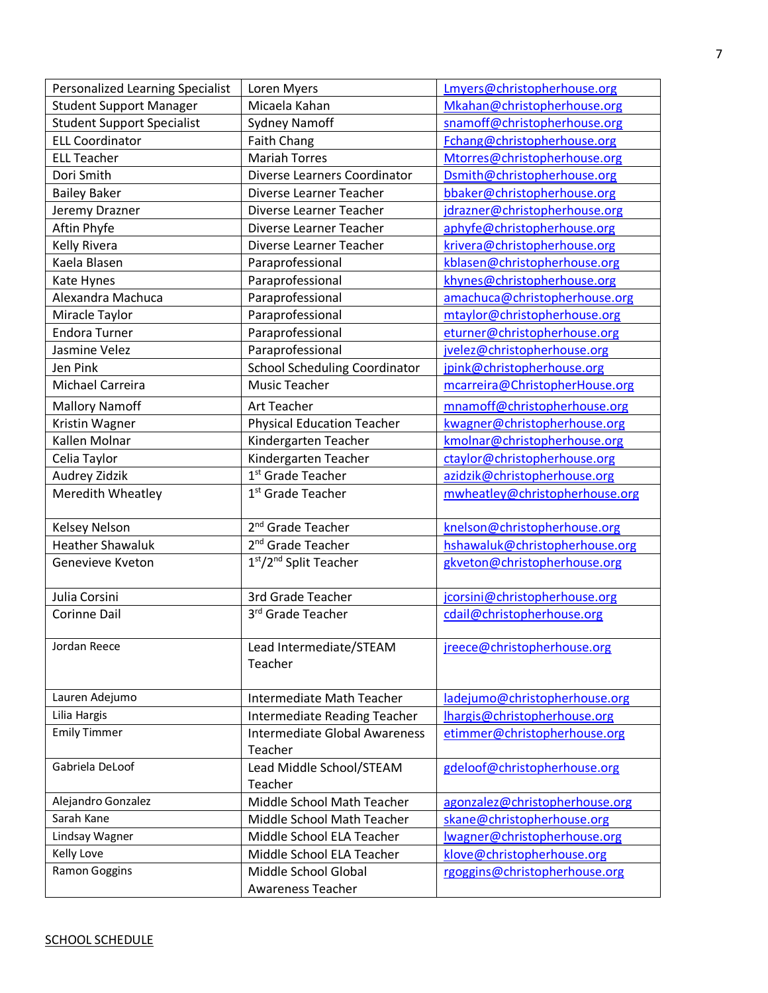| Personalized Learning Specialist  | Loren Myers                                    | Lmyers@christopherhouse.org    |
|-----------------------------------|------------------------------------------------|--------------------------------|
| <b>Student Support Manager</b>    | Micaela Kahan                                  | Mkahan@christopherhouse.org    |
| <b>Student Support Specialist</b> | <b>Sydney Namoff</b>                           | snamoff@christopherhouse.org   |
| <b>ELL Coordinator</b>            | <b>Faith Chang</b>                             | Fchang@christopherhouse.org    |
| <b>ELL Teacher</b>                | <b>Mariah Torres</b>                           | Mtorres@christopherhouse.org   |
| Dori Smith                        | Diverse Learners Coordinator                   | Dsmith@christopherhouse.org    |
| <b>Bailey Baker</b>               | Diverse Learner Teacher                        | bbaker@christopherhouse.org    |
| Jeremy Drazner                    | Diverse Learner Teacher                        | jdrazner@christopherhouse.org  |
| Aftin Phyfe                       | Diverse Learner Teacher                        | aphyfe@christopherhouse.org    |
| Kelly Rivera                      | Diverse Learner Teacher                        | krivera@christopherhouse.org   |
| Kaela Blasen                      | Paraprofessional                               | kblasen@christopherhouse.org   |
| Kate Hynes                        | Paraprofessional                               | khynes@christopherhouse.org    |
| Alexandra Machuca                 | Paraprofessional                               | amachuca@christopherhouse.org  |
| Miracle Taylor                    | Paraprofessional                               | mtaylor@christopherhouse.org   |
| <b>Endora Turner</b>              | Paraprofessional                               | eturner@christopherhouse.org   |
| Jasmine Velez                     | Paraprofessional                               | jvelez@christopherhouse.org    |
| Jen Pink                          | <b>School Scheduling Coordinator</b>           | jpink@christopherhouse.org     |
| Michael Carreira                  | <b>Music Teacher</b>                           | mcarreira@ChristopherHouse.org |
| <b>Mallory Namoff</b>             | Art Teacher                                    | mnamoff@christopherhouse.org   |
| Kristin Wagner                    | <b>Physical Education Teacher</b>              | kwagner@christopherhouse.org   |
| Kallen Molnar                     | Kindergarten Teacher                           | kmolnar@christopherhouse.org   |
| Celia Taylor                      | Kindergarten Teacher                           | ctaylor@christopherhouse.org   |
| Audrey Zidzik                     | 1 <sup>st</sup> Grade Teacher                  | azidzik@christopherhouse.org   |
| Meredith Wheatley                 | 1 <sup>st</sup> Grade Teacher                  | mwheatley@christopherhouse.org |
|                                   |                                                |                                |
| Kelsey Nelson                     | 2 <sup>nd</sup> Grade Teacher                  | knelson@christopherhouse.org   |
| <b>Heather Shawaluk</b>           | 2 <sup>nd</sup> Grade Teacher                  | hshawaluk@christopherhouse.org |
| Genevieve Kveton                  | 1 <sup>st</sup> /2 <sup>nd</sup> Split Teacher | gkveton@christopherhouse.org   |
|                                   |                                                |                                |
| Julia Corsini                     | 3rd Grade Teacher                              | jcorsini@christopherhouse.org  |
| <b>Corinne Dail</b>               | 3rd Grade Teacher                              | cdail@christopherhouse.org     |
|                                   |                                                |                                |
| Jordan Reece                      | Lead Intermediate/STEAM                        | jreece@christopherhouse.org    |
|                                   | Teacher                                        |                                |
|                                   |                                                |                                |
| Lauren Adejumo                    | Intermediate Math Teacher                      | ladejumo@christopherhouse.org  |
| Lilia Hargis                      | <b>Intermediate Reading Teacher</b>            | lhargis@christopherhouse.org   |
| <b>Emily Timmer</b>               | <b>Intermediate Global Awareness</b>           | etimmer@christopherhouse.org   |
|                                   | Teacher                                        |                                |
| Gabriela DeLoof                   | Lead Middle School/STEAM                       | gdeloof@christopherhouse.org   |
|                                   | Teacher                                        |                                |
| Alejandro Gonzalez                | Middle School Math Teacher                     | agonzalez@christopherhouse.org |
| Sarah Kane                        | Middle School Math Teacher                     | skane@christopherhouse.org     |
| Lindsay Wagner                    | Middle School ELA Teacher                      | Iwagner@christopherhouse.org   |
| Kelly Love                        | Middle School ELA Teacher                      | klove@christopherhouse.org     |
| Ramon Goggins                     | Middle School Global                           | rgoggins@christopherhouse.org  |
|                                   | <b>Awareness Teacher</b>                       |                                |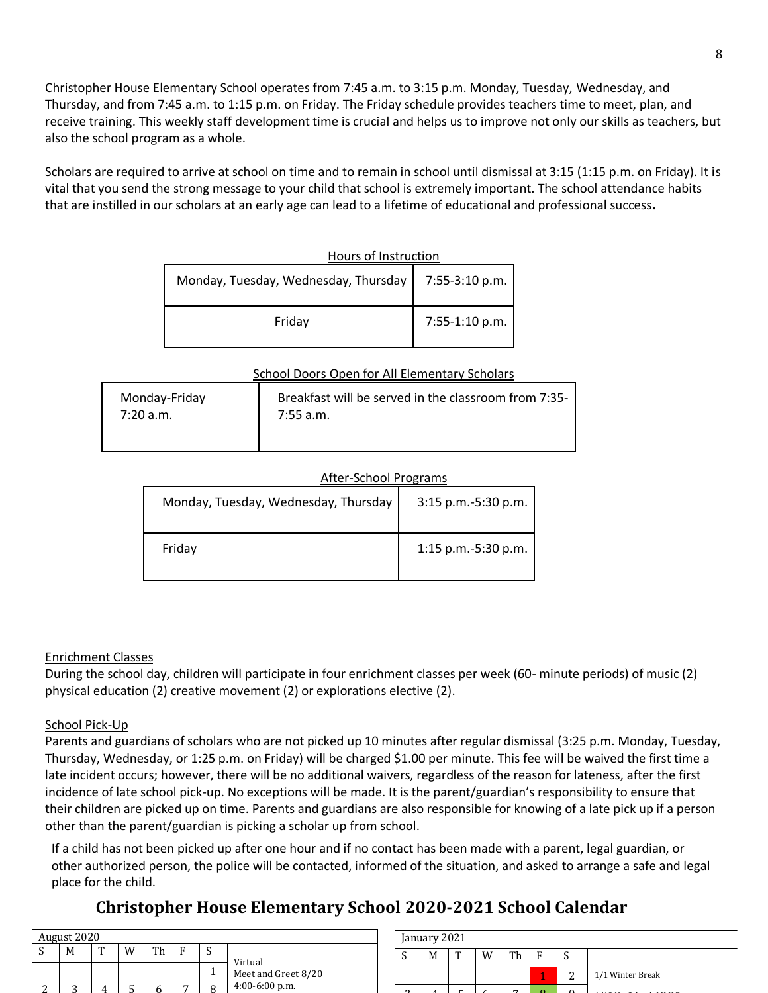Christopher House Elementary School operates from 7:45 a.m. to 3:15 p.m. Monday, Tuesday, Wednesday, and Thursday, and from 7:45 a.m. to 1:15 p.m. on Friday. The Friday schedule provides teachers time to meet, plan, and receive training. This weekly staff development time is crucial and helps us to improve not only our skills as teachers, but also the school program as a whole.

Scholars are required to arrive at school on time and to remain in school until dismissal at 3:15 (1:15 p.m. on Friday). It is vital that you send the strong message to your child that school is extremely important. The school attendance habits that are instilled in our scholars at an early age can lead to a lifetime of educational and professional success**.**

| Hours of Instruction                                  |                |
|-------------------------------------------------------|----------------|
| Monday, Tuesday, Wednesday, Thursday   7:55-3:10 p.m. |                |
| Friday                                                | 7:55-1:10 p.m. |

### School Doors Open for All Elementary Scholars

| Monday-Friday | Breakfast will be served in the classroom from 7:35- |
|---------------|------------------------------------------------------|
| 7:20a.m.      | 7:55 a.m.                                            |

## After-School Programs

| Monday, Tuesday, Wednesday, Thursday | 3:15 p.m.-5:30 p.m. |
|--------------------------------------|---------------------|
| Friday                               | 1:15 p.m.-5:30 p.m. |

## Enrichment Classes

During the school day, children will participate in four enrichment classes per week (60- minute periods) of music (2) physical education (2) creative movement (2) or explorations elective (2).

## School Pick-Up

Parents and guardians of scholars who are not picked up 10 minutes after regular dismissal (3:25 p.m. Monday, Tuesday, Thursday, Wednesday, or 1:25 p.m. on Friday) will be charged \$1.00 per minute. This fee will be waived the first time a late incident occurs; however, there will be no additional waivers, regardless of the reason for lateness, after the first incidence of late school pick-up. No exceptions will be made. It is the parent/guardian's responsibility to ensure that their children are picked up on time. Parents and guardians are also responsible for knowing of a late pick up if a person other than the parent/guardian is picking a scholar up from school.

If a child has not been picked up after one hour and if no contact has been made with a parent, legal guardian, or other authorized person, the police will be contacted, informed of the situation, and asked to arrange a safe and legal place for the child.

# **Christopher House Elementary School 2020-2021 School Calendar**

| August 2020 |   |   |    |   |   |                                |
|-------------|---|---|----|---|---|--------------------------------|
| М           | m | W | Th | Ð | N |                                |
|             |   |   |    |   |   | Virtual<br>Meet and Greet 8/20 |
|             |   |   |    |   |   | $4:00-6:00$ p.m.               |

| January 2021 |  |   |   |   |    |   |                  |
|--------------|--|---|---|---|----|---|------------------|
|              |  | Μ | m | w | ጥኬ | е |                  |
|              |  |   |   |   |    |   | 1/1 Winter Break |
|              |  |   |   |   |    |   |                  |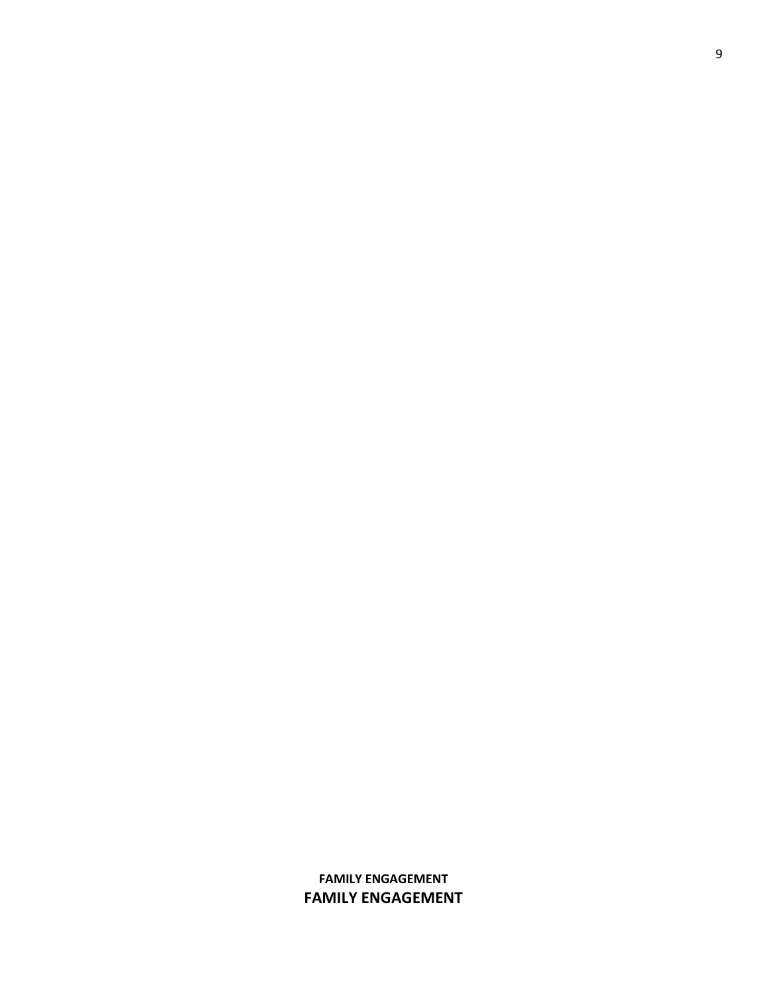## **FAMILY ENGAGEMENT FAMILY ENGAGEMENT**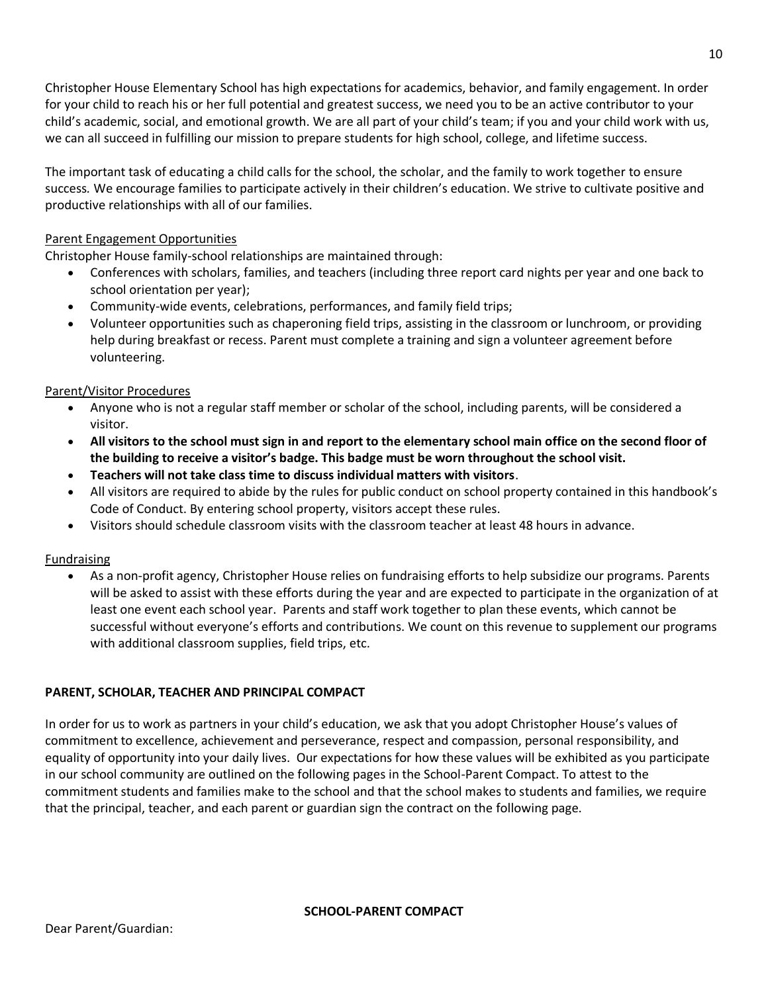Christopher House Elementary School has high expectations for academics, behavior, and family engagement. In order for your child to reach his or her full potential and greatest success, we need you to be an active contributor to your child's academic, social, and emotional growth. We are all part of your child's team; if you and your child work with us, we can all succeed in fulfilling our mission to prepare students for high school, college, and lifetime success.

The important task of educating a child calls for the school, the scholar, and the family to work together to ensure success*.* We encourage families to participate actively in their children's education. We strive to cultivate positive and productive relationships with all of our families.

### Parent Engagement Opportunities

Christopher House family-school relationships are maintained through:

- Conferences with scholars, families, and teachers (including three report card nights per year and one back to school orientation per year);
- Community-wide events, celebrations, performances, and family field trips;
- Volunteer opportunities such as chaperoning field trips, assisting in the classroom or lunchroom, or providing help during breakfast or recess. Parent must complete a training and sign a volunteer agreement before volunteering.

### Parent/Visitor Procedures

- Anyone who is not a regular staff member or scholar of the school, including parents, will be considered a visitor.
- **All visitors to the school must sign in and report to the elementary school main office on the second floor of the building to receive a visitor's badge. This badge must be worn throughout the school visit.**
- **Teachers will not take class time to discuss individual matters with visitors**.
- All visitors are required to abide by the rules for public conduct on school property contained in this handbook's Code of Conduct. By entering school property, visitors accept these rules.
- Visitors should schedule classroom visits with the classroom teacher at least 48 hours in advance.

### Fundraising

• As a non-profit agency, Christopher House relies on fundraising efforts to help subsidize our programs. Parents will be asked to assist with these efforts during the year and are expected to participate in the organization of at least one event each school year. Parents and staff work together to plan these events, which cannot be successful without everyone's efforts and contributions. We count on this revenue to supplement our programs with additional classroom supplies, field trips, etc.

## **PARENT, SCHOLAR, TEACHER AND PRINCIPAL COMPACT**

In order for us to work as partners in your child's education, we ask that you adopt Christopher House's values of commitment to excellence, achievement and perseverance, respect and compassion, personal responsibility, and equality of opportunity into your daily lives. Our expectations for how these values will be exhibited as you participate in our school community are outlined on the following pages in the School-Parent Compact. To attest to the commitment students and families make to the school and that the school makes to students and families, we require that the principal, teacher, and each parent or guardian sign the contract on the following page.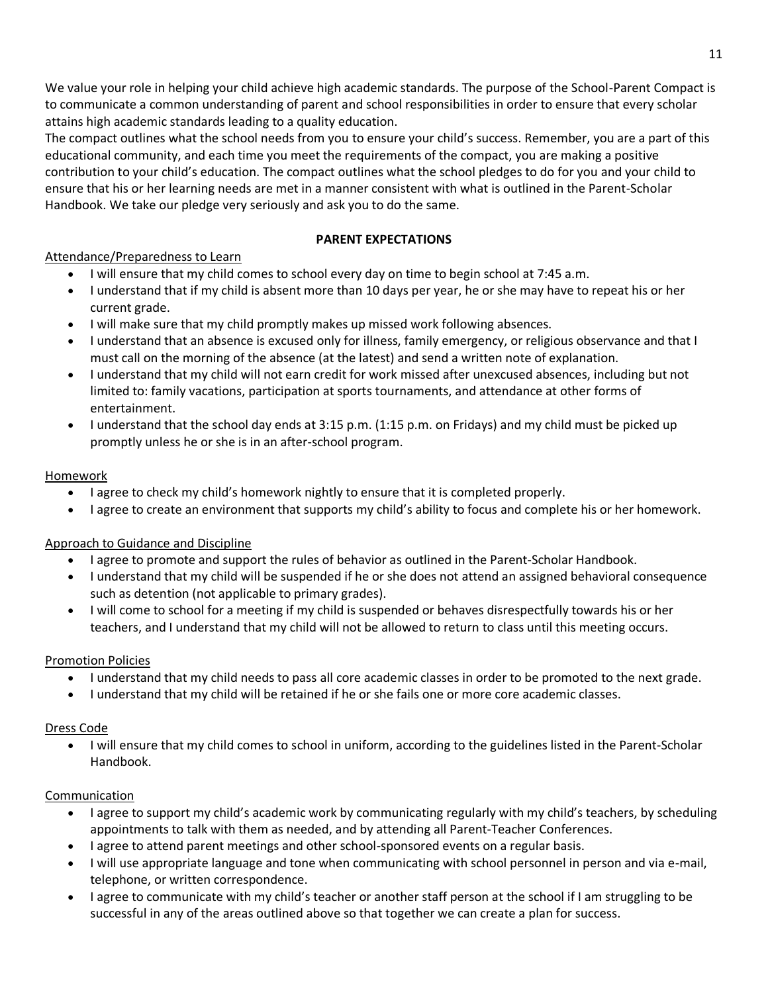We value your role in helping your child achieve high academic standards. The purpose of the School-Parent Compact is to communicate a common understanding of parent and school responsibilities in order to ensure that every scholar attains high academic standards leading to a quality education.

The compact outlines what the school needs from you to ensure your child's success. Remember, you are a part of this educational community, and each time you meet the requirements of the compact, you are making a positive contribution to your child's education. The compact outlines what the school pledges to do for you and your child to ensure that his or her learning needs are met in a manner consistent with what is outlined in the Parent-Scholar Handbook. We take our pledge very seriously and ask you to do the same.

## **PARENT EXPECTATIONS**

## Attendance/Preparedness to Learn

- I will ensure that my child comes to school every day on time to begin school at 7:45 a.m.
- I understand that if my child is absent more than 10 days per year, he or she may have to repeat his or her current grade.
- I will make sure that my child promptly makes up missed work following absences.
- I understand that an absence is excused only for illness, family emergency, or religious observance and that I must call on the morning of the absence (at the latest) and send a written note of explanation.
- I understand that my child will not earn credit for work missed after unexcused absences, including but not limited to: family vacations, participation at sports tournaments, and attendance at other forms of entertainment.
- I understand that the school day ends at 3:15 p.m. (1:15 p.m. on Fridays) and my child must be picked up promptly unless he or she is in an after-school program.

## Homework

- I agree to check my child's homework nightly to ensure that it is completed properly.
- I agree to create an environment that supports my child's ability to focus and complete his or her homework.

## Approach to Guidance and Discipline

- I agree to promote and support the rules of behavior as outlined in the Parent-Scholar Handbook.
- I understand that my child will be suspended if he or she does not attend an assigned behavioral consequence such as detention (not applicable to primary grades).
- I will come to school for a meeting if my child is suspended or behaves disrespectfully towards his or her teachers, and I understand that my child will not be allowed to return to class until this meeting occurs.

## Promotion Policies

- I understand that my child needs to pass all core academic classes in order to be promoted to the next grade.
- I understand that my child will be retained if he or she fails one or more core academic classes.

### Dress Code

• I will ensure that my child comes to school in uniform, according to the guidelines listed in the Parent-Scholar Handbook.

### Communication

- I agree to support my child's academic work by communicating regularly with my child's teachers, by scheduling appointments to talk with them as needed, and by attending all Parent-Teacher Conferences.
- I agree to attend parent meetings and other school-sponsored events on a regular basis.
- I will use appropriate language and tone when communicating with school personnel in person and via e-mail, telephone, or written correspondence.
- I agree to communicate with my child's teacher or another staff person at the school if I am struggling to be successful in any of the areas outlined above so that together we can create a plan for success.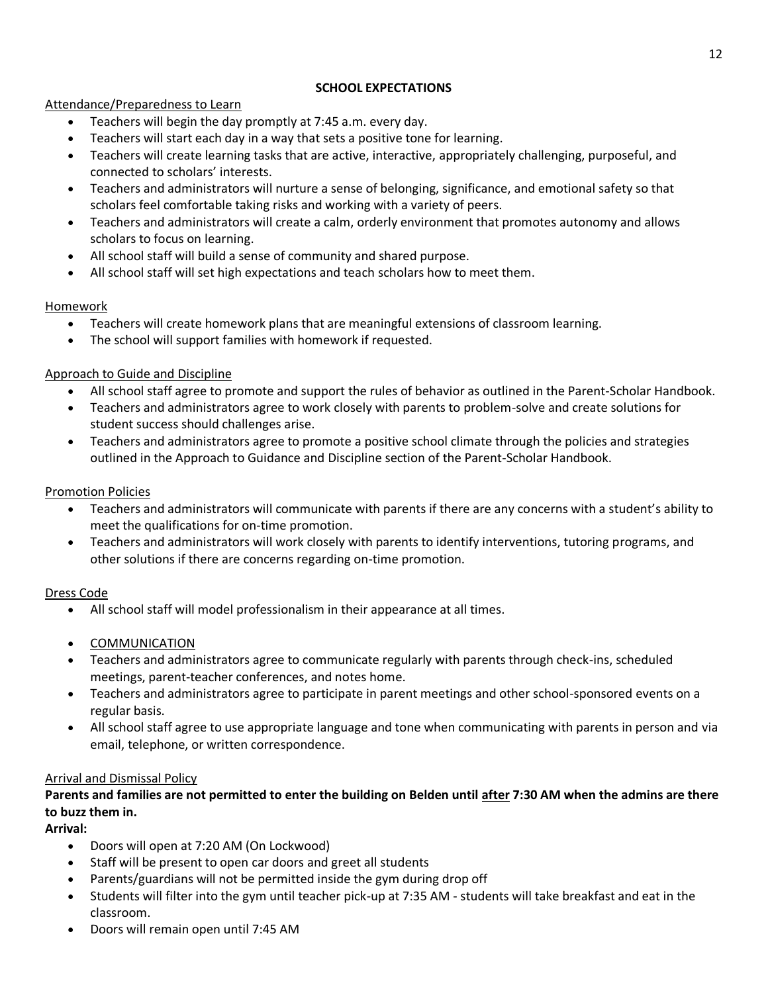## **SCHOOL EXPECTATIONS**

## Attendance/Preparedness to Learn

- Teachers will begin the day promptly at 7:45 a.m. every day.
- Teachers will start each day in a way that sets a positive tone for learning.
- Teachers will create learning tasks that are active, interactive, appropriately challenging, purposeful, and connected to scholars' interests.
- Teachers and administrators will nurture a sense of belonging, significance, and emotional safety so that scholars feel comfortable taking risks and working with a variety of peers.
- Teachers and administrators will create a calm, orderly environment that promotes autonomy and allows scholars to focus on learning.
- All school staff will build a sense of community and shared purpose.
- All school staff will set high expectations and teach scholars how to meet them.

## Homework

- Teachers will create homework plans that are meaningful extensions of classroom learning.
- The school will support families with homework if requested.

## Approach to Guide and Discipline

- All school staff agree to promote and support the rules of behavior as outlined in the Parent-Scholar Handbook.
- Teachers and administrators agree to work closely with parents to problem-solve and create solutions for student success should challenges arise.
- Teachers and administrators agree to promote a positive school climate through the policies and strategies outlined in the Approach to Guidance and Discipline section of the Parent-Scholar Handbook.

## Promotion Policies

- Teachers and administrators will communicate with parents if there are any concerns with a student's ability to meet the qualifications for on-time promotion.
- Teachers and administrators will work closely with parents to identify interventions, tutoring programs, and other solutions if there are concerns regarding on-time promotion.

## Dress Code

- All school staff will model professionalism in their appearance at all times.
- COMMUNICATION
- Teachers and administrators agree to communicate regularly with parents through check-ins, scheduled meetings, parent-teacher conferences, and notes home.
- Teachers and administrators agree to participate in parent meetings and other school-sponsored events on a regular basis.
- All school staff agree to use appropriate language and tone when communicating with parents in person and via email, telephone, or written correspondence.

## Arrival and Dismissal Policy

## **Parents and families are not permitted to enter the building on Belden until after 7:30 AM when the admins are there to buzz them in.**

**Arrival:**

- Doors will open at 7:20 AM (On Lockwood)
- Staff will be present to open car doors and greet all students
- Parents/guardians will not be permitted inside the gym during drop off
- Students will filter into the gym until teacher pick-up at 7:35 AM students will take breakfast and eat in the classroom.
- Doors will remain open until 7:45 AM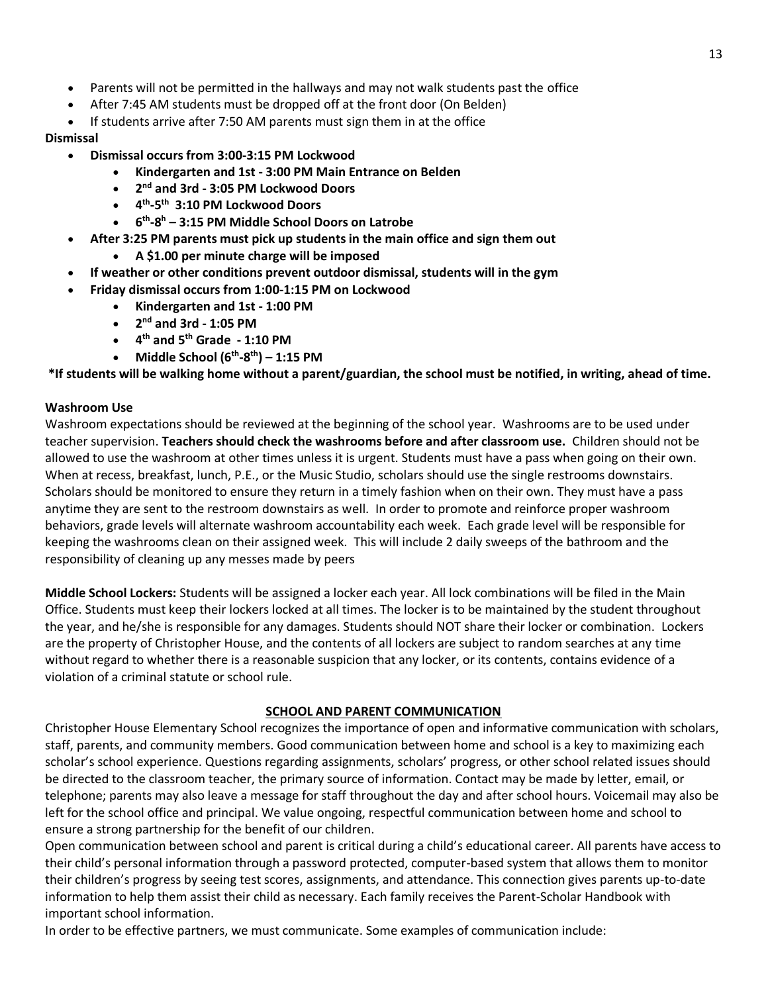- Parents will not be permitted in the hallways and may not walk students past the office
- After 7:45 AM students must be dropped off at the front door (On Belden)
- If students arrive after 7:50 AM parents must sign them in at the office

### **Dismissal**

- **Dismissal occurs from 3:00-3:15 PM Lockwood**
	- **Kindergarten and 1st - 3:00 PM Main Entrance on Belden**
	- **2 nd and 3rd - 3:05 PM Lockwood Doors**
	- **4 th -5 th 3:10 PM Lockwood Doors**
	- **6 th -8 <sup>h</sup> – 3:15 PM Middle School Doors on Latrobe**
- **After 3:25 PM parents must pick up students in the main office and sign them out**
	- **A \$1.00 per minute charge will be imposed**
- **If weather or other conditions prevent outdoor dismissal, students will in the gym**
- **Friday dismissal occurs from 1:00-1:15 PM on Lockwood**
	- **Kindergarten and 1st - 1:00 PM**
	- **2 nd and 3rd - 1:05 PM**
	- **4 th and 5th Grade - 1:10 PM**
	- Middle School  $(6^{th} 8^{th}) 1:15$  PM

**\*If students will be walking home without a parent/guardian, the school must be notified, in writing, ahead of time.**

## **Washroom Use**

Washroom expectations should be reviewed at the beginning of the school year. Washrooms are to be used under teacher supervision. **Teachers should check the washrooms before and after classroom use.** Children should not be allowed to use the washroom at other times unless it is urgent. Students must have a pass when going on their own. When at recess, breakfast, lunch, P.E., or the Music Studio, scholars should use the single restrooms downstairs. Scholars should be monitored to ensure they return in a timely fashion when on their own. They must have a pass anytime they are sent to the restroom downstairs as well. In order to promote and reinforce proper washroom behaviors, grade levels will alternate washroom accountability each week. Each grade level will be responsible for keeping the washrooms clean on their assigned week. This will include 2 daily sweeps of the bathroom and the responsibility of cleaning up any messes made by peers

**Middle School Lockers:** Students will be assigned a locker each year. All lock combinations will be filed in the Main Office. Students must keep their lockers locked at all times. The locker is to be maintained by the student throughout the year, and he/she is responsible for any damages. Students should NOT share their locker or combination. Lockers are the property of Christopher House, and the contents of all lockers are subject to random searches at any time without regard to whether there is a reasonable suspicion that any locker, or its contents, contains evidence of a violation of a criminal statute or school rule.

## **SCHOOL AND PARENT COMMUNICATION**

Christopher House Elementary School recognizes the importance of open and informative communication with scholars, staff, parents, and community members. Good communication between home and school is a key to maximizing each scholar's school experience. Questions regarding assignments, scholars' progress, or other school related issues should be directed to the classroom teacher, the primary source of information. Contact may be made by letter, email, or telephone; parents may also leave a message for staff throughout the day and after school hours. Voicemail may also be left for the school office and principal. We value ongoing, respectful communication between home and school to ensure a strong partnership for the benefit of our children.

Open communication between school and parent is critical during a child's educational career. All parents have access to their child's personal information through a password protected, computer-based system that allows them to monitor their children's progress by seeing test scores, assignments, and attendance. This connection gives parents up-to-date information to help them assist their child as necessary. Each family receives the Parent-Scholar Handbook with important school information.

In order to be effective partners, we must communicate. Some examples of communication include: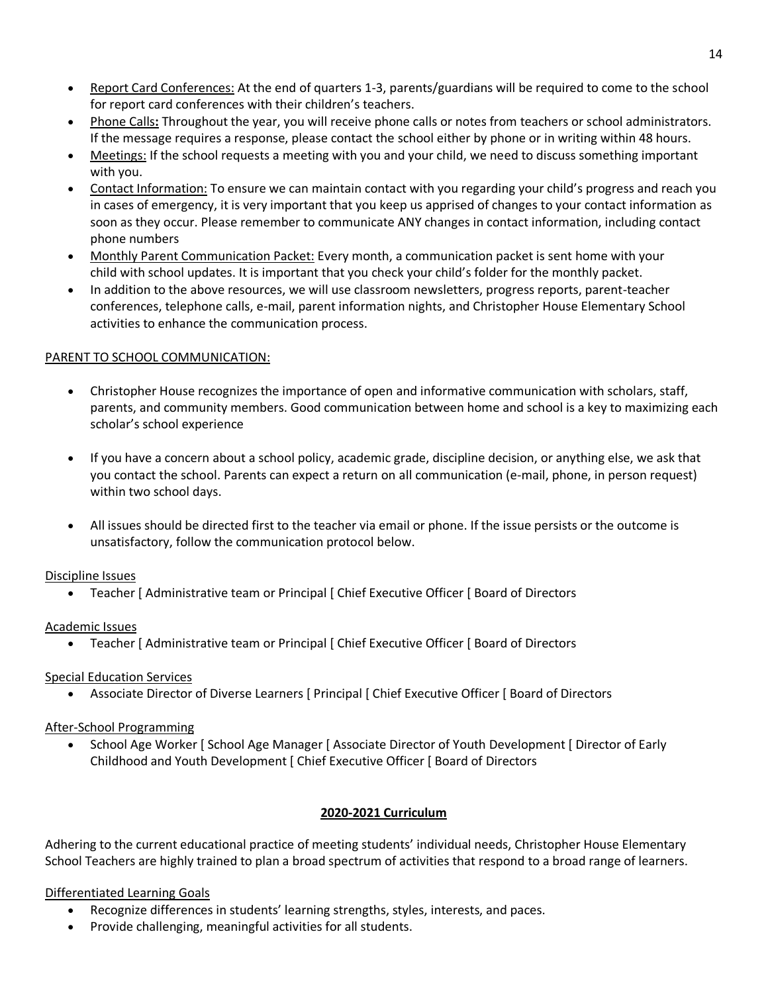- Report Card Conferences: At the end of quarters 1-3, parents/guardians will be required to come to the school for report card conferences with their children's teachers.
- Phone Calls**:** Throughout the year, you will receive phone calls or notes from teachers or school administrators. If the message requires a response, please contact the school either by phone or in writing within 48 hours.
- Meetings: If the school requests a meeting with you and your child, we need to discuss something important with you.
- Contact Information: To ensure we can maintain contact with you regarding your child's progress and reach you in cases of emergency, it is very important that you keep us apprised of changes to your contact information as soon as they occur. Please remember to communicate ANY changes in contact information, including contact phone numbers
- Monthly Parent Communication Packet: Every month, a communication packet is sent home with your child with school updates. It is important that you check your child's folder for the monthly packet.
- In addition to the above resources, we will use classroom newsletters, progress reports, parent-teacher conferences, telephone calls, e-mail, parent information nights, and Christopher House Elementary School activities to enhance the communication process.

### PARENT TO SCHOOL COMMUNICATION:

- Christopher House recognizes the importance of open and informative communication with scholars, staff, parents, and community members. Good communication between home and school is a key to maximizing each scholar's school experience
- If you have a concern about a school policy, academic grade, discipline decision, or anything else, we ask that you contact the school. Parents can expect a return on all communication (e-mail, phone, in person request) within two school days.
- All issues should be directed first to the teacher via email or phone. If the issue persists or the outcome is unsatisfactory, follow the communication protocol below.

### Discipline Issues

• Teacher [ Administrative team or Principal [ Chief Executive Officer [ Board of Directors

## Academic Issues

• Teacher | Administrative team or Principal | Chief Executive Officer | Board of Directors

## Special Education Services

• Associate Director of Diverse Learners [ Principal [ Chief Executive Officer [ Board of Directors

## After-School Programming

• School Age Worker [ School Age Manager [ Associate Director of Youth Development [ Director of Early Childhood and Youth Development [ Chief Executive Officer [ Board of Directors

## **2020-2021 Curriculum**

Adhering to the current educational practice of meeting students' individual needs, Christopher House Elementary School Teachers are highly trained to plan a broad spectrum of activities that respond to a broad range of learners.

## Differentiated Learning Goals

- Recognize differences in students' learning strengths, styles, interests, and paces.
- Provide challenging, meaningful activities for all students.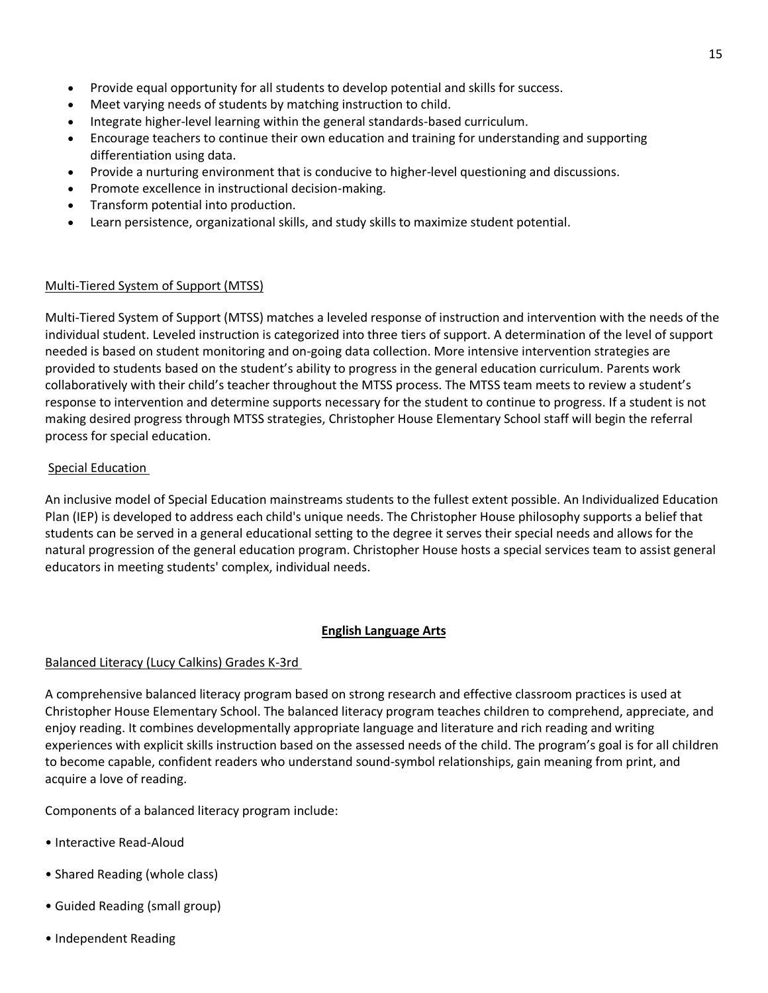- Provide equal opportunity for all students to develop potential and skills for success.
- Meet varying needs of students by matching instruction to child.
- Integrate higher-level learning within the general standards-based curriculum.
- Encourage teachers to continue their own education and training for understanding and supporting differentiation using data.
- Provide a nurturing environment that is conducive to higher-level questioning and discussions.
- Promote excellence in instructional decision-making.
- Transform potential into production.
- Learn persistence, organizational skills, and study skills to maximize student potential.

### Multi-Tiered System of Support (MTSS)

Multi-Tiered System of Support (MTSS) matches a leveled response of instruction and intervention with the needs of the individual student. Leveled instruction is categorized into three tiers of support. A determination of the level of support needed is based on student monitoring and on-going data collection. More intensive intervention strategies are provided to students based on the student's ability to progress in the general education curriculum. Parents work collaboratively with their child's teacher throughout the MTSS process. The MTSS team meets to review a student's response to intervention and determine supports necessary for the student to continue to progress. If a student is not making desired progress through MTSS strategies, Christopher House Elementary School staff will begin the referral process for special education.

### Special Education

An inclusive model of Special Education mainstreams students to the fullest extent possible. An Individualized Education Plan (IEP) is developed to address each child's unique needs. The Christopher House philosophy supports a belief that students can be served in a general educational setting to the degree it serves their special needs and allows for the natural progression of the general education program. Christopher House hosts a special services team to assist general educators in meeting students' complex, individual needs.

### **English Language Arts**

### Balanced Literacy (Lucy Calkins) Grades K-3rd

A comprehensive balanced literacy program based on strong research and effective classroom practices is used at Christopher House Elementary School. The balanced literacy program teaches children to comprehend, appreciate, and enjoy reading. It combines developmentally appropriate language and literature and rich reading and writing experiences with explicit skills instruction based on the assessed needs of the child. The program's goal is for all children to become capable, confident readers who understand sound-symbol relationships, gain meaning from print, and acquire a love of reading.

Components of a balanced literacy program include:

- Interactive Read-Aloud
- Shared Reading (whole class)
- Guided Reading (small group)
- Independent Reading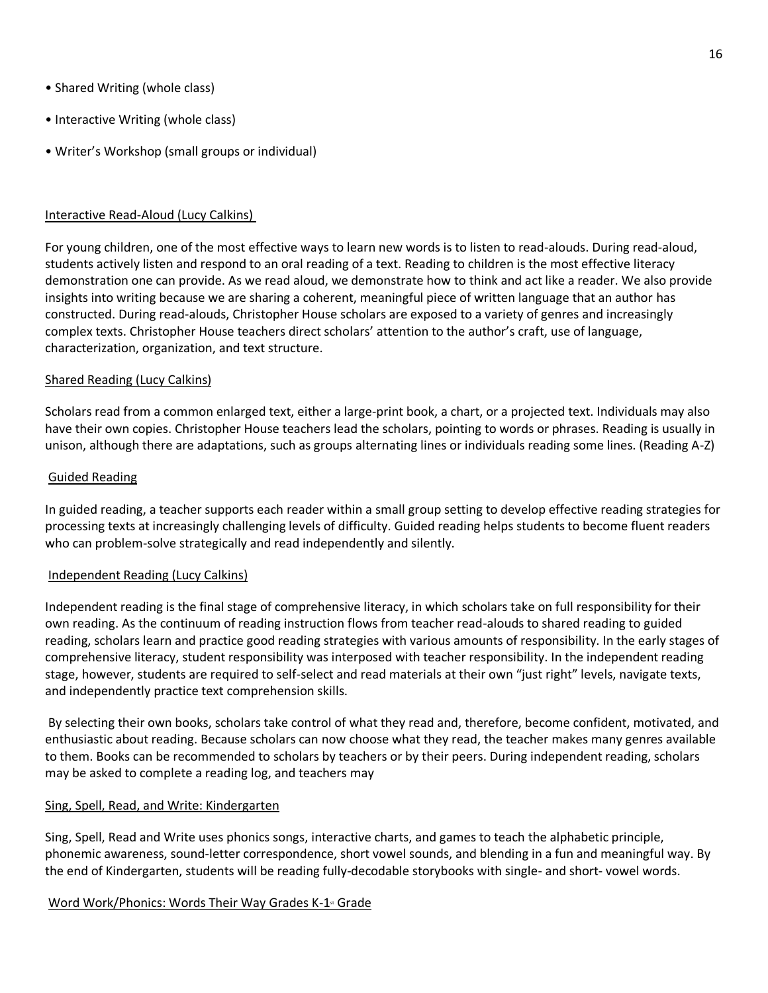- Shared Writing (whole class)
- Interactive Writing (whole class)
- Writer's Workshop (small groups or individual)

### Interactive Read-Aloud (Lucy Calkins)

For young children, one of the most effective ways to learn new words is to listen to read-alouds. During read-aloud, students actively listen and respond to an oral reading of a text. Reading to children is the most effective literacy demonstration one can provide. As we read aloud, we demonstrate how to think and act like a reader. We also provide insights into writing because we are sharing a coherent, meaningful piece of written language that an author has constructed. During read-alouds, Christopher House scholars are exposed to a variety of genres and increasingly complex texts. Christopher House teachers direct scholars' attention to the author's craft, use of language, characterization, organization, and text structure.

### Shared Reading (Lucy Calkins)

Scholars read from a common enlarged text, either a large-print book, a chart, or a projected text. Individuals may also have their own copies. Christopher House teachers lead the scholars, pointing to words or phrases. Reading is usually in unison, although there are adaptations, such as groups alternating lines or individuals reading some lines. (Reading A-Z)

#### Guided Reading

In guided reading, a teacher supports each reader within a small group setting to develop effective reading strategies for processing texts at increasingly challenging levels of difficulty. Guided reading helps students to become fluent readers who can problem-solve strategically and read independently and silently.

### Independent Reading (Lucy Calkins)

Independent reading is the final stage of comprehensive literacy, in which scholars take on full responsibility for their own reading. As the continuum of reading instruction flows from teacher read-alouds to shared reading to guided reading, scholars learn and practice good reading strategies with various amounts of responsibility. In the early stages of comprehensive literacy, student responsibility was interposed with teacher responsibility. In the independent reading stage, however, students are required to self-select and read materials at their own "just right" levels, navigate texts, and independently practice text comprehension skills.

By selecting their own books, scholars take control of what they read and, therefore, become confident, motivated, and enthusiastic about reading. Because scholars can now choose what they read, the teacher makes many genres available to them. Books can be recommended to scholars by teachers or by their peers. During independent reading, scholars may be asked to complete a reading log, and teachers may

### Sing, Spell, Read, and Write: Kindergarten

Sing, Spell, Read and Write uses phonics songs, interactive charts, and games to teach the alphabetic principle, phonemic awareness, sound-letter correspondence, short vowel sounds, and blending in a fun and meaningful way. By the end of Kindergarten, students will be reading fully-decodable storybooks with single- and short- vowel words.

### Word Work/Phonics: Words Their Way Grades K-1<sup>st</sup> Grade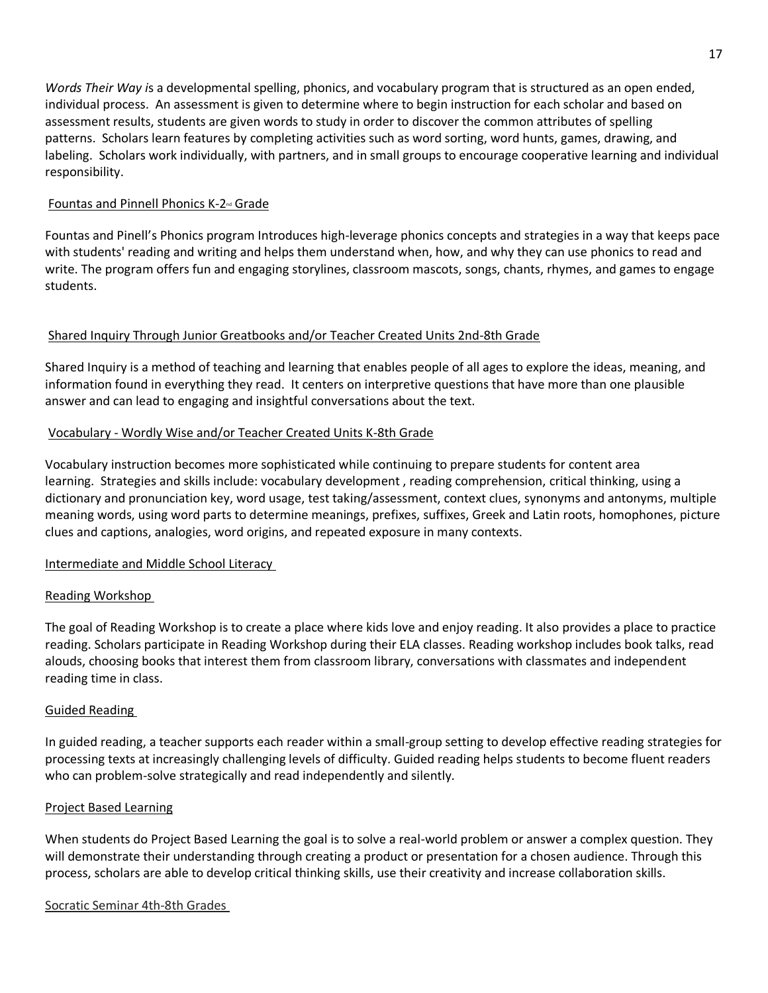*Words Their Way i*s a developmental spelling, phonics, and vocabulary program that is structured as an open ended, individual process. An assessment is given to determine where to begin instruction for each scholar and based on assessment results, students are given words to study in order to discover the common attributes of spelling patterns. Scholars learn features by completing activities such as word sorting, word hunts, games, drawing, and labeling. Scholars work individually, with partners, and in small groups to encourage cooperative learning and individual responsibility.

### Fountas and Pinnell Phonics K-2nd Grade

Fountas and Pinell's Phonics program Introduces high-leverage phonics concepts and strategies in a way that keeps pace with students' reading and writing and helps them understand when, how, and why they can use phonics to read and write. The program offers fun and engaging storylines, classroom mascots, songs, chants, rhymes, and games to engage students.

### Shared Inquiry Through Junior Greatbooks and/or Teacher Created Units 2nd-8th Grade

Shared Inquiry is a method of teaching and learning that enables people of all ages to explore the ideas, meaning, and information found in everything they read. It centers on interpretive questions that have more than one plausible answer and can lead to engaging and insightful conversations about the text.

### Vocabulary - Wordly Wise and/or Teacher Created Units K-8th Grade

Vocabulary instruction becomes more sophisticated while continuing to prepare students for content area learning. Strategies and skills include: vocabulary development , reading comprehension, critical thinking, using a dictionary and pronunciation key, word usage, test taking/assessment, context clues, synonyms and antonyms, multiple meaning words, using word parts to determine meanings, prefixes, suffixes, Greek and Latin roots, homophones, picture clues and captions, analogies, word origins, and repeated exposure in many contexts.

### Intermediate and Middle School Literacy

### Reading Workshop

The goal of Reading Workshop is to create a place where kids love and enjoy reading. It also provides a place to practice reading. Scholars participate in Reading Workshop during their ELA classes. Reading workshop includes book talks, read alouds, choosing books that interest them from classroom library, conversations with classmates and independent reading time in class.

### Guided Reading

In guided reading, a teacher supports each reader within a small-group setting to develop effective reading strategies for processing texts at increasingly challenging levels of difficulty. Guided reading helps students to become fluent readers who can problem-solve strategically and read independently and silently.

### Project Based Learning

When students do Project Based Learning the goal is to solve a real-world problem or answer a complex question. They will demonstrate their understanding through creating a product or presentation for a chosen audience. Through this process, scholars are able to develop critical thinking skills, use their creativity and increase collaboration skills.

### Socratic Seminar 4th-8th Grades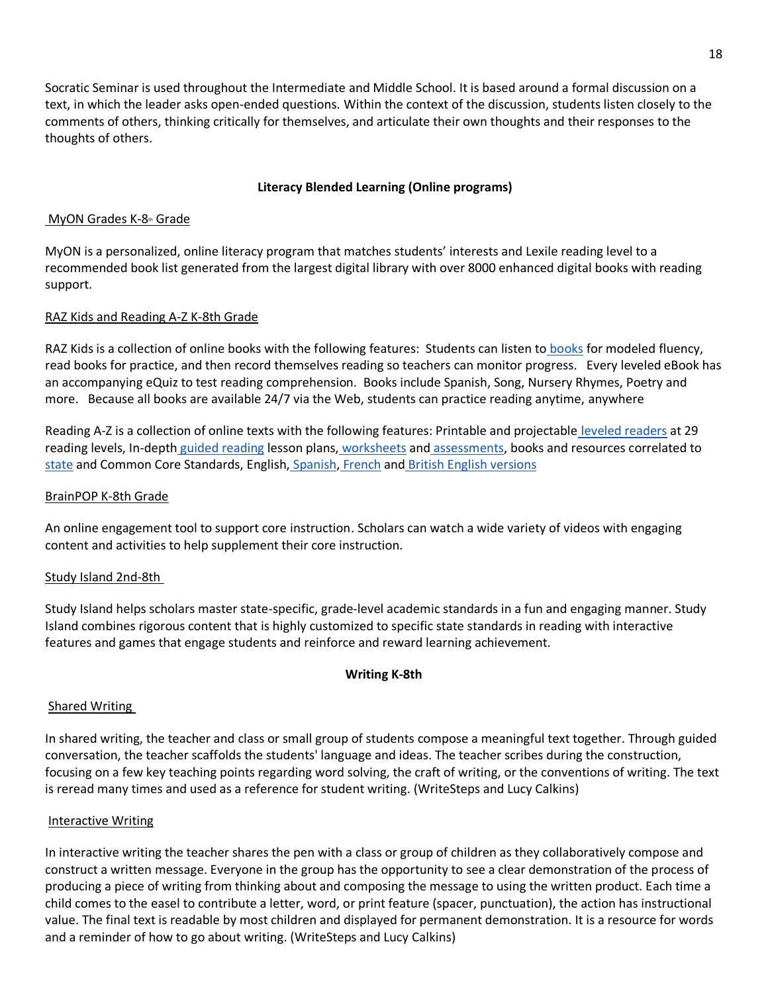Socratic Seminar is used throughout the Intermediate and Middle School. It is based around a formal discussion on a text, in which the leader asks open-ended questions. Within the context of the discussion, students listen closely to the comments of others, thinking critically for themselves, and articulate their own thoughts and their responses to the thoughts of others.

### **Literacy Blended Learning (Online programs)**

### MyON Grades K-8th Grade

MyON is a personalized, online literacy program that matches students' interests and Lexile reading level to a recommended book list generated from the largest digital library with over 8000 enhanced digital books with reading support.

### RAZ Kids and Reading A-Z K-8th Grade

RAZ Kids is a collection of online [books](https://www.raz-kids.com/main/RazQuizRoom/collectionId/4/leveledBookLanguageId/1) with the following features: Students can listen to books for modeled fluency, read books for practice, and then record themselves reading so teachers can monitor progress. Every leveled eBook has an accompanying eQuiz to test reading comprehension. Books include Spanish, Song, Nursery Rhymes, Poetry and more. Because all books are available 24/7 via the Web, students can practice reading anytime, anywhere

Reading A-Z is a collection of online texts with the following features: Printable and projectable [leveled readers](https://www.readinga-z.com/books/leveled-books/) at 29 reading levels, In-depth [guided reading](https://www.readinga-z.com/books/leveled-books/) lesson plans, [worksheets](https://www.readinga-z.com/books/leveled-books/) and [assessments,](https://www.readinga-z.com/assessments/) b[o](https://www.readinga-z.com/curriculum-correlations/curriculum-standards/)oks and resources correlated to [state](https://www.readinga-z.com/curriculum-correlations/curriculum-standards/) and Common Core Standards, English, [Spanish,](https://www.readinga-z.com/translations/spanish/leveled-books/) [French](https://www.readinga-z.com/translations/french/leveled-books/) and [British English versions](https://www.readinga-z.com/translations/british-english/leveled-books/)

### BrainPOP K-8th Grade

An online engagement tool to support core instruction. Scholars can watch a wide variety of videos with engaging content and activities to help supplement their core instruction.

### Study Island 2nd-8th

Study Island helps scholars master state-specific, grade-level academic standards in a fun and engaging manner. Study Island combines rigorous content that is highly customized to specific state standards in reading with interactive features and games that engage students and reinforce and reward learning achievement.

### **Writing K-8th**

#### Shared Writing

In shared writing, the teacher and class or small group of students compose a meaningful text together. Through guided conversation, the teacher scaffolds the students' language and ideas. The teacher scribes during the construction, focusing on a few key teaching points regarding word solving, the craft of writing, or the conventions of writing. The text is reread many times and used as a reference for student writing. (WriteSteps and Lucy Calkins)

#### Interactive Writing

In interactive writing the teacher shares the pen with a class or group of children as they collaboratively compose and construct a written message. Everyone in the group has the opportunity to see a clear demonstration of the process of producing a piece of writing from thinking about and composing the message to using the written product. Each time a child comes to the easel to contribute a letter, word, or print feature (spacer, punctuation), the action has instructional value. The final text is readable by most children and displayed for permanent demonstration. It is a resource for words and a reminder of how to go about writing. (WriteSteps and Lucy Calkins)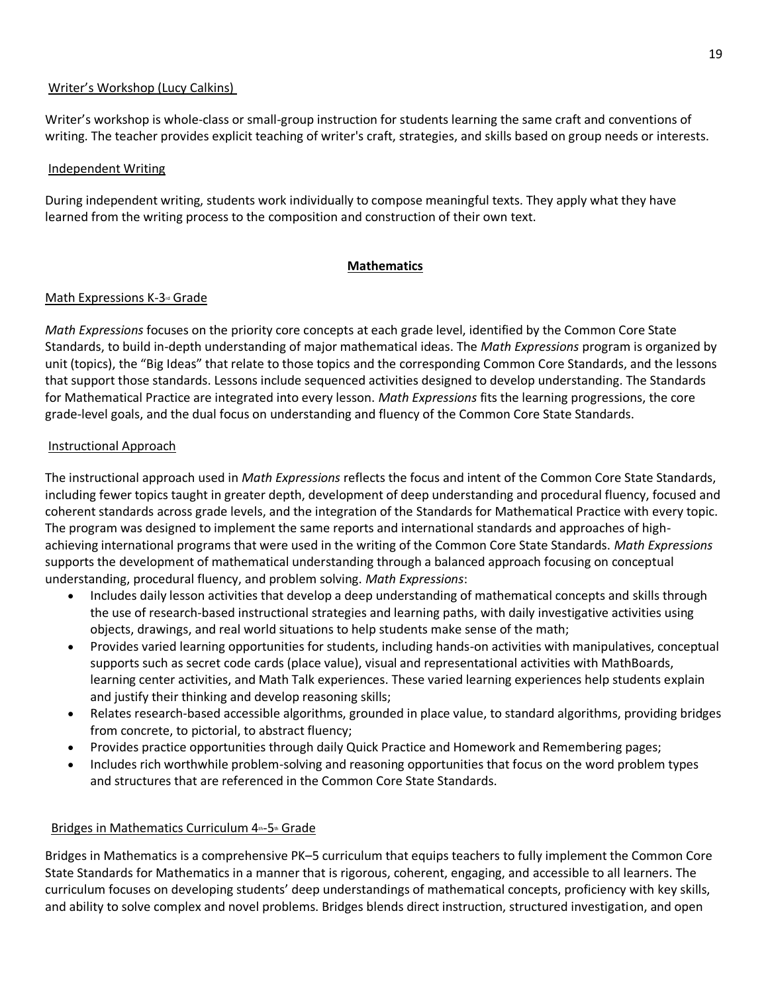### Writer's Workshop (Lucy Calkins)

Writer's workshop is whole-class or small-group instruction for students learning the same craft and conventions of writing. The teacher provides explicit teaching of writer's craft, strategies, and skills based on group needs or interests.

### Independent Writing

During independent writing, students work individually to compose meaningful texts. They apply what they have learned from the writing process to the composition and construction of their own text.

### **Mathematics**

### Math Expressions K-3<sup>d</sup> Grade

*Math Expressions* focuses on the priority core concepts at each grade level, identified by the Common Core State Standards, to build in-depth understanding of major mathematical ideas. The *Math Expressions* program is organized by unit (topics), the "Big Ideas" that relate to those topics and the corresponding Common Core Standards, and the lessons that support those standards. Lessons include sequenced activities designed to develop understanding. The Standards for Mathematical Practice are integrated into every lesson. *Math Expressions* fits the learning progressions, the core grade-level goals, and the dual focus on understanding and fluency of the Common Core State Standards.

### Instructional Approach

The instructional approach used in *Math Expressions* reflects the focus and intent of the Common Core State Standards, including fewer topics taught in greater depth, development of deep understanding and procedural fluency, focused and coherent standards across grade levels, and the integration of the Standards for Mathematical Practice with every topic. The program was designed to implement the same reports and international standards and approaches of highachieving international programs that were used in the writing of the Common Core State Standards. *Math Expressions* supports the development of mathematical understanding through a balanced approach focusing on conceptual understanding, procedural fluency, and problem solving. *Math Expressions*:

- Includes daily lesson activities that develop a deep understanding of mathematical concepts and skills through the use of research-based instructional strategies and learning paths, with daily investigative activities using objects, drawings, and real world situations to help students make sense of the math;
- Provides varied learning opportunities for students, including hands-on activities with manipulatives, conceptual supports such as secret code cards (place value), visual and representational activities with MathBoards, learning center activities, and Math Talk experiences. These varied learning experiences help students explain and justify their thinking and develop reasoning skills;
- Relates research-based accessible algorithms, grounded in place value, to standard algorithms, providing bridges from concrete, to pictorial, to abstract fluency;
- Provides practice opportunities through daily Quick Practice and Homework and Remembering pages;
- Includes rich worthwhile problem-solving and reasoning opportunities that focus on the word problem types and structures that are referenced in the Common Core State Standards.

## Bridges in Mathematics Curriculum 4th-5th Grade

Bridges in Mathematics is a comprehensive PK–5 curriculum that equips teachers to fully implement the Common Core State Standards for Mathematics in a manner that is rigorous, coherent, engaging, and accessible to all learners. The curriculum focuses on developing students' deep understandings of mathematical concepts, proficiency with key skills, and ability to solve complex and novel problems. Bridges blends direct instruction, structured investigation, and open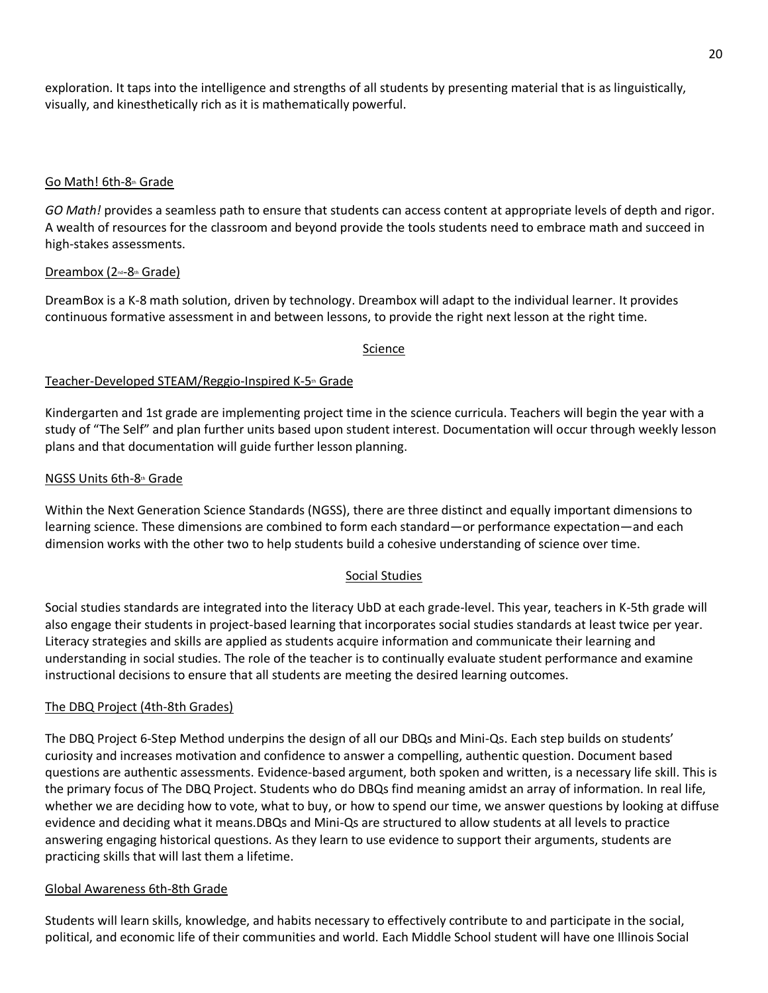exploration. It taps into the intelligence and strengths of all students by presenting material that is as linguistically, visually, and kinesthetically rich as it is mathematically powerful.

### Go Math! 6th-8th Grade

*GO Math!* provides a seamless path to ensure that students can access content at appropriate levels of depth and rigor. A wealth of resources for the classroom and beyond provide the tools students need to embrace math and succeed in high-stakes assessments.

### Dreambox (2<sup>nd</sup>-8th Grade)

DreamBox is a K-8 math solution, driven by technology. Dreambox will adapt to the individual learner. It provides continuous formative assessment in and between lessons, to provide the right next lesson at the right time.

### Science

### Teacher-Developed STEAM/Reggio-Inspired K-5th Grade

Kindergarten and 1st grade are implementing project time in the science curricula. Teachers will begin the year with a study of "The Self" and plan further units based upon student interest. Documentation will occur through weekly lesson plans and that documentation will guide further lesson planning.

### NGSS Units 6th-8th Grade

Within the Next Generation Science Standards (NGSS), there are three distinct and equally important dimensions to learning science. These dimensions are combined to form each standard—or performance expectation—and each dimension works with the other two to help students build a cohesive understanding of science over time.

### Social Studies

Social studies standards are integrated into the literacy UbD at each grade-level. This year, teachers in K-5th grade will also engage their students in project-based learning that incorporates social studies standards at least twice per year. Literacy strategies and skills are applied as students acquire information and communicate their learning and understanding in social studies. The role of the teacher is to continually evaluate student performance and examine instructional decisions to ensure that all students are meeting the desired learning outcomes.

### The DBQ Project (4th-8th Grades)

The DBQ Project 6-Step Method underpins the design of all our DBQs and Mini-Qs. Each step builds on students' curiosity and increases motivation and confidence to answer a compelling, authentic question. Document based questions are authentic assessments. Evidence-based argument, both spoken and written, is a necessary life skill. This is the primary focus of The DBQ Project. Students who do DBQs find meaning amidst an array of information. In real life, whether we are deciding how to vote, what to buy, or how to spend our time, we answer questions by looking at diffuse evidence and deciding what it means.DBQs and Mini-Qs are structured to allow students at all levels to practice answering engaging historical questions. As they learn to use evidence to support their arguments, students are practicing skills that will last them a lifetime.

### Global Awareness 6th-8th Grade

Students will learn skills, knowledge, and habits necessary to effectively contribute to and participate in the social, political, and economic life of their communities and world. Each Middle School student will have one Illinois Social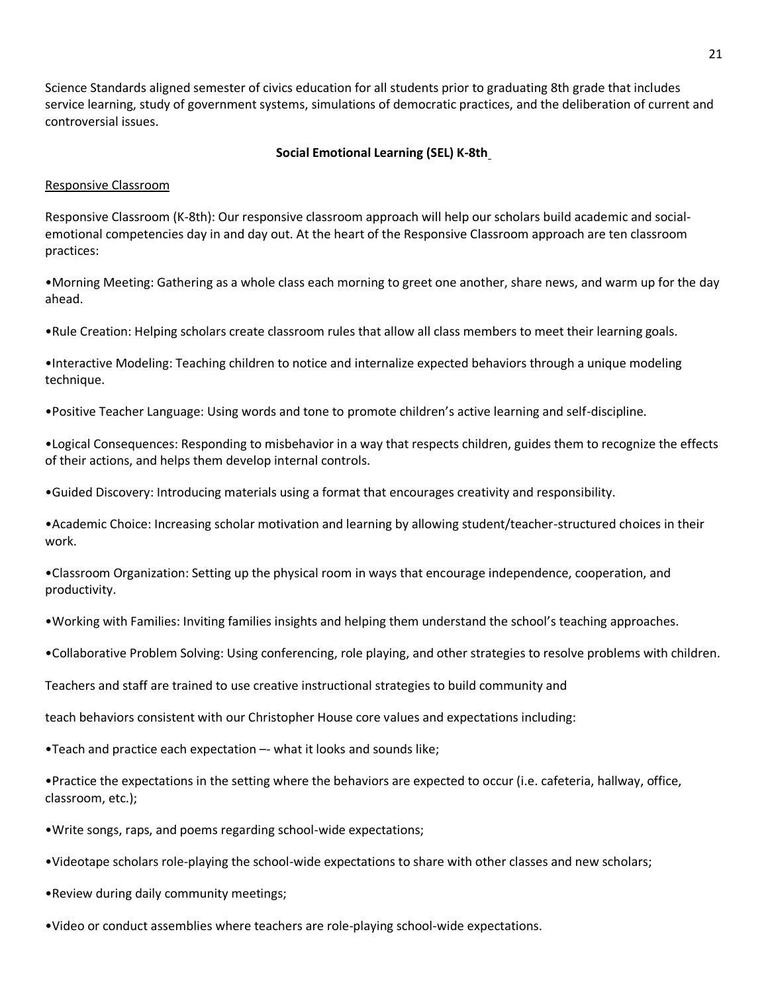Science Standards aligned semester of civics education for all students prior to graduating 8th grade that includes service learning, study of government systems, simulations of democratic practices, and the deliberation of current and controversial issues.

### **Social Emotional Learning (SEL) K-8th**

#### Responsive Classroom

Responsive Classroom (K-8th): Our responsive classroom approach will help our scholars build academic and socialemotional competencies day in and day out. At the heart of the Responsive Classroom approach are ten classroom practices:

•Morning Meeting: Gathering as a whole class each morning to greet one another, share news, and warm up for the day ahead.

•Rule Creation: Helping scholars create classroom rules that allow all class members to meet their learning goals.

•Interactive Modeling: Teaching children to notice and internalize expected behaviors through a unique modeling technique.

•Positive Teacher Language: Using words and tone to promote children's active learning and self-discipline.

•Logical Consequences: Responding to misbehavior in a way that respects children, guides them to recognize the effects of their actions, and helps them develop internal controls.

•Guided Discovery: Introducing materials using a format that encourages creativity and responsibility.

•Academic Choice: Increasing scholar motivation and learning by allowing student/teacher-structured choices in their work.

•Classroom Organization: Setting up the physical room in ways that encourage independence, cooperation, and productivity.

•Working with Families: Inviting families insights and helping them understand the school's teaching approaches.

•Collaborative Problem Solving: Using conferencing, role playing, and other strategies to resolve problems with children.

Teachers and staff are trained to use creative instructional strategies to build community and

teach behaviors consistent with our Christopher House core values and expectations including:

•Teach and practice each expectation –- what it looks and sounds like;

•Practice the expectations in the setting where the behaviors are expected to occur (i.e. cafeteria, hallway, office, classroom, etc.);

•Write songs, raps, and poems regarding school-wide expectations;

•Videotape scholars role-playing the school-wide expectations to share with other classes and new scholars;

•Review during daily community meetings;

•Video or conduct assemblies where teachers are role-playing school-wide expectations.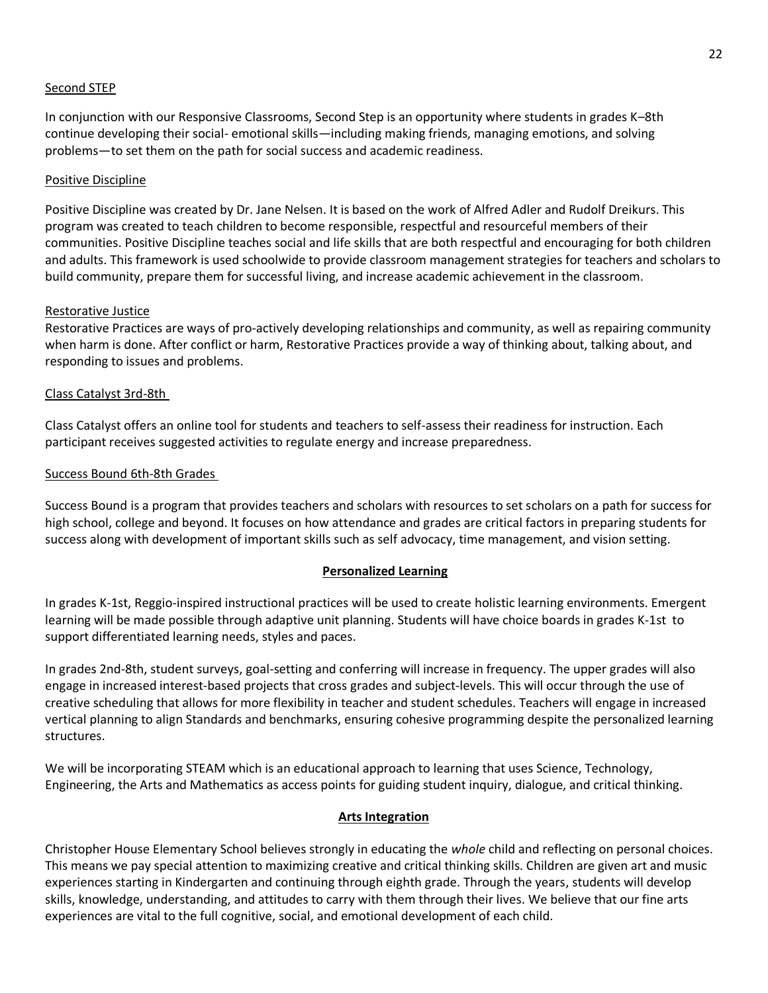#### Second STEP

In conjunction with our Responsive Classrooms, Second Step is an opportunity where students in grades K–8th continue developing their social- emotional skills—including making friends, managing emotions, and solving problems—to set them on the path for social success and academic readiness.

#### Positive Discipline

Positive Discipline was created by Dr. Jane Nelsen. It is based on the work of Alfred Adler and Rudolf Dreikurs. This program was created to teach children to become responsible, respectful and resourceful members of their communities. Positive Discipline teaches social and life skills that are both respectful and encouraging for both children and adults. This framework is used schoolwide to provide classroom management strategies for teachers and scholars to build community, prepare them for successful living, and increase academic achievement in the classroom.

#### Restorative Justice

Restorative Practices are ways of pro-actively developing relationships and community, as well as repairing community when harm is done. After conflict or harm, Restorative Practices provide a way of thinking about, talking about, and responding to issues and problems.

#### Class Catalyst 3rd-8th

Class Catalyst offers an online tool for students and teachers to self-assess their readiness for instruction. Each participant receives suggested activities to regulate energy and increase preparedness.

#### Success Bound 6th-8th Grades

Success Bound is a program that provides teachers and scholars with resources to set scholars on a path for success for high school, college and beyond. It focuses on how attendance and grades are critical factors in preparing students for success along with development of important skills such as self advocacy, time management, and vision setting.

### **Personalized Learning**

In grades K-1st, Reggio-inspired instructional practices will be used to create holistic learning environments. Emergent learning will be made possible through adaptive unit planning. Students will have choice boards in grades K-1st to support differentiated learning needs, styles and paces.

In grades 2nd-8th, student surveys, goal-setting and conferring will increase in frequency. The upper grades will also engage in increased interest-based projects that cross grades and subject-levels. This will occur through the use of creative scheduling that allows for more flexibility in teacher and student schedules. Teachers will engage in increased vertical planning to align Standards and benchmarks, ensuring cohesive programming despite the personalized learning structures.

We will be incorporating STEAM which is an educational approach to learning that uses Science, Technology, Engineering, the Arts and Mathematics as access points for guiding student inquiry, dialogue, and critical thinking.

#### **Arts Integration**

Christopher House Elementary School believes strongly in educating the *whole* child and reflecting on personal choices. This means we pay special attention to maximizing creative and critical thinking skills. Children are given art and music experiences starting in Kindergarten and continuing through eighth grade. Through the years, students will develop skills, knowledge, understanding, and attitudes to carry with them through their lives. We believe that our fine arts experiences are vital to the full cognitive, social, and emotional development of each child.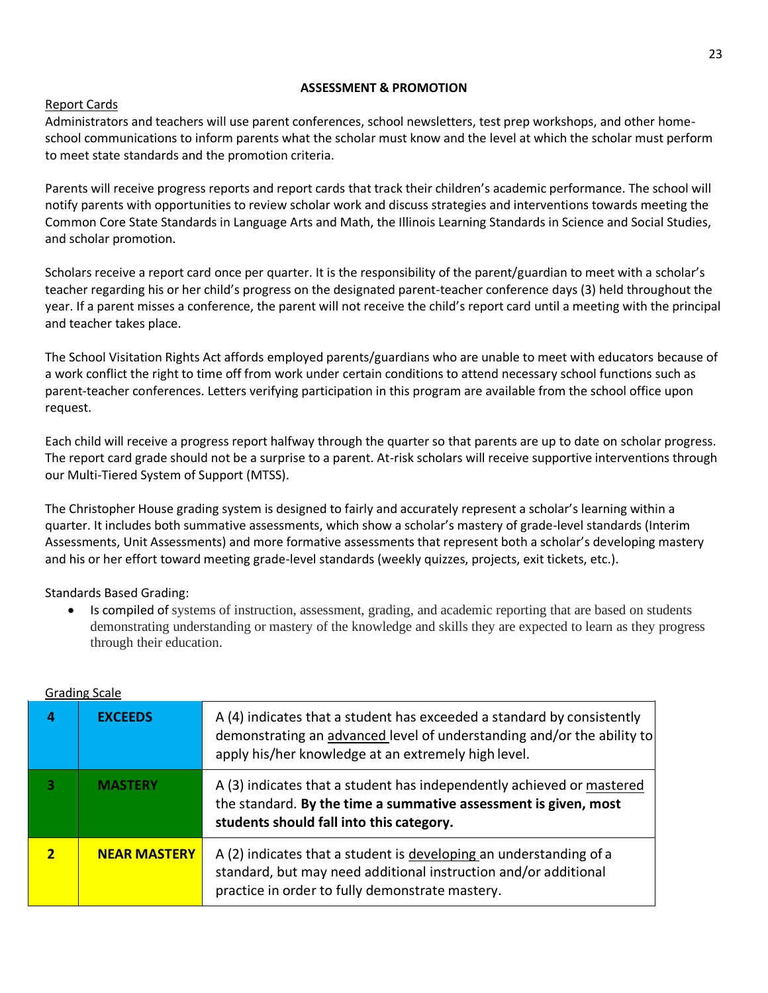### **ASSESSMENT & PROMOTION**

## Report Cards

Administrators and teachers will use parent conferences, school newsletters, test prep workshops, and other homeschool communications to inform parents what the scholar must know and the level at which the scholar must perform to meet state standards and the promotion criteria.

Parents will receive progress reports and report cards that track their children's academic performance. The school will notify parents with opportunities to review scholar work and discuss strategies and interventions towards meeting the Common Core State Standards in Language Arts and Math, the Illinois Learning Standards in Science and Social Studies, and scholar promotion.

Scholars receive a report card once per quarter. It is the responsibility of the parent/guardian to meet with a scholar's teacher regarding his or her child's progress on the designated parent-teacher conference days (3) held throughout the year. If a parent misses a conference, the parent will not receive the child's report card until a meeting with the principal and teacher takes place.

The School Visitation Rights Act affords employed parents/guardians who are unable to meet with educators because of a work conflict the right to time off from work under certain conditions to attend necessary school functions such as parent-teacher conferences. Letters verifying participation in this program are available from the school office upon request.

Each child will receive a progress report halfway through the quarter so that parents are up to date on scholar progress. The report card grade should not be a surprise to a parent. At-risk scholars will receive supportive interventions through our Multi-Tiered System of Support (MTSS).

The Christopher House grading system is designed to fairly and accurately represent a scholar's learning within a quarter. It includes both summative assessments, which show a scholar's mastery of grade-level standards (Interim Assessments, Unit Assessments) and more formative assessments that represent both a scholar's developing mastery and his or her effort toward meeting grade-level standards (weekly quizzes, projects, exit tickets, etc.).

Standards Based Grading:

• Is compiled of systems of instruction, assessment, grading, and academic reporting that are based on students demonstrating understanding or mastery of the knowledge and skills they are expected to learn as they progress through their education.

| <u>Urauling</u> Judic |                     |                                                                                                                                                                                                         |  |  |  |
|-----------------------|---------------------|---------------------------------------------------------------------------------------------------------------------------------------------------------------------------------------------------------|--|--|--|
| д                     | <b>EXCEEDS</b>      | A (4) indicates that a student has exceeded a standard by consistently<br>demonstrating an advanced level of understanding and/or the ability to<br>apply his/her knowledge at an extremely high level. |  |  |  |
| 3                     | <b>MASTERY</b>      | A (3) indicates that a student has independently achieved or mastered<br>the standard. By the time a summative assessment is given, most<br>students should fall into this category.                    |  |  |  |
|                       | <b>NEAR MASTERY</b> | A (2) indicates that a student is developing an understanding of a<br>standard, but may need additional instruction and/or additional<br>practice in order to fully demonstrate mastery.                |  |  |  |

### Grading Scale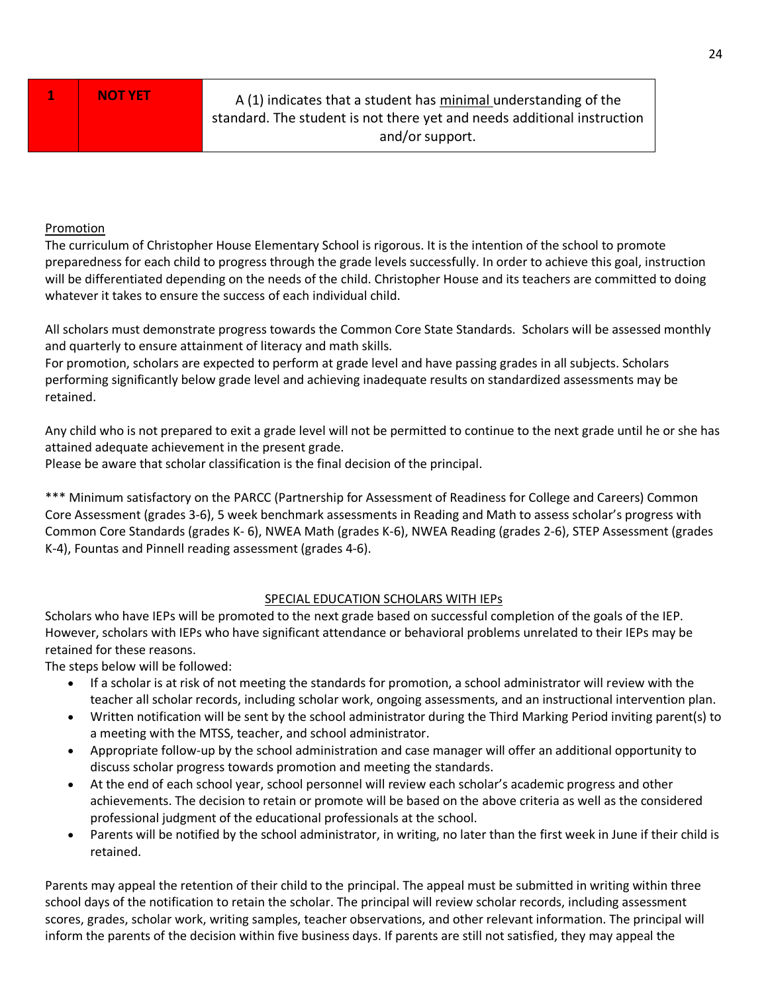**1 NOT YET** A (1) indicates that a student has minimal understanding of the standard. The student is not there yet and needs additional instruction and/or support.

## Promotion

The curriculum of Christopher House Elementary School is rigorous. It is the intention of the school to promote preparedness for each child to progress through the grade levels successfully. In order to achieve this goal, instruction will be differentiated depending on the needs of the child. Christopher House and its teachers are committed to doing whatever it takes to ensure the success of each individual child.

All scholars must demonstrate progress towards the Common Core State Standards. Scholars will be assessed monthly and quarterly to ensure attainment of literacy and math skills.

For promotion, scholars are expected to perform at grade level and have passing grades in all subjects. Scholars performing significantly below grade level and achieving inadequate results on standardized assessments may be retained.

Any child who is not prepared to exit a grade level will not be permitted to continue to the next grade until he or she has attained adequate achievement in the present grade.

Please be aware that scholar classification is the final decision of the principal.

\*\*\* Minimum satisfactory on the PARCC (Partnership for Assessment of Readiness for College and Careers) Common Core Assessment (grades 3-6), 5 week benchmark assessments in Reading and Math to assess scholar's progress with Common Core Standards (grades K- 6), NWEA Math (grades K-6), NWEA Reading (grades 2-6), STEP Assessment (grades K-4), Fountas and Pinnell reading assessment (grades 4-6).

## SPECIAL EDUCATION SCHOLARS WITH IEPs

Scholars who have IEPs will be promoted to the next grade based on successful completion of the goals of the IEP. However, scholars with IEPs who have significant attendance or behavioral problems unrelated to their IEPs may be retained for these reasons.

The steps below will be followed:

- If a scholar is at risk of not meeting the standards for promotion, a school administrator will review with the teacher all scholar records, including scholar work, ongoing assessments, and an instructional intervention plan.
- Written notification will be sent by the school administrator during the Third Marking Period inviting parent(s) to a meeting with the MTSS, teacher, and school administrator.
- Appropriate follow-up by the school administration and case manager will offer an additional opportunity to discuss scholar progress towards promotion and meeting the standards.
- At the end of each school year, school personnel will review each scholar's academic progress and other achievements. The decision to retain or promote will be based on the above criteria as well as the considered professional judgment of the educational professionals at the school.
- Parents will be notified by the school administrator, in writing, no later than the first week in June if their child is retained.

Parents may appeal the retention of their child to the principal. The appeal must be submitted in writing within three school days of the notification to retain the scholar. The principal will review scholar records, including assessment scores, grades, scholar work, writing samples, teacher observations, and other relevant information. The principal will inform the parents of the decision within five business days. If parents are still not satisfied, they may appeal the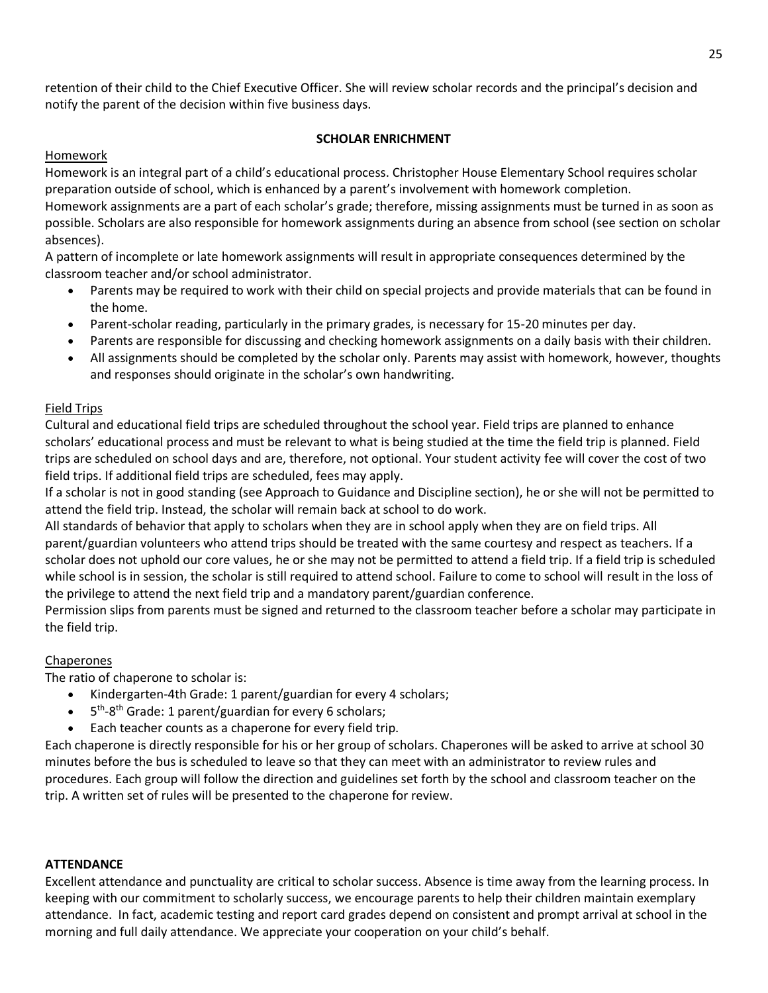retention of their child to the Chief Executive Officer. She will review scholar records and the principal's decision and notify the parent of the decision within five business days.

## **SCHOLAR ENRICHMENT**

## Homework

Homework is an integral part of a child's educational process. Christopher House Elementary School requires scholar preparation outside of school, which is enhanced by a parent's involvement with homework completion. Homework assignments are a part of each scholar's grade; therefore, missing assignments must be turned in as soon as possible. Scholars are also responsible for homework assignments during an absence from school (see section on scholar absences).

A pattern of incomplete or late homework assignments will result in appropriate consequences determined by the classroom teacher and/or school administrator.

- Parents may be required to work with their child on special projects and provide materials that can be found in the home.
- Parent-scholar reading, particularly in the primary grades, is necessary for 15-20 minutes per day.
- Parents are responsible for discussing and checking homework assignments on a daily basis with their children.
- All assignments should be completed by the scholar only. Parents may assist with homework, however, thoughts and responses should originate in the scholar's own handwriting.

## Field Trips

Cultural and educational field trips are scheduled throughout the school year. Field trips are planned to enhance scholars' educational process and must be relevant to what is being studied at the time the field trip is planned. Field trips are scheduled on school days and are, therefore, not optional. Your student activity fee will cover the cost of two field trips. If additional field trips are scheduled, fees may apply.

If a scholar is not in good standing (see Approach to Guidance and Discipline section), he or she will not be permitted to attend the field trip. Instead, the scholar will remain back at school to do work.

All standards of behavior that apply to scholars when they are in school apply when they are on field trips. All parent/guardian volunteers who attend trips should be treated with the same courtesy and respect as teachers. If a scholar does not uphold our core values, he or she may not be permitted to attend a field trip. If a field trip is scheduled while school is in session, the scholar is still required to attend school. Failure to come to school will result in the loss of the privilege to attend the next field trip and a mandatory parent/guardian conference.

Permission slips from parents must be signed and returned to the classroom teacher before a scholar may participate in the field trip.

## Chaperones

The ratio of chaperone to scholar is:

- Kindergarten-4th Grade: 1 parent/guardian for every 4 scholars;
- $\bullet$  5<sup>th</sup>-8<sup>th</sup> Grade: 1 parent/guardian for every 6 scholars;
- Each teacher counts as a chaperone for every field trip.

Each chaperone is directly responsible for his or her group of scholars. Chaperones will be asked to arrive at school 30 minutes before the bus is scheduled to leave so that they can meet with an administrator to review rules and procedures. Each group will follow the direction and guidelines set forth by the school and classroom teacher on the trip. A written set of rules will be presented to the chaperone for review.

## **ATTENDANCE**

Excellent attendance and punctuality are critical to scholar success. Absence is time away from the learning process. In keeping with our commitment to scholarly success, we encourage parents to help their children maintain exemplary attendance. In fact, academic testing and report card grades depend on consistent and prompt arrival at school in the morning and full daily attendance. We appreciate your cooperation on your child's behalf.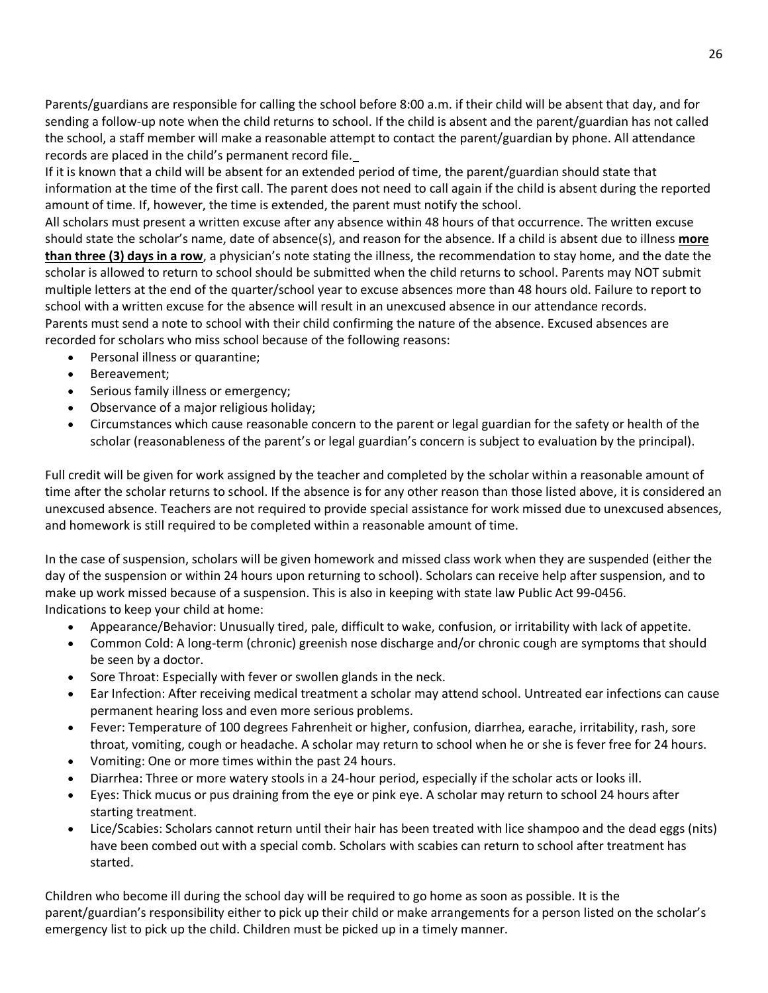Parents/guardians are responsible for calling the school before 8:00 a.m. if their child will be absent that day, and for sending a follow-up note when the child returns to school. If the child is absent and the parent/guardian has not called the school, a staff member will make a reasonable attempt to contact the parent/guardian by phone. All attendance records are placed in the child's permanent record file*.*

If it is known that a child will be absent for an extended period of time, the parent/guardian should state that information at the time of the first call. The parent does not need to call again if the child is absent during the reported amount of time. If, however, the time is extended, the parent must notify the school.

All scholars must present a written excuse after any absence within 48 hours of that occurrence. The written excuse should state the scholar's name, date of absence(s), and reason for the absence. If a child is absent due to illness **more than three (3) days in a row**, a physician's note stating the illness, the recommendation to stay home, and the date the scholar is allowed to return to school should be submitted when the child returns to school. Parents may NOT submit multiple letters at the end of the quarter/school year to excuse absences more than 48 hours old. Failure to report to school with a written excuse for the absence will result in an unexcused absence in our attendance records. Parents must send a note to school with their child confirming the nature of the absence. Excused absences are recorded for scholars who miss school because of the following reasons:

- Personal illness or quarantine;
- Bereavement;
- Serious family illness or emergency;
- Observance of a major religious holiday;
- Circumstances which cause reasonable concern to the parent or legal guardian for the safety or health of the scholar (reasonableness of the parent's or legal guardian's concern is subject to evaluation by the principal).

Full credit will be given for work assigned by the teacher and completed by the scholar within a reasonable amount of time after the scholar returns to school. If the absence is for any other reason than those listed above, it is considered an unexcused absence. Teachers are not required to provide special assistance for work missed due to unexcused absences, and homework is still required to be completed within a reasonable amount of time.

In the case of suspension, scholars will be given homework and missed class work when they are suspended (either the day of the suspension or within 24 hours upon returning to school). Scholars can receive help after suspension, and to make up work missed because of a suspension. This is also in keeping with state law Public Act 99-0456. Indications to keep your child at home:

- Appearance/Behavior: Unusually tired, pale, difficult to wake, confusion, or irritability with lack of appetite.
- Common Cold: A long-term (chronic) greenish nose discharge and/or chronic cough are symptoms that should be seen by a doctor.
- Sore Throat: Especially with fever or swollen glands in the neck.
- Ear Infection: After receiving medical treatment a scholar may attend school. Untreated ear infections can cause permanent hearing loss and even more serious problems.
- Fever: Temperature of 100 degrees Fahrenheit or higher, confusion, diarrhea, earache, irritability, rash, sore throat, vomiting, cough or headache. A scholar may return to school when he or she is fever free for 24 hours.
- Vomiting: One or more times within the past 24 hours.
- Diarrhea: Three or more watery stools in a 24-hour period, especially if the scholar acts or looks ill.
- Eyes: Thick mucus or pus draining from the eye or pink eye. A scholar may return to school 24 hours after starting treatment.
- Lice/Scabies: Scholars cannot return until their hair has been treated with lice shampoo and the dead eggs (nits) have been combed out with a special comb. Scholars with scabies can return to school after treatment has started.

Children who become ill during the school day will be required to go home as soon as possible. It is the parent/guardian's responsibility either to pick up their child or make arrangements for a person listed on the scholar's emergency list to pick up the child. Children must be picked up in a timely manner.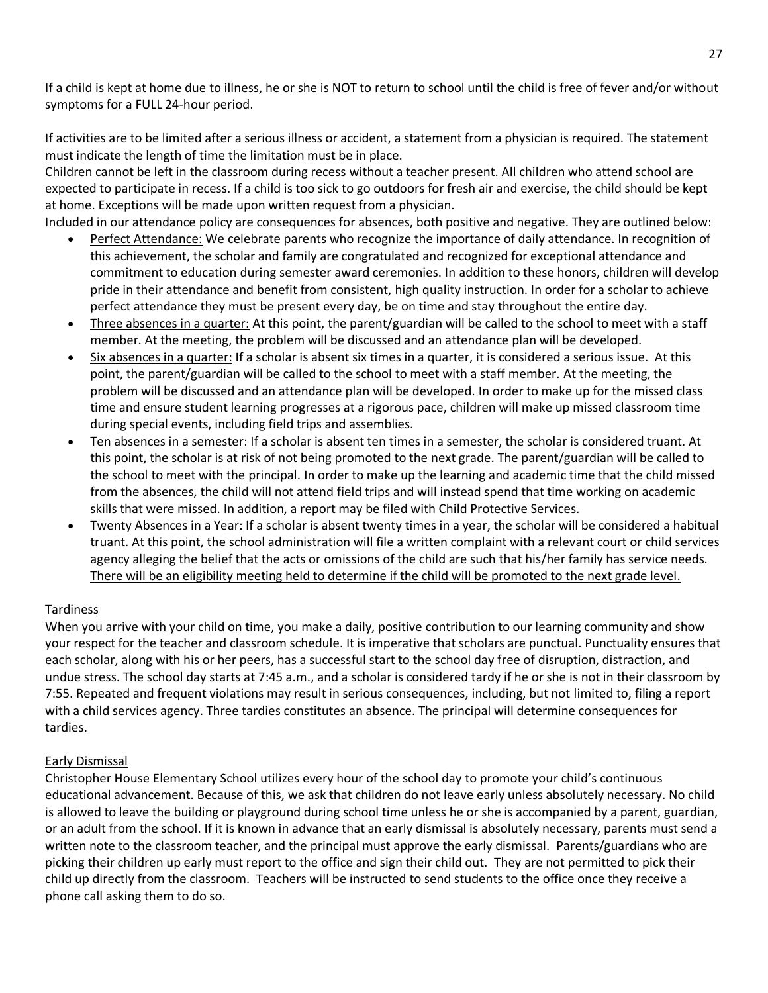If a child is kept at home due to illness, he or she is NOT to return to school until the child is free of fever and/or without symptoms for a FULL 24-hour period.

If activities are to be limited after a serious illness or accident, a statement from a physician is required. The statement must indicate the length of time the limitation must be in place.

Children cannot be left in the classroom during recess without a teacher present. All children who attend school are expected to participate in recess. If a child is too sick to go outdoors for fresh air and exercise, the child should be kept at home. Exceptions will be made upon written request from a physician.

Included in our attendance policy are consequences for absences, both positive and negative. They are outlined below:

- Perfect Attendance: We celebrate parents who recognize the importance of daily attendance. In recognition of this achievement, the scholar and family are congratulated and recognized for exceptional attendance and commitment to education during semester award ceremonies. In addition to these honors, children will develop pride in their attendance and benefit from consistent, high quality instruction. In order for a scholar to achieve perfect attendance they must be present every day, be on time and stay throughout the entire day.
- Three absences in a quarter: At this point, the parent/guardian will be called to the school to meet with a staff member. At the meeting, the problem will be discussed and an attendance plan will be developed.
- Six absences in a quarter: If a scholar is absent six times in a quarter, it is considered a serious issue. At this point, the parent/guardian will be called to the school to meet with a staff member. At the meeting, the problem will be discussed and an attendance plan will be developed. In order to make up for the missed class time and ensure student learning progresses at a rigorous pace, children will make up missed classroom time during special events, including field trips and assemblies.
- Ten absences in a semester: If a scholar is absent ten times in a semester, the scholar is considered truant. At this point, the scholar is at risk of not being promoted to the next grade. The parent/guardian will be called to the school to meet with the principal. In order to make up the learning and academic time that the child missed from the absences, the child will not attend field trips and will instead spend that time working on academic skills that were missed. In addition, a report may be filed with Child Protective Services.
- Twenty Absences in a Year: If a scholar is absent twenty times in a year, the scholar will be considered a habitual truant. At this point, the school administration will file a written complaint with a relevant court or child services agency alleging the belief that the acts or omissions of the child are such that his/her family has service needs. There will be an eligibility meeting held to determine if the child will be promoted to the next grade level.

## Tardiness

When you arrive with your child on time, you make a daily, positive contribution to our learning community and show your respect for the teacher and classroom schedule. It is imperative that scholars are punctual. Punctuality ensures that each scholar, along with his or her peers, has a successful start to the school day free of disruption, distraction, and undue stress. The school day starts at 7:45 a.m., and a scholar is considered tardy if he or she is not in their classroom by 7:55. Repeated and frequent violations may result in serious consequences, including, but not limited to, filing a report with a child services agency. Three tardies constitutes an absence. The principal will determine consequences for tardies.

## Early Dismissal

Christopher House Elementary School utilizes every hour of the school day to promote your child's continuous educational advancement. Because of this, we ask that children do not leave early unless absolutely necessary. No child is allowed to leave the building or playground during school time unless he or she is accompanied by a parent, guardian, or an adult from the school. If it is known in advance that an early dismissal is absolutely necessary, parents must send a written note to the classroom teacher, and the principal must approve the early dismissal. Parents/guardians who are picking their children up early must report to the office and sign their child out. They are not permitted to pick their child up directly from the classroom. Teachers will be instructed to send students to the office once they receive a phone call asking them to do so.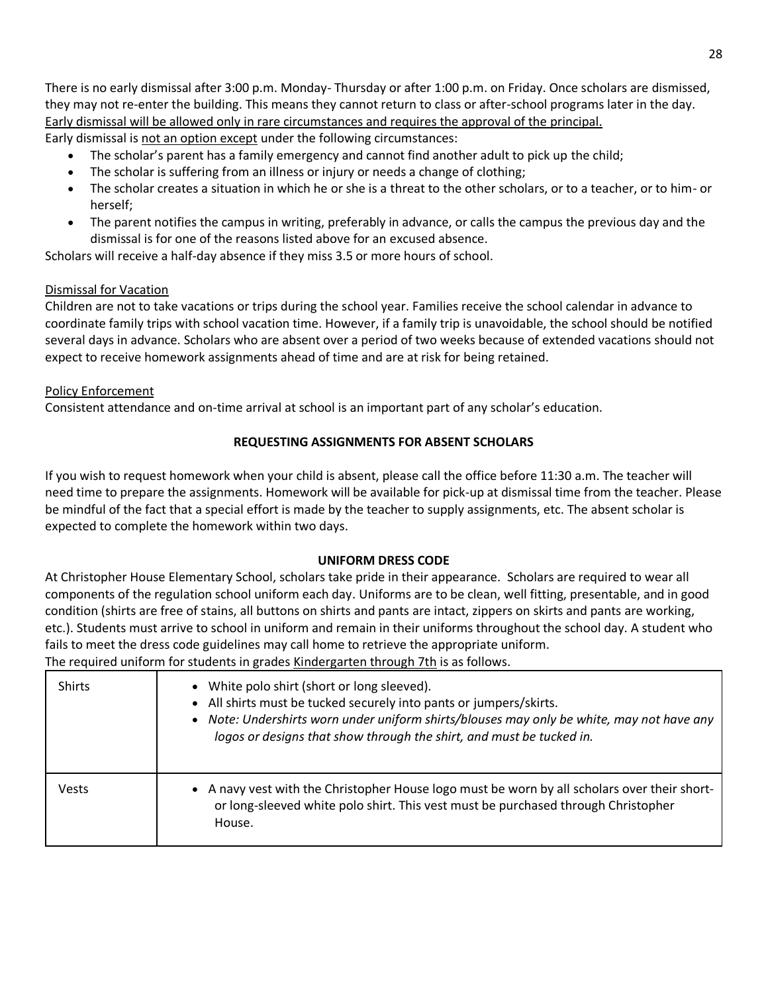There is no early dismissal after 3:00 p.m. Monday- Thursday or after 1:00 p.m. on Friday. Once scholars are dismissed, they may not re-enter the building. This means they cannot return to class or after-school programs later in the day. Early dismissal will be allowed only in rare circumstances and requires the approval of the principal. Early dismissal is not an option except under the following circumstances:

- The scholar's parent has a family emergency and cannot find another adult to pick up the child;
- The scholar is suffering from an illness or injury or needs a change of clothing;
- The scholar creates a situation in which he or she is a threat to the other scholars, or to a teacher, or to him- or herself;
- The parent notifies the campus in writing, preferably in advance, or calls the campus the previous day and the dismissal is for one of the reasons listed above for an excused absence.

Scholars will receive a half-day absence if they miss 3.5 or more hours of school.

## Dismissal for Vacation

Children are not to take vacations or trips during the school year. Families receive the school calendar in advance to coordinate family trips with school vacation time. However, if a family trip is unavoidable, the school should be notified several days in advance. Scholars who are absent over a period of two weeks because of extended vacations should not expect to receive homework assignments ahead of time and are at risk for being retained.

### Policy Enforcement

Consistent attendance and on-time arrival at school is an important part of any scholar's education.

### **REQUESTING ASSIGNMENTS FOR ABSENT SCHOLARS**

If you wish to request homework when your child is absent, please call the office before 11:30 a.m. The teacher will need time to prepare the assignments. Homework will be available for pick-up at dismissal time from the teacher. Please be mindful of the fact that a special effort is made by the teacher to supply assignments, etc. The absent scholar is expected to complete the homework within two days.

### **UNIFORM DRESS CODE**

At Christopher House Elementary School, scholars take pride in their appearance. Scholars are required to wear all components of the regulation school uniform each day. Uniforms are to be clean, well fitting, presentable, and in good condition (shirts are free of stains, all buttons on shirts and pants are intact, zippers on skirts and pants are working, etc.). Students must arrive to school in uniform and remain in their uniforms throughout the school day. A student who fails to meet the dress code guidelines may call home to retrieve the appropriate uniform. The required uniform for students in grades Kindergarten through 7th is as follows.

| <b>Shirts</b> | • White polo shirt (short or long sleeved).<br>• All shirts must be tucked securely into pants or jumpers/skirts.<br>• Note: Undershirts worn under uniform shirts/blouses may only be white, may not have any<br>logos or designs that show through the shirt, and must be tucked in. |
|---------------|----------------------------------------------------------------------------------------------------------------------------------------------------------------------------------------------------------------------------------------------------------------------------------------|
| Vests         | • A navy vest with the Christopher House logo must be worn by all scholars over their short-<br>or long-sleeved white polo shirt. This vest must be purchased through Christopher<br>House.                                                                                            |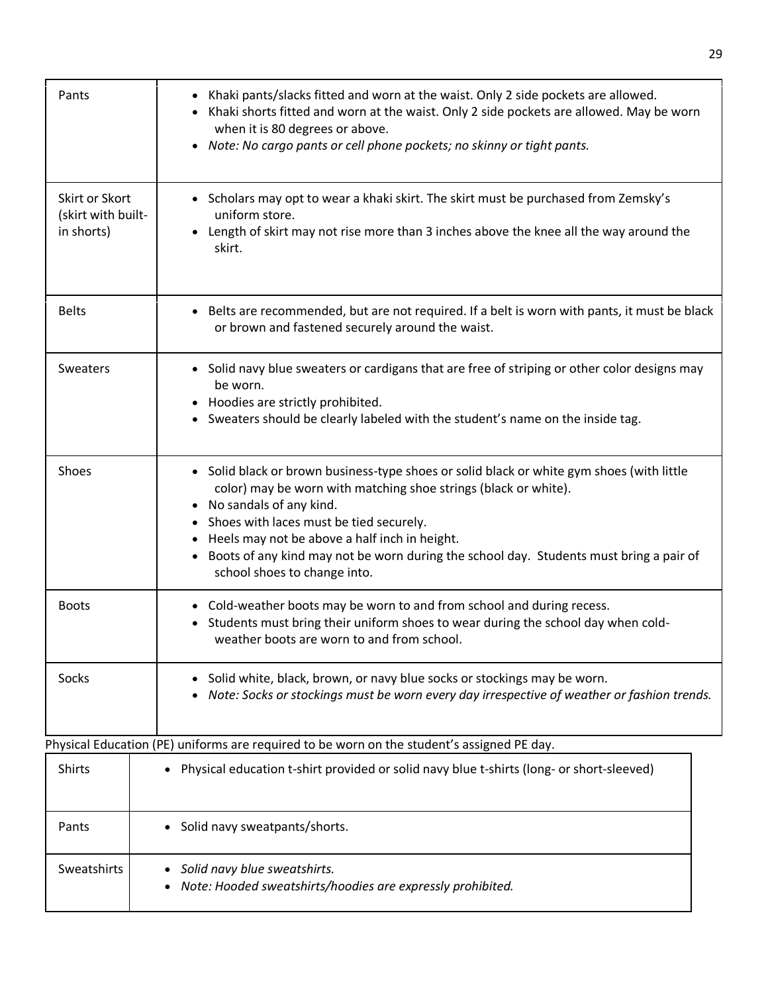| Pants                                              | Khaki pants/slacks fitted and worn at the waist. Only 2 side pockets are allowed.<br>Khaki shorts fitted and worn at the waist. Only 2 side pockets are allowed. May be worn<br>when it is 80 degrees or above.<br>Note: No cargo pants or cell phone pockets; no skinny or tight pants.<br>$\bullet$                                                                                                                                        |
|----------------------------------------------------|----------------------------------------------------------------------------------------------------------------------------------------------------------------------------------------------------------------------------------------------------------------------------------------------------------------------------------------------------------------------------------------------------------------------------------------------|
| Skirt or Skort<br>(skirt with built-<br>in shorts) | • Scholars may opt to wear a khaki skirt. The skirt must be purchased from Zemsky's<br>uniform store.<br>Length of skirt may not rise more than 3 inches above the knee all the way around the<br>$\bullet$<br>skirt.                                                                                                                                                                                                                        |
| <b>Belts</b>                                       | • Belts are recommended, but are not required. If a belt is worn with pants, it must be black<br>or brown and fastened securely around the waist.                                                                                                                                                                                                                                                                                            |
| Sweaters                                           | • Solid navy blue sweaters or cardigans that are free of striping or other color designs may<br>be worn.<br>Hoodies are strictly prohibited.<br>$\bullet$<br>Sweaters should be clearly labeled with the student's name on the inside tag.<br>$\bullet$                                                                                                                                                                                      |
| Shoes                                              | • Solid black or brown business-type shoes or solid black or white gym shoes (with little<br>color) may be worn with matching shoe strings (black or white).<br>No sandals of any kind.<br>$\bullet$<br>Shoes with laces must be tied securely.<br>Heels may not be above a half inch in height.<br>٠<br>Boots of any kind may not be worn during the school day. Students must bring a pair of<br>$\bullet$<br>school shoes to change into. |
| <b>Boots</b>                                       | Cold-weather boots may be worn to and from school and during recess.<br>$\bullet$<br>Students must bring their uniform shoes to wear during the school day when cold-<br>$\bullet$<br>weather boots are worn to and from school.                                                                                                                                                                                                             |
| Socks                                              | Solid white, black, brown, or navy blue socks or stockings may be worn.<br>Note: Socks or stockings must be worn every day irrespective of weather or fashion trends.                                                                                                                                                                                                                                                                        |
|                                                    | Physical Education (PE) uniforms are required to be worn on the student's assigned PE day.                                                                                                                                                                                                                                                                                                                                                   |
| Shirts                                             | Physical education t-shirt provided or solid navy blue t-shirts (long- or short-sleeved)<br>$\bullet$                                                                                                                                                                                                                                                                                                                                        |
| Pants                                              | Solid navy sweatpants/shorts.                                                                                                                                                                                                                                                                                                                                                                                                                |
| Sweatshirts                                        | Solid navy blue sweatshirts.<br>Note: Hooded sweatshirts/hoodies are expressly prohibited.                                                                                                                                                                                                                                                                                                                                                   |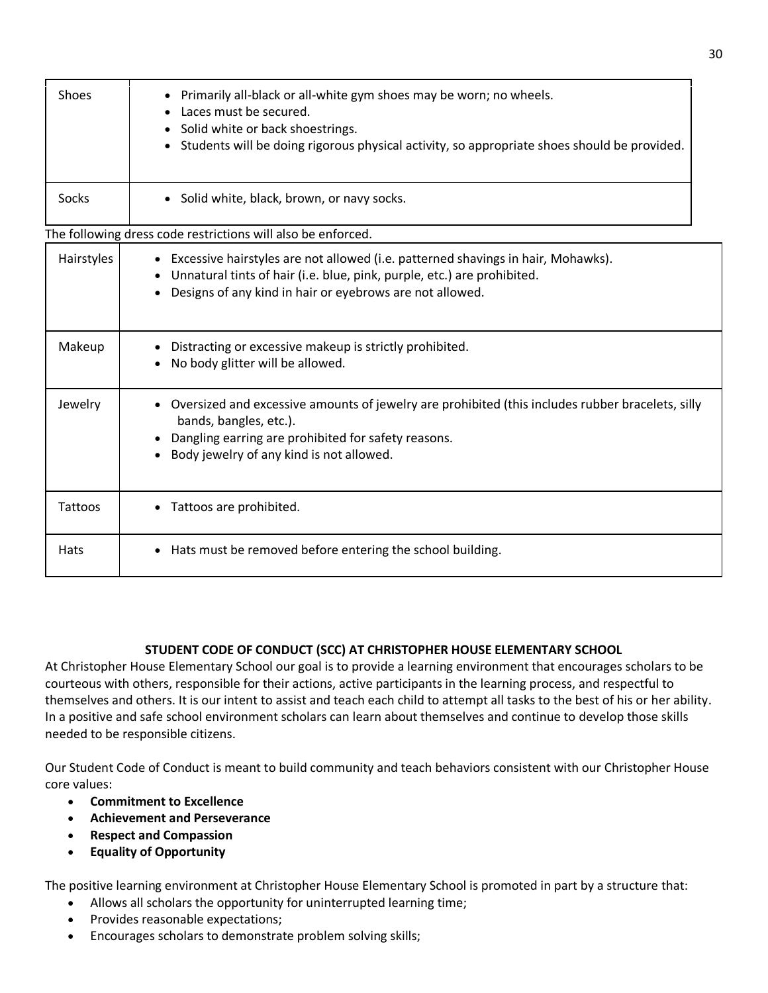| <b>Shoes</b> | Primarily all-black or all-white gym shoes may be worn; no wheels.<br>Laces must be secured.<br>Solid white or back shoestrings.<br>Students will be doing rigorous physical activity, so appropriate shoes should be provided.                         |
|--------------|---------------------------------------------------------------------------------------------------------------------------------------------------------------------------------------------------------------------------------------------------------|
| Socks        | • Solid white, black, brown, or navy socks.                                                                                                                                                                                                             |
|              | The following dress code restrictions will also be enforced.                                                                                                                                                                                            |
| Hairstyles   | • Excessive hairstyles are not allowed (i.e. patterned shavings in hair, Mohawks).<br>Unnatural tints of hair (i.e. blue, pink, purple, etc.) are prohibited.<br>Designs of any kind in hair or eyebrows are not allowed.                               |
| Makeup       | Distracting or excessive makeup is strictly prohibited.<br>٠<br>No body glitter will be allowed.                                                                                                                                                        |
| Jewelry      | Oversized and excessive amounts of jewelry are prohibited (this includes rubber bracelets, silly<br>$\bullet$<br>bands, bangles, etc.).<br>Dangling earring are prohibited for safety reasons.<br>$\bullet$<br>Body jewelry of any kind is not allowed. |
| Tattoos      | Tattoos are prohibited.                                                                                                                                                                                                                                 |
| Hats         | Hats must be removed before entering the school building.<br>$\bullet$                                                                                                                                                                                  |

## **STUDENT CODE OF CONDUCT (SCC) AT CHRISTOPHER HOUSE ELEMENTARY SCHOOL**

At Christopher House Elementary School our goal is to provide a learning environment that encourages scholars to be courteous with others, responsible for their actions, active participants in the learning process, and respectful to themselves and others. It is our intent to assist and teach each child to attempt all tasks to the best of his or her ability. In a positive and safe school environment scholars can learn about themselves and continue to develop those skills needed to be responsible citizens.

Our Student Code of Conduct is meant to build community and teach behaviors consistent with our Christopher House core values:

- **Commitment to Excellence**
- **Achievement and Perseverance**
- **Respect and Compassion**
- **Equality of Opportunity**

The positive learning environment at Christopher House Elementary School is promoted in part by a structure that:

- Allows all scholars the opportunity for uninterrupted learning time;
- Provides reasonable expectations;
- Encourages scholars to demonstrate problem solving skills;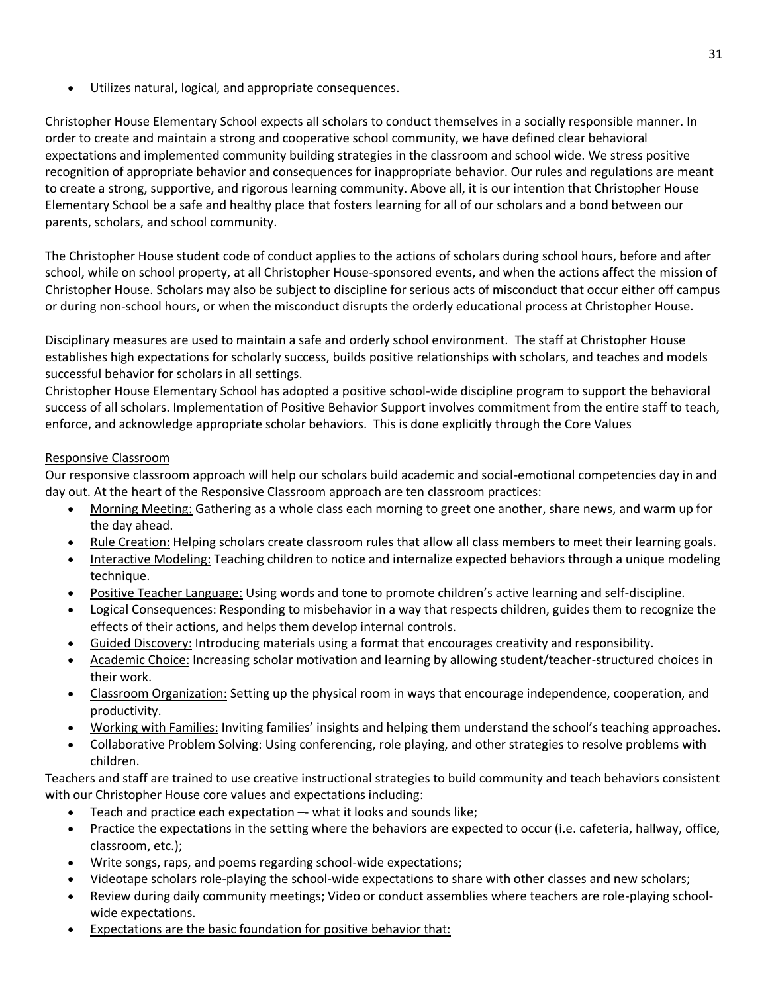Utilizes natural, logical, and appropriate consequences.

Christopher House Elementary School expects all scholars to conduct themselves in a socially responsible manner. In order to create and maintain a strong and cooperative school community, we have defined clear behavioral expectations and implemented community building strategies in the classroom and school wide. We stress positive recognition of appropriate behavior and consequences for inappropriate behavior. Our rules and regulations are meant to create a strong, supportive, and rigorous learning community. Above all, it is our intention that Christopher House Elementary School be a safe and healthy place that fosters learning for all of our scholars and a bond between our parents, scholars, and school community.

The Christopher House student code of conduct applies to the actions of scholars during school hours, before and after school, while on school property, at all Christopher House-sponsored events, and when the actions affect the mission of Christopher House. Scholars may also be subject to discipline for serious acts of misconduct that occur either off campus or during non-school hours, or when the misconduct disrupts the orderly educational process at Christopher House.

Disciplinary measures are used to maintain a safe and orderly school environment. The staff at Christopher House establishes high expectations for scholarly success, builds positive relationships with scholars, and teaches and models successful behavior for scholars in all settings.

Christopher House Elementary School has adopted a positive school-wide discipline program to support the behavioral success of all scholars. Implementation of Positive Behavior Support involves commitment from the entire staff to teach, enforce, and acknowledge appropriate scholar behaviors. This is done explicitly through the Core Values

## Responsive Classroom

Our responsive classroom approach will help our scholars build academic and social-emotional competencies day in and day out. At the heart of the Responsive Classroom approach are ten classroom practices:

- Morning Meeting: Gathering as a whole class each morning to greet one another, share news, and warm up for the day ahead.
- Rule Creation: Helping scholars create classroom rules that allow all class members to meet their learning goals.
- Interactive Modeling: Teaching children to notice and internalize expected behaviors through a unique modeling technique.
- Positive Teacher Language: Using words and tone to promote children's active learning and self-discipline.
- Logical Consequences: Responding to misbehavior in a way that respects children, guides them to recognize the effects of their actions, and helps them develop internal controls.
- Guided Discovery: Introducing materials using a format that encourages creativity and responsibility.
- Academic Choice: Increasing scholar motivation and learning by allowing student/teacher-structured choices in their work.
- Classroom Organization: Setting up the physical room in ways that encourage independence, cooperation, and productivity.
- Working with Families: Inviting families' insights and helping them understand the school's teaching approaches.
- Collaborative Problem Solving: Using conferencing, role playing, and other strategies to resolve problems with children.

Teachers and staff are trained to use creative instructional strategies to build community and teach behaviors consistent with our Christopher House core values and expectations including:

- Teach and practice each expectation –- what it looks and sounds like;
- Practice the expectations in the setting where the behaviors are expected to occur (i.e. cafeteria, hallway, office, classroom, etc.);
- Write songs, raps, and poems regarding school-wide expectations;
- Videotape scholars role-playing the school-wide expectations to share with other classes and new scholars;
- Review during daily community meetings; Video or conduct assemblies where teachers are role-playing schoolwide expectations.
- Expectations are the basic foundation for positive behavior that: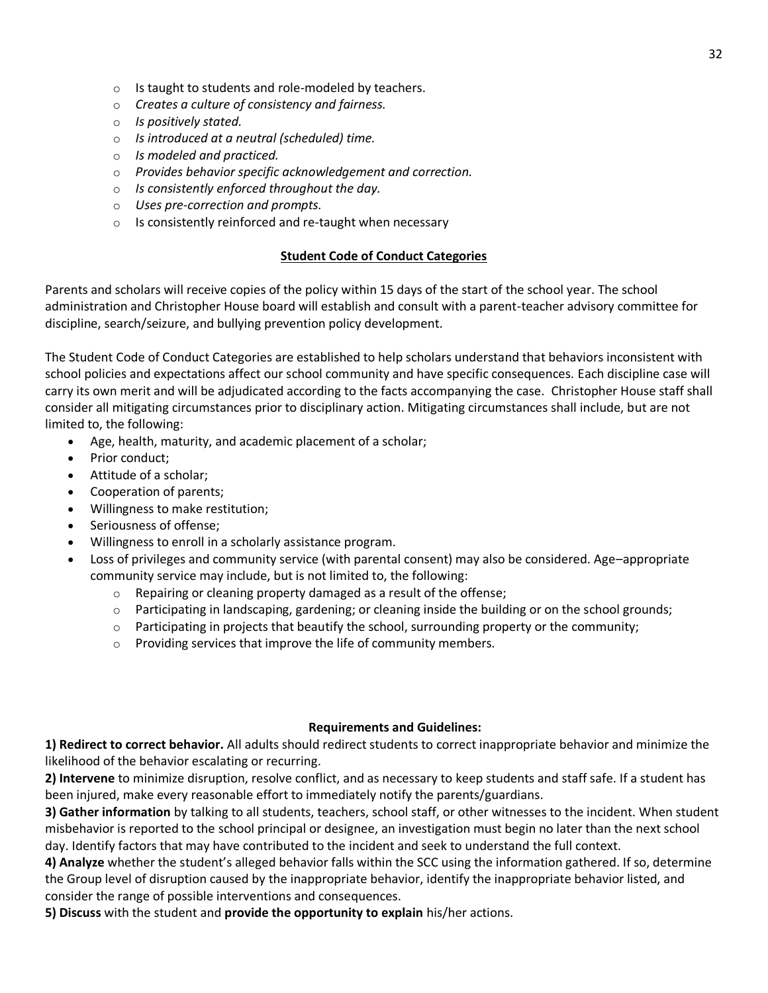- o Is taught to students and role-modeled by teachers.
- o *Creates a culture of consistency and fairness.*
- o *Is positively stated.*
- o *Is introduced at a neutral (scheduled) time.*
- o *Is modeled and practiced.*
- o *Provides behavior specific acknowledgement and correction.*
- o *Is consistently enforced throughout the day.*
- o *Uses pre-correction and prompts.*
- o Is consistently reinforced and re-taught when necessary

### **Student Code of Conduct Categories**

Parents and scholars will receive copies of the policy within 15 days of the start of the school year. The school administration and Christopher House board will establish and consult with a parent-teacher advisory committee for discipline, search/seizure, and bullying prevention policy development.

The Student Code of Conduct Categories are established to help scholars understand that behaviors inconsistent with school policies and expectations affect our school community and have specific consequences. Each discipline case will carry its own merit and will be adjudicated according to the facts accompanying the case. Christopher House staff shall consider all mitigating circumstances prior to disciplinary action. Mitigating circumstances shall include, but are not limited to, the following:

- Age, health, maturity, and academic placement of a scholar;
- Prior conduct;
- Attitude of a scholar;
- Cooperation of parents;
- Willingness to make restitution;
- Seriousness of offense;
- Willingness to enroll in a scholarly assistance program.
- Loss of privileges and community service (with parental consent) may also be considered. Age–appropriate community service may include, but is not limited to, the following:
	- o Repairing or cleaning property damaged as a result of the offense;
	- o Participating in landscaping, gardening; or cleaning inside the building or on the school grounds;
	- $\circ$  Participating in projects that beautify the school, surrounding property or the community;
	- o Providing services that improve the life of community members.

### **Requirements and Guidelines:**

**1) Redirect to correct behavior.** All adults should redirect students to correct inappropriate behavior and minimize the likelihood of the behavior escalating or recurring.

**2) Intervene** to minimize disruption, resolve conflict, and as necessary to keep students and staff safe. If a student has been injured, make every reasonable effort to immediately notify the parents/guardians.

**3) Gather information** by talking to all students, teachers, school staff, or other witnesses to the incident. When student misbehavior is reported to the school principal or designee, an investigation must begin no later than the next school day. Identify factors that may have contributed to the incident and seek to understand the full context.

**4) Analyze** whether the student's alleged behavior falls within the SCC using the information gathered. If so, determine the Group level of disruption caused by the inappropriate behavior, identify the inappropriate behavior listed, and consider the range of possible interventions and consequences.

**5) Discuss** with the student and **provide the opportunity to explain** his/her actions.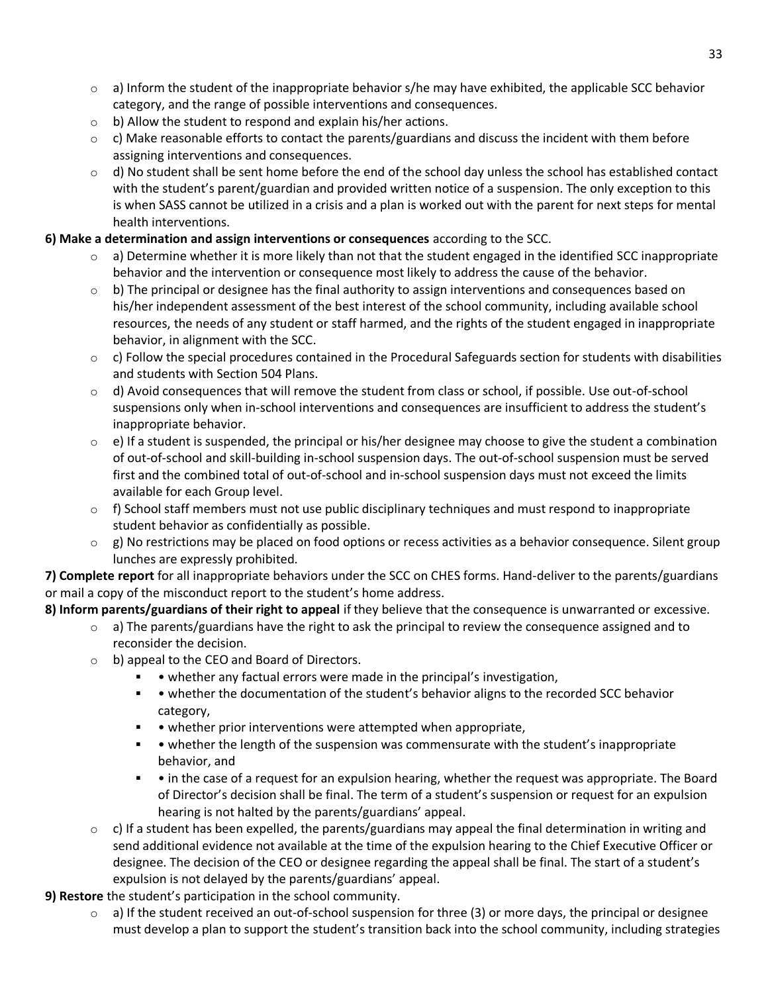- $\circ$  a) Inform the student of the inappropriate behavior s/he may have exhibited, the applicable SCC behavior category, and the range of possible interventions and consequences.
- o b) Allow the student to respond and explain his/her actions.
- $\circ$  c) Make reasonable efforts to contact the parents/guardians and discuss the incident with them before assigning interventions and consequences.
- $\circ$  d) No student shall be sent home before the end of the school day unless the school has established contact with the student's parent/guardian and provided written notice of a suspension. The only exception to this is when SASS cannot be utilized in a crisis and a plan is worked out with the parent for next steps for mental health interventions.

## **6) Make a determination and assign interventions or consequences** according to the SCC.

- $\circ$  a) Determine whether it is more likely than not that the student engaged in the identified SCC inappropriate behavior and the intervention or consequence most likely to address the cause of the behavior.
- $\circ$  b) The principal or designee has the final authority to assign interventions and consequences based on his/her independent assessment of the best interest of the school community, including available school resources, the needs of any student or staff harmed, and the rights of the student engaged in inappropriate behavior, in alignment with the SCC.
- $\circ$  c) Follow the special procedures contained in the Procedural Safeguards section for students with disabilities and students with Section 504 Plans.
- $\circ$  d) Avoid consequences that will remove the student from class or school, if possible. Use out-of-school suspensions only when in-school interventions and consequences are insufficient to address the student's inappropriate behavior.
- $\circ$  e) If a student is suspended, the principal or his/her designee may choose to give the student a combination of out-of-school and skill-building in-school suspension days. The out-of-school suspension must be served first and the combined total of out-of-school and in-school suspension days must not exceed the limits available for each Group level.
- o f) School staff members must not use public disciplinary techniques and must respond to inappropriate student behavior as confidentially as possible.
- $\circ$  g) No restrictions may be placed on food options or recess activities as a behavior consequence. Silent group lunches are expressly prohibited.

**7) Complete report** for all inappropriate behaviors under the SCC on CHES forms. Hand-deliver to the parents/guardians or mail a copy of the misconduct report to the student's home address.

**8) Inform parents/guardians of their right to appeal** if they believe that the consequence is unwarranted or excessive.

- $\circ$  a) The parents/guardians have the right to ask the principal to review the consequence assigned and to reconsider the decision.
- o b) appeal to the CEO and Board of Directors.
	- • whether any factual errors were made in the principal's investigation,
	- • whether the documentation of the student's behavior aligns to the recorded SCC behavior category,
	- • whether prior interventions were attempted when appropriate,
	- • whether the length of the suspension was commensurate with the student's inappropriate behavior, and
	- • in the case of a request for an expulsion hearing, whether the request was appropriate. The Board of Director's decision shall be final. The term of a student's suspension or request for an expulsion hearing is not halted by the parents/guardians' appeal.
- $\circ$  c) If a student has been expelled, the parents/guardians may appeal the final determination in writing and send additional evidence not available at the time of the expulsion hearing to the Chief Executive Officer or designee. The decision of the CEO or designee regarding the appeal shall be final. The start of a student's expulsion is not delayed by the parents/guardians' appeal.

**9) Restore** the student's participation in the school community.

 $\circ$  a) If the student received an out-of-school suspension for three (3) or more days, the principal or designee must develop a plan to support the student's transition back into the school community, including strategies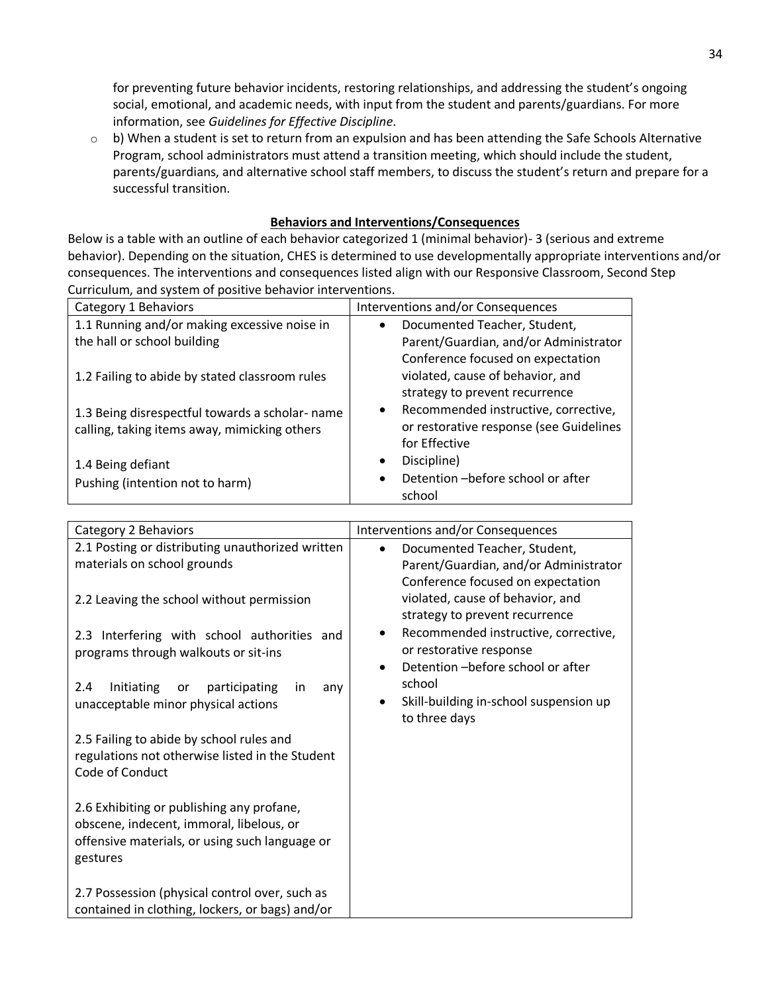for preventing future behavior incidents, restoring relationships, and addressing the student's ongoing social, emotional, and academic needs, with input from the student and parents/guardians. For more information, see *Guidelines for Effective Discipline*.

 $\circ$  b) When a student is set to return from an expulsion and has been attending the Safe Schools Alternative Program, school administrators must attend a transition meeting, which should include the student, parents/guardians, and alternative school staff members, to discuss the student's return and prepare for a successful transition.

### **Behaviors and Interventions/Consequences**

Below is a table with an outline of each behavior categorized 1 (minimal behavior)- 3 (serious and extreme behavior). Depending on the situation, CHES is determined to use developmentally appropriate interventions and/or consequences. The interventions and consequences listed align with our Responsive Classroom, Second Step Curriculum, and system of positive behavior interventions.

| Category 1 Behaviors                                                                            | Interventions and/or Consequences                                                                       |
|-------------------------------------------------------------------------------------------------|---------------------------------------------------------------------------------------------------------|
| 1.1 Running and/or making excessive noise in                                                    | Documented Teacher, Student,<br>$\bullet$                                                               |
| the hall or school building                                                                     | Parent/Guardian, and/or Administrator                                                                   |
| 1.2 Failing to abide by stated classroom rules                                                  | Conference focused on expectation<br>violated, cause of behavior, and<br>strategy to prevent recurrence |
| 1.3 Being disrespectful towards a scholar- name<br>calling, taking items away, mimicking others | Recommended instructive, corrective,<br>٠<br>or restorative response (see Guidelines<br>for Effective   |
| 1.4 Being defiant<br>Pushing (intention not to harm)                                            | Discipline)<br>$\bullet$<br>Detention - before school or after<br>$\bullet$<br>school                   |

| Category 2 Behaviors                                                                                                                                | Interventions and/or Consequences                                                                                       |
|-----------------------------------------------------------------------------------------------------------------------------------------------------|-------------------------------------------------------------------------------------------------------------------------|
| 2.1 Posting or distributing unauthorized written<br>materials on school grounds                                                                     | Documented Teacher, Student,<br>$\bullet$<br>Parent/Guardian, and/or Administrator                                      |
| 2.2 Leaving the school without permission                                                                                                           | Conference focused on expectation<br>violated, cause of behavior, and<br>strategy to prevent recurrence                 |
| 2.3 Interfering with school authorities and<br>programs through walkouts or sit-ins                                                                 | Recommended instructive, corrective,<br>٠<br>or restorative response<br>Detention - before school or after<br>$\bullet$ |
| Initiating<br>participating<br>2.4<br>or<br>in<br>any<br>unacceptable minor physical actions                                                        | school<br>Skill-building in-school suspension up<br>to three days                                                       |
| 2.5 Failing to abide by school rules and<br>regulations not otherwise listed in the Student<br>Code of Conduct                                      |                                                                                                                         |
| 2.6 Exhibiting or publishing any profane,<br>obscene, indecent, immoral, libelous, or<br>offensive materials, or using such language or<br>gestures |                                                                                                                         |
| 2.7 Possession (physical control over, such as<br>contained in clothing, lockers, or bags) and/or                                                   |                                                                                                                         |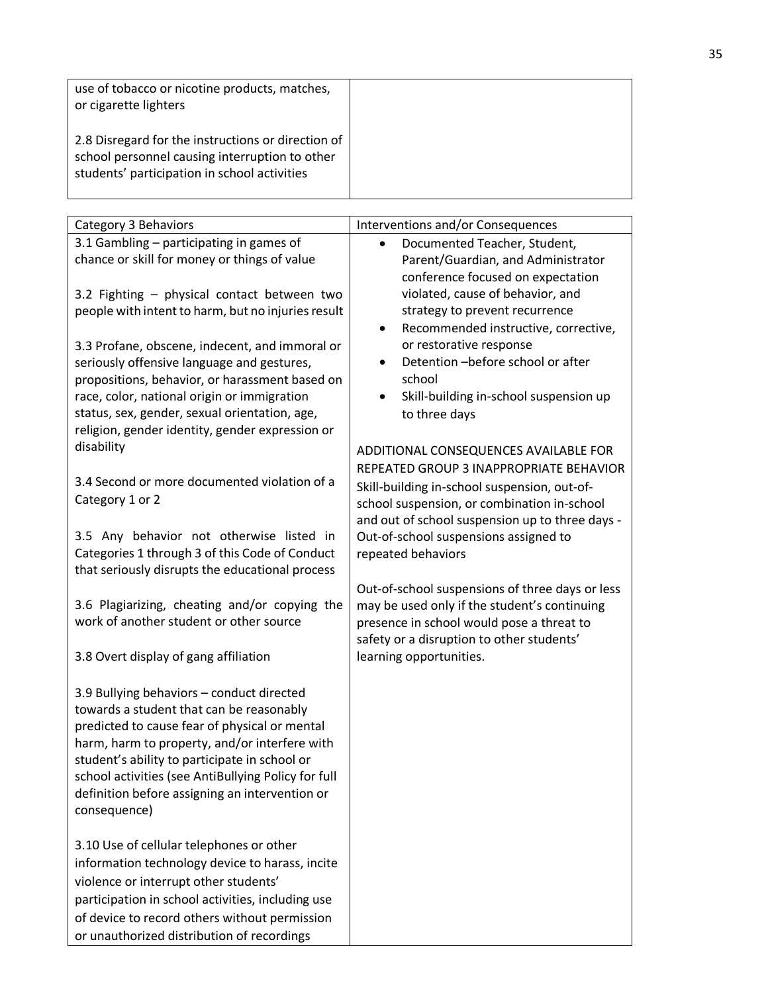| use of tobacco or nicotine products, matches,<br>or cigarette lighters                                                                               |  |
|------------------------------------------------------------------------------------------------------------------------------------------------------|--|
| 2.8 Disregard for the instructions or direction of<br>school personnel causing interruption to other<br>students' participation in school activities |  |

| Category 3 Behaviors                                                                                                                                                                                                                                                                                                                                              | Interventions and/or Consequences                                                                                                                                                                                                  |
|-------------------------------------------------------------------------------------------------------------------------------------------------------------------------------------------------------------------------------------------------------------------------------------------------------------------------------------------------------------------|------------------------------------------------------------------------------------------------------------------------------------------------------------------------------------------------------------------------------------|
| 3.1 Gambling - participating in games of<br>chance or skill for money or things of value                                                                                                                                                                                                                                                                          | Documented Teacher, Student,<br>Parent/Guardian, and Administrator<br>conference focused on expectation                                                                                                                            |
| 3.2 Fighting - physical contact between two<br>people with intent to harm, but no injuries result                                                                                                                                                                                                                                                                 | violated, cause of behavior, and<br>strategy to prevent recurrence<br>Recommended instructive, corrective,<br>٠                                                                                                                    |
| 3.3 Profane, obscene, indecent, and immoral or<br>seriously offensive language and gestures,<br>propositions, behavior, or harassment based on<br>race, color, national origin or immigration<br>status, sex, gender, sexual orientation, age,<br>religion, gender identity, gender expression or                                                                 | or restorative response<br>Detention-before school or after<br>school<br>Skill-building in-school suspension up<br>٠<br>to three days                                                                                              |
| disability                                                                                                                                                                                                                                                                                                                                                        | ADDITIONAL CONSEQUENCES AVAILABLE FOR                                                                                                                                                                                              |
| 3.4 Second or more documented violation of a<br>Category 1 or 2<br>3.5 Any behavior not otherwise listed in                                                                                                                                                                                                                                                       | REPEATED GROUP 3 INAPPROPRIATE BEHAVIOR<br>Skill-building in-school suspension, out-of-<br>school suspension, or combination in-school<br>and out of school suspension up to three days -<br>Out-of-school suspensions assigned to |
| Categories 1 through 3 of this Code of Conduct<br>that seriously disrupts the educational process                                                                                                                                                                                                                                                                 | repeated behaviors                                                                                                                                                                                                                 |
| 3.6 Plagiarizing, cheating and/or copying the<br>work of another student or other source                                                                                                                                                                                                                                                                          | Out-of-school suspensions of three days or less<br>may be used only if the student's continuing<br>presence in school would pose a threat to<br>safety or a disruption to other students'                                          |
| 3.8 Overt display of gang affiliation                                                                                                                                                                                                                                                                                                                             | learning opportunities.                                                                                                                                                                                                            |
| 3.9 Bullying behaviors - conduct directed<br>towards a student that can be reasonably<br>predicted to cause fear of physical or mental<br>harm, harm to property, and/or interfere with<br>student's ability to participate in school or<br>school activities (see AntiBullying Policy for full<br>definition before assigning an intervention or<br>consequence) |                                                                                                                                                                                                                                    |
| 3.10 Use of cellular telephones or other<br>information technology device to harass, incite<br>violence or interrupt other students'<br>participation in school activities, including use<br>of device to record others without permission                                                                                                                        |                                                                                                                                                                                                                                    |
| or unauthorized distribution of recordings                                                                                                                                                                                                                                                                                                                        |                                                                                                                                                                                                                                    |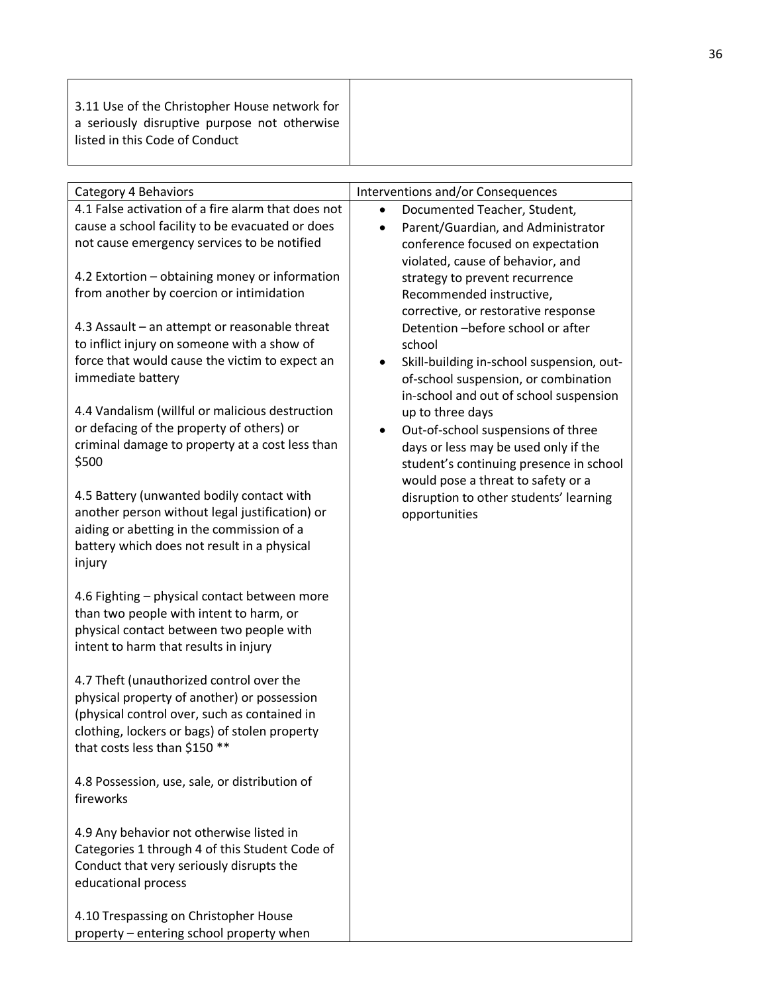|--|

| Category 4 Behaviors                                                                     |           | Interventions and/or Consequences         |
|------------------------------------------------------------------------------------------|-----------|-------------------------------------------|
| 4.1 False activation of a fire alarm that does not                                       | $\bullet$ | Documented Teacher, Student,              |
| cause a school facility to be evacuated or does                                          | $\bullet$ | Parent/Guardian, and Administrator        |
| not cause emergency services to be notified                                              |           | conference focused on expectation         |
|                                                                                          |           | violated, cause of behavior, and          |
| 4.2 Extortion - obtaining money or information                                           |           | strategy to prevent recurrence            |
| from another by coercion or intimidation                                                 |           | Recommended instructive,                  |
|                                                                                          |           | corrective, or restorative response       |
| 4.3 Assault - an attempt or reasonable threat                                            |           | Detention-before school or after          |
| to inflict injury on someone with a show of                                              |           | school                                    |
| force that would cause the victim to expect an                                           |           | Skill-building in-school suspension, out- |
| immediate battery                                                                        |           | of-school suspension, or combination      |
|                                                                                          |           | in-school and out of school suspension    |
| 4.4 Vandalism (willful or malicious destruction                                          |           | up to three days                          |
| or defacing of the property of others) or                                                | $\bullet$ | Out-of-school suspensions of three        |
| criminal damage to property at a cost less than                                          |           | days or less may be used only if the      |
| \$500                                                                                    |           | student's continuing presence in school   |
|                                                                                          |           | would pose a threat to safety or a        |
| 4.5 Battery (unwanted bodily contact with                                                |           | disruption to other students' learning    |
| another person without legal justification) or                                           |           | opportunities                             |
| aiding or abetting in the commission of a<br>battery which does not result in a physical |           |                                           |
| injury                                                                                   |           |                                           |
|                                                                                          |           |                                           |
| 4.6 Fighting - physical contact between more                                             |           |                                           |
| than two people with intent to harm, or                                                  |           |                                           |
| physical contact between two people with                                                 |           |                                           |
| intent to harm that results in injury                                                    |           |                                           |
|                                                                                          |           |                                           |
| 4.7 Theft (unauthorized control over the                                                 |           |                                           |
| physical property of another) or possession                                              |           |                                           |
| (physical control over, such as contained in                                             |           |                                           |
| clothing, lockers or bags) of stolen property                                            |           |                                           |
| that costs less than \$150 **                                                            |           |                                           |
| 4.8 Possession, use, sale, or distribution of                                            |           |                                           |
| fireworks                                                                                |           |                                           |
|                                                                                          |           |                                           |
| 4.9 Any behavior not otherwise listed in                                                 |           |                                           |
| Categories 1 through 4 of this Student Code of                                           |           |                                           |
| Conduct that very seriously disrupts the                                                 |           |                                           |
| educational process                                                                      |           |                                           |
|                                                                                          |           |                                           |
| 4.10 Trespassing on Christopher House<br>property - entering school property when        |           |                                           |
|                                                                                          |           |                                           |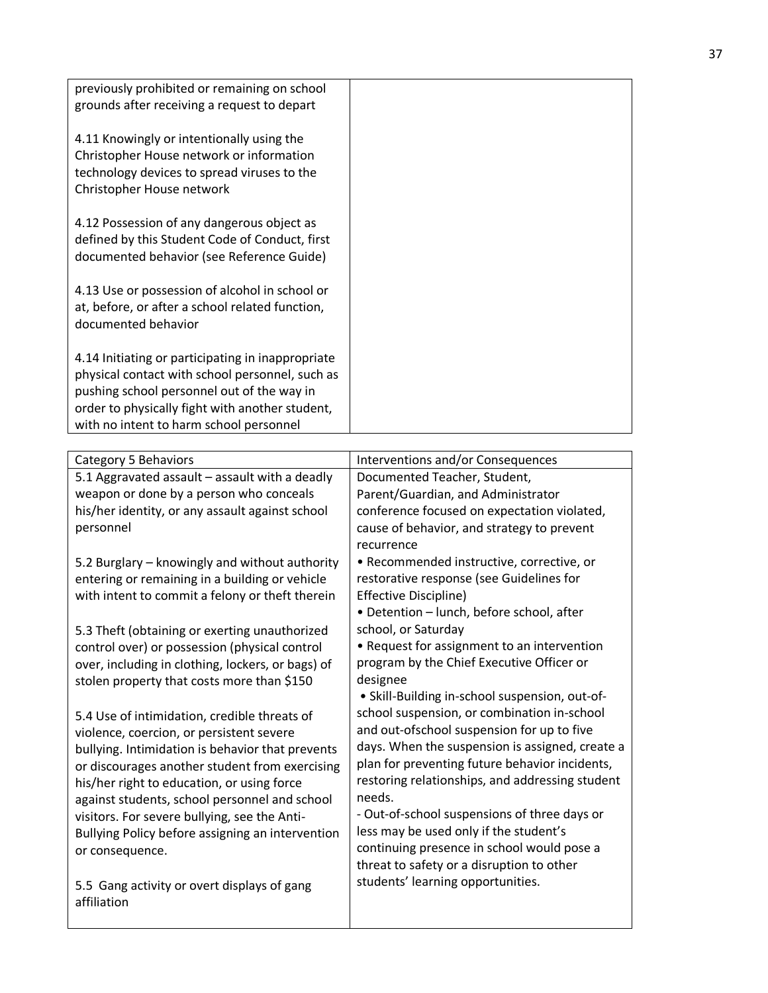| previously prohibited or remaining on school<br>grounds after receiving a request to depart                                                                                                                                                      |  |
|--------------------------------------------------------------------------------------------------------------------------------------------------------------------------------------------------------------------------------------------------|--|
| 4.11 Knowingly or intentionally using the<br>Christopher House network or information<br>technology devices to spread viruses to the<br>Christopher House network                                                                                |  |
| 4.12 Possession of any dangerous object as<br>defined by this Student Code of Conduct, first<br>documented behavior (see Reference Guide)                                                                                                        |  |
| 4.13 Use or possession of alcohol in school or<br>at, before, or after a school related function,<br>documented behavior                                                                                                                         |  |
| 4.14 Initiating or participating in inappropriate<br>physical contact with school personnel, such as<br>pushing school personnel out of the way in<br>order to physically fight with another student,<br>with no intent to harm school personnel |  |

| Category 5 Behaviors                              | Interventions and/or Consequences                                                      |
|---------------------------------------------------|----------------------------------------------------------------------------------------|
| 5.1 Aggravated assault - assault with a deadly    | Documented Teacher, Student,                                                           |
| weapon or done by a person who conceals           | Parent/Guardian, and Administrator                                                     |
| his/her identity, or any assault against school   | conference focused on expectation violated,                                            |
| personnel                                         | cause of behavior, and strategy to prevent                                             |
|                                                   | recurrence                                                                             |
| 5.2 Burglary – knowingly and without authority    | • Recommended instructive, corrective, or                                              |
| entering or remaining in a building or vehicle    | restorative response (see Guidelines for                                               |
| with intent to commit a felony or theft therein   | Effective Discipline)                                                                  |
|                                                   | • Detention - lunch, before school, after                                              |
| 5.3 Theft (obtaining or exerting unauthorized     | school, or Saturday                                                                    |
| control over) or possession (physical control     | • Request for assignment to an intervention                                            |
| over, including in clothing, lockers, or bags) of | program by the Chief Executive Officer or                                              |
| stolen property that costs more than \$150        | designee                                                                               |
|                                                   | • Skill-Building in-school suspension, out-of-                                         |
| 5.4 Use of intimidation, credible threats of      | school suspension, or combination in-school                                            |
| violence, coercion, or persistent severe          | and out-ofschool suspension for up to five                                             |
| bullying. Intimidation is behavior that prevents  | days. When the suspension is assigned, create a                                        |
| or discourages another student from exercising    | plan for preventing future behavior incidents,                                         |
| his/her right to education, or using force        | restoring relationships, and addressing student                                        |
| against students, school personnel and school     | needs.                                                                                 |
| visitors. For severe bullying, see the Anti-      | - Out-of-school suspensions of three days or<br>less may be used only if the student's |
| Bullying Policy before assigning an intervention  | continuing presence in school would pose a                                             |
| or consequence.                                   | threat to safety or a disruption to other                                              |
|                                                   | students' learning opportunities.                                                      |
| 5.5 Gang activity or overt displays of gang       |                                                                                        |
| affiliation                                       |                                                                                        |
|                                                   |                                                                                        |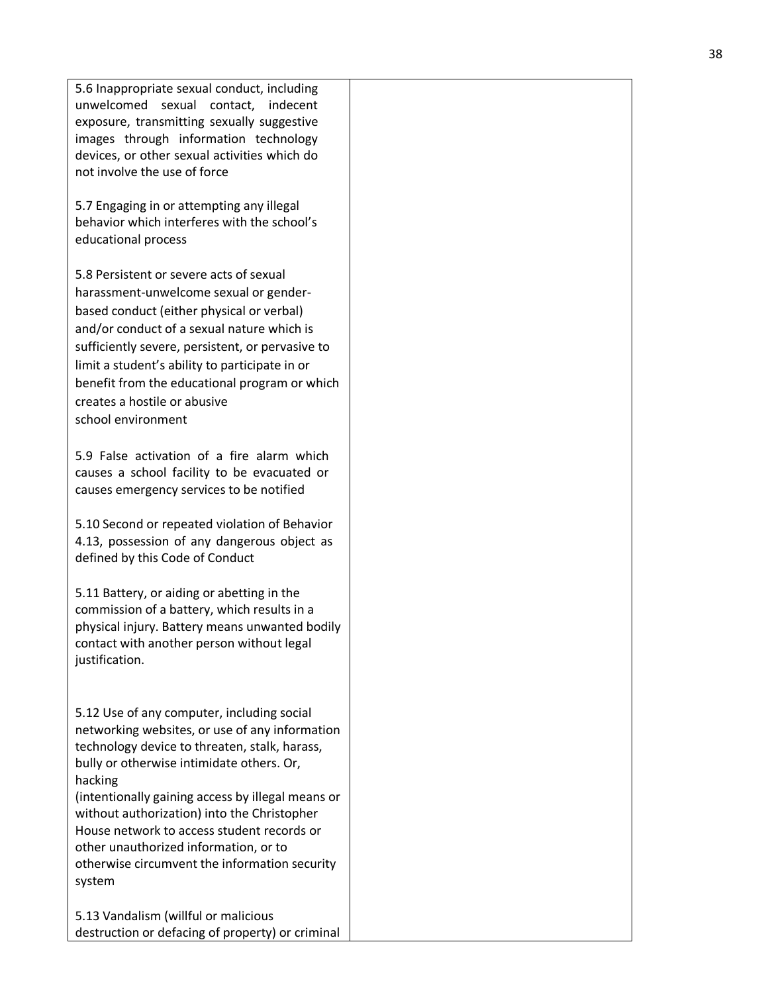5.6 Inappropriate sexual conduct, including unwelcomed sexual contact, indecent exposure, transmitting sexually suggestive images through information technology devices, or other sexual activities which do not involve the use of force

5.7 Engaging in or attempting any illegal behavior which interferes with the school's educational process

5.8 Persistent or severe acts of sexual harassment -unwelcome sexual or gender based conduct (either physical or verbal) and/or conduct of a sexual nature which is sufficiently severe, persistent, or pervasive to limit a student's ability to participate in or benefit from the educational program or which creates a hostile or abusive school environment

5.9 False activation of a fire alarm which causes a school facility to be evacuated or causes emergency services to be notified

5.10 Second or repeated violation of Behavior 4.13, possession of any dangerous object as defined by this Code of Conduct

5.11 Battery, or aiding or abetting in the commission of a battery, which results in a physical injury. Battery means unwanted bodily contact with another person without legal justification.

5.12 Use of any computer, including social networking websites, or use of any information technology device to threaten, stalk, harass, bully or otherwise intimidate others. Or, hacking

(intentionally gaining access by illegal means or without authorization) into the Christopher House network to access student records or other unauthorized information, or to otherwise circumvent the information security system

5.13 Vandalism (willful or malicious destruction or defacing of property) or criminal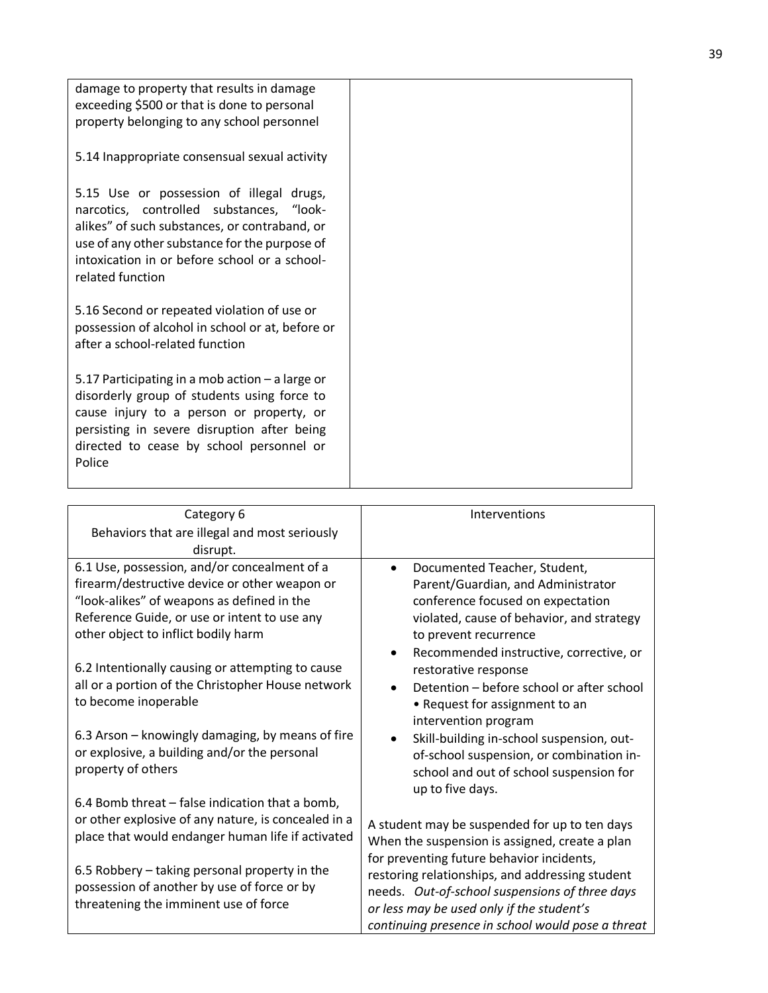| damage to property that results in damage<br>exceeding \$500 or that is done to personal                                                                                                                                                                    |  |
|-------------------------------------------------------------------------------------------------------------------------------------------------------------------------------------------------------------------------------------------------------------|--|
| property belonging to any school personnel                                                                                                                                                                                                                  |  |
| 5.14 Inappropriate consensual sexual activity                                                                                                                                                                                                               |  |
| 5.15 Use or possession of illegal drugs,<br>narcotics, controlled substances, "look-<br>alikes" of such substances, or contraband, or<br>use of any other substance for the purpose of<br>intoxication in or before school or a school-<br>related function |  |
| 5.16 Second or repeated violation of use or<br>possession of alcohol in school or at, before or<br>after a school-related function                                                                                                                          |  |
| 5.17 Participating in a mob action - a large or<br>disorderly group of students using force to<br>cause injury to a person or property, or<br>persisting in severe disruption after being<br>directed to cease by school personnel or<br>Police             |  |

| Category 6                                          | Interventions                                     |
|-----------------------------------------------------|---------------------------------------------------|
| Behaviors that are illegal and most seriously       |                                                   |
| disrupt.                                            |                                                   |
| 6.1 Use, possession, and/or concealment of a        | Documented Teacher, Student,                      |
| firearm/destructive device or other weapon or       | Parent/Guardian, and Administrator                |
| "look-alikes" of weapons as defined in the          | conference focused on expectation                 |
| Reference Guide, or use or intent to use any        | violated, cause of behavior, and strategy         |
| other object to inflict bodily harm                 | to prevent recurrence                             |
|                                                     | Recommended instructive, corrective, or           |
| 6.2 Intentionally causing or attempting to cause    | restorative response                              |
| all or a portion of the Christopher House network   | Detention - before school or after school         |
| to become inoperable                                | • Request for assignment to an                    |
|                                                     | intervention program                              |
| 6.3 Arson – knowingly damaging, by means of fire    | Skill-building in-school suspension, out-         |
| or explosive, a building and/or the personal        | of-school suspension, or combination in-          |
| property of others                                  | school and out of school suspension for           |
|                                                     | up to five days.                                  |
| 6.4 Bomb threat - false indication that a bomb,     |                                                   |
| or other explosive of any nature, is concealed in a | A student may be suspended for up to ten days     |
| place that would endanger human life if activated   | When the suspension is assigned, create a plan    |
|                                                     | for preventing future behavior incidents,         |
| 6.5 Robbery – taking personal property in the       | restoring relationships, and addressing student   |
| possession of another by use of force or by         | needs. Out-of-school suspensions of three days    |
| threatening the imminent use of force               | or less may be used only if the student's         |
|                                                     | continuing presence in school would pose a threat |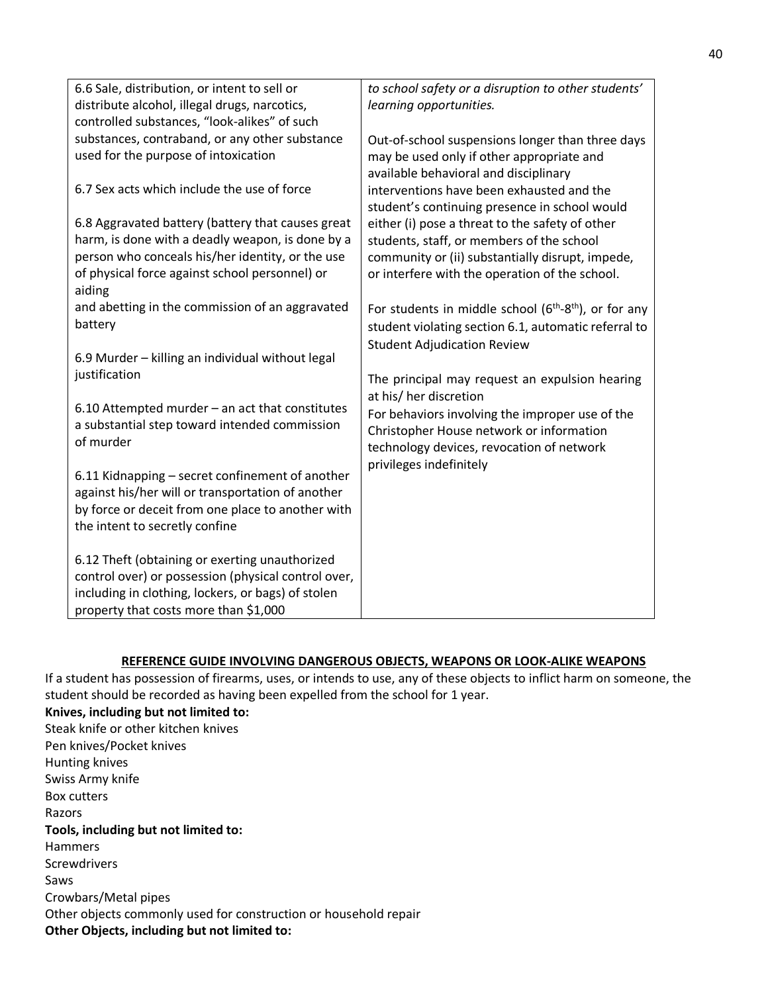| 6.6 Sale, distribution, or intent to sell or<br>distribute alcohol, illegal drugs, narcotics,<br>controlled substances, "look-alikes" of such                                                            | to school safety or a disruption to other students'<br>learning opportunities.                                                                                                                                                                 |
|----------------------------------------------------------------------------------------------------------------------------------------------------------------------------------------------------------|------------------------------------------------------------------------------------------------------------------------------------------------------------------------------------------------------------------------------------------------|
| substances, contraband, or any other substance<br>used for the purpose of intoxication                                                                                                                   | Out-of-school suspensions longer than three days<br>may be used only if other appropriate and<br>available behavioral and disciplinary                                                                                                         |
| 6.7 Sex acts which include the use of force<br>6.8 Aggravated battery (battery that causes great<br>harm, is done with a deadly weapon, is done by a<br>person who conceals his/her identity, or the use | interventions have been exhausted and the<br>student's continuing presence in school would<br>either (i) pose a threat to the safety of other<br>students, staff, or members of the school<br>community or (ii) substantially disrupt, impede, |
| of physical force against school personnel) or<br>aiding                                                                                                                                                 | or interfere with the operation of the school.                                                                                                                                                                                                 |
| and abetting in the commission of an aggravated<br>battery                                                                                                                                               | For students in middle school $(6th-8th)$ , or for any<br>student violating section 6.1, automatic referral to<br><b>Student Adjudication Review</b>                                                                                           |
| 6.9 Murder - killing an individual without legal<br>justification                                                                                                                                        | The principal may request an expulsion hearing                                                                                                                                                                                                 |
| 6.10 Attempted murder - an act that constitutes<br>a substantial step toward intended commission<br>of murder                                                                                            | at his/ her discretion<br>For behaviors involving the improper use of the<br>Christopher House network or information<br>technology devices, revocation of network                                                                             |
| 6.11 Kidnapping - secret confinement of another<br>against his/her will or transportation of another<br>by force or deceit from one place to another with<br>the intent to secretly confine              | privileges indefinitely                                                                                                                                                                                                                        |
| 6.12 Theft (obtaining or exerting unauthorized<br>control over) or possession (physical control over,<br>including in clothing, lockers, or bags) of stolen<br>property that costs more than \$1,000     |                                                                                                                                                                                                                                                |

## **REFERENCE GUIDE INVOLVING DANGEROUS OBJECTS, WEAPONS OR LOOK-ALIKE WEAPONS**

If a student has possession of firearms, uses, or intends to use, any of these objects to inflict harm on someone, the student should be recorded as having been expelled from the school for 1 year.

**Knives, including but not limited to:** Steak knife or other kitchen knives Pen knives/Pocket knives Hunting knives Swiss Army knife Box cutters Razors **Tools, including but not limited to:** Hammers **Screwdrivers** Saws Crowbars/Metal pipes Other objects commonly used for construction or household repair **Other Objects, including but not limited to:**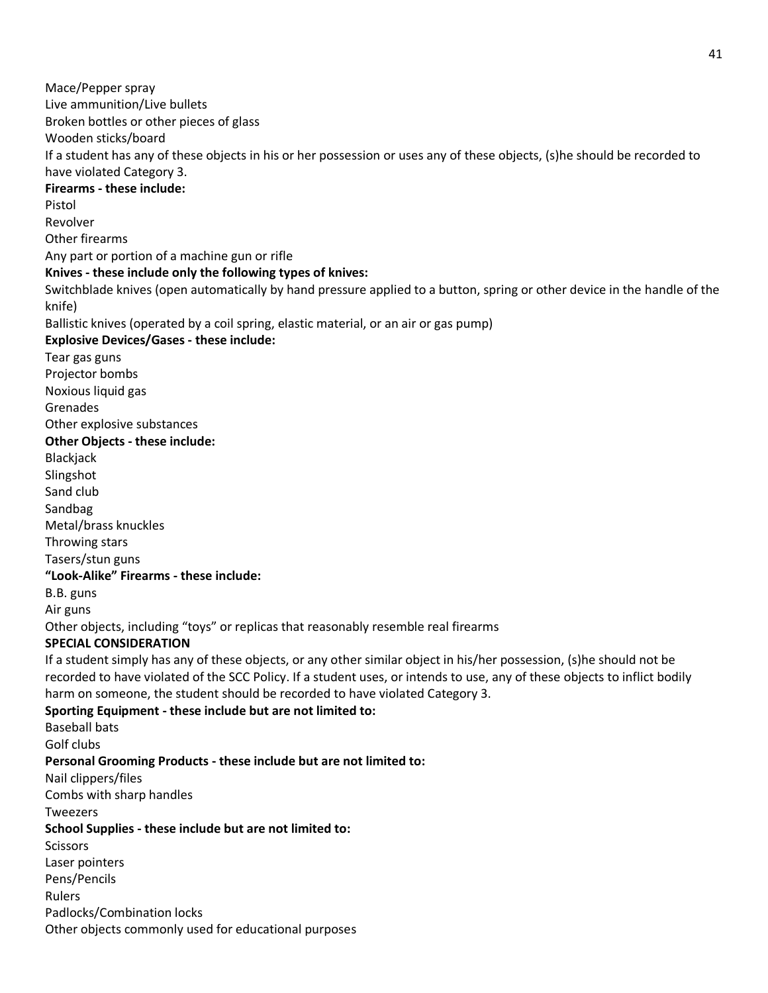Mace/Pepper spray Live ammunition/Live bullets Broken bottles or other pieces of glass Wooden sticks/board If a student has any of these objects in his or her possession or uses any of these objects, (s)he should be recorded to have violated Category 3. **Firearms - these include:** Pistol Revolver Other firearms Any part or portion of a machine gun or rifle **Knives - these include only the following types of knives:** Switchblade knives (open automatically by hand pressure applied to a button, spring or other device in the handle of the knife) Ballistic knives (operated by a coil spring, elastic material, or an air or gas pump) **Explosive Devices/Gases - these include:** Tear gas guns Projector bombs Noxious liquid gas Grenades Other explosive substances **Other Objects - these include:** Blackjack Slingshot Sand club Sandbag Metal/brass knuckles Throwing stars Tasers/stun guns **"Look-Alike" Firearms - these include:** B.B. guns Air guns Other objects, including "toys" or replicas that reasonably resemble real firearms **SPECIAL CONSIDERATION** If a student simply has any of these objects, or any other similar object in his/her possession, (s)he should not be recorded to have violated of the SCC Policy. If a student uses, or intends to use, any of these objects to inflict bodily harm on someone, the student should be recorded to have violated Category 3. **Sporting Equipment - these include but are not limited to:** Baseball bats Golf clubs **Personal Grooming Products - these include but are not limited to:** Nail clippers/files Combs with sharp handles Tweezers **School Supplies - these include but are not limited to:** Scissors Laser pointers Pens/Pencils Rulers Padlocks/Combination locks Other objects commonly used for educational purposes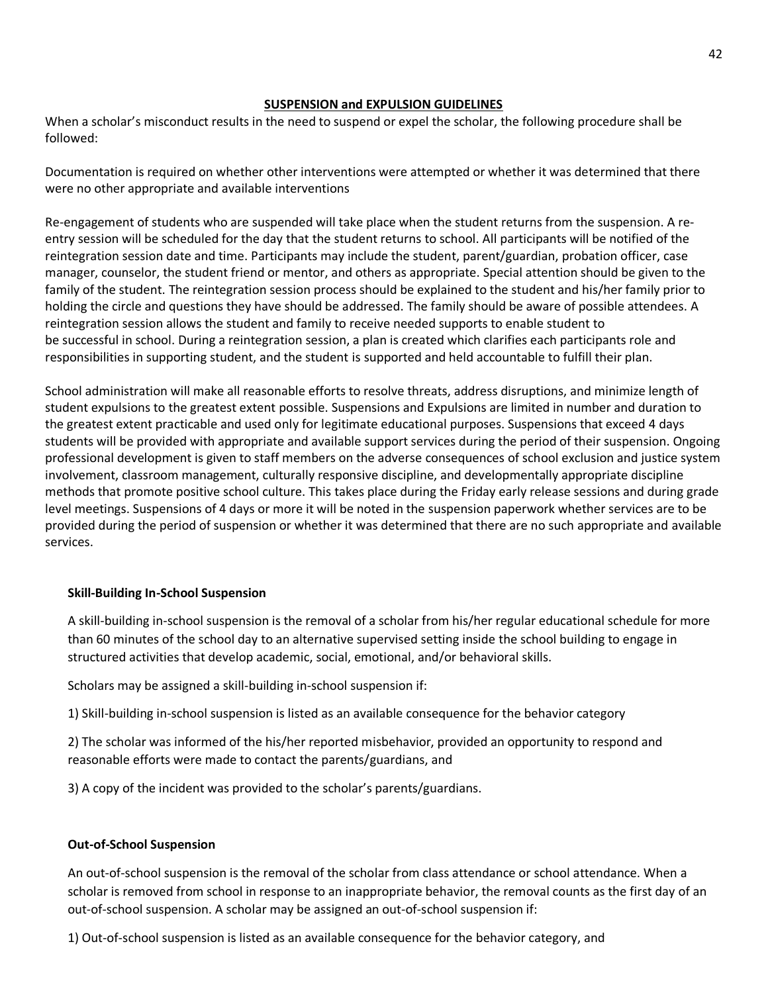### **SUSPENSION and EXPULSION GUIDELINES**

When a scholar's misconduct results in the need to suspend or expel the scholar, the following procedure shall be followed:

Documentation is required on whether other interventions were attempted or whether it was determined that there were no other appropriate and available interventions

Re-engagement of students who are suspended will take place when the student returns from the suspension. A reentry session will be scheduled for the day that the student returns to school. All participants will be notified of the reintegration session date and time. Participants may include the student, parent/guardian, probation officer, case manager, counselor, the student friend or mentor, and others as appropriate. Special attention should be given to the family of the student. The reintegration session process should be explained to the student and his/her family prior to holding the circle and questions they have should be addressed. The family should be aware of possible attendees. A reintegration session allows the student and family to receive needed supports to enable student to be successful in school. During a reintegration session, a plan is created which clarifies each participants role and responsibilities in supporting student, and the student is supported and held accountable to fulfill their plan.

School administration will make all reasonable efforts to resolve threats, address disruptions, and minimize length of student expulsions to the greatest extent possible. Suspensions and Expulsions are limited in number and duration to the greatest extent practicable and used only for legitimate educational purposes. Suspensions that exceed 4 days students will be provided with appropriate and available support services during the period of their suspension. Ongoing professional development is given to staff members on the adverse consequences of school exclusion and justice system involvement, classroom management, culturally responsive discipline, and developmentally appropriate discipline methods that promote positive school culture. This takes place during the Friday early release sessions and during grade level meetings. Suspensions of 4 days or more it will be noted in the suspension paperwork whether services are to be provided during the period of suspension or whether it was determined that there are no such appropriate and available services.

## **Skill-Building In-School Suspension**

A skill-building in-school suspension is the removal of a scholar from his/her regular educational schedule for more than 60 minutes of the school day to an alternative supervised setting inside the school building to engage in structured activities that develop academic, social, emotional, and/or behavioral skills.

Scholars may be assigned a skill-building in-school suspension if:

1) Skill-building in-school suspension is listed as an available consequence for the behavior category

2) The scholar was informed of the his/her reported misbehavior, provided an opportunity to respond and reasonable efforts were made to contact the parents/guardians, and

3) A copy of the incident was provided to the scholar's parents/guardians.

## **Out-of-School Suspension**

An out-of-school suspension is the removal of the scholar from class attendance or school attendance. When a scholar is removed from school in response to an inappropriate behavior, the removal counts as the first day of an out-of-school suspension. A scholar may be assigned an out-of-school suspension if:

1) Out-of-school suspension is listed as an available consequence for the behavior category, and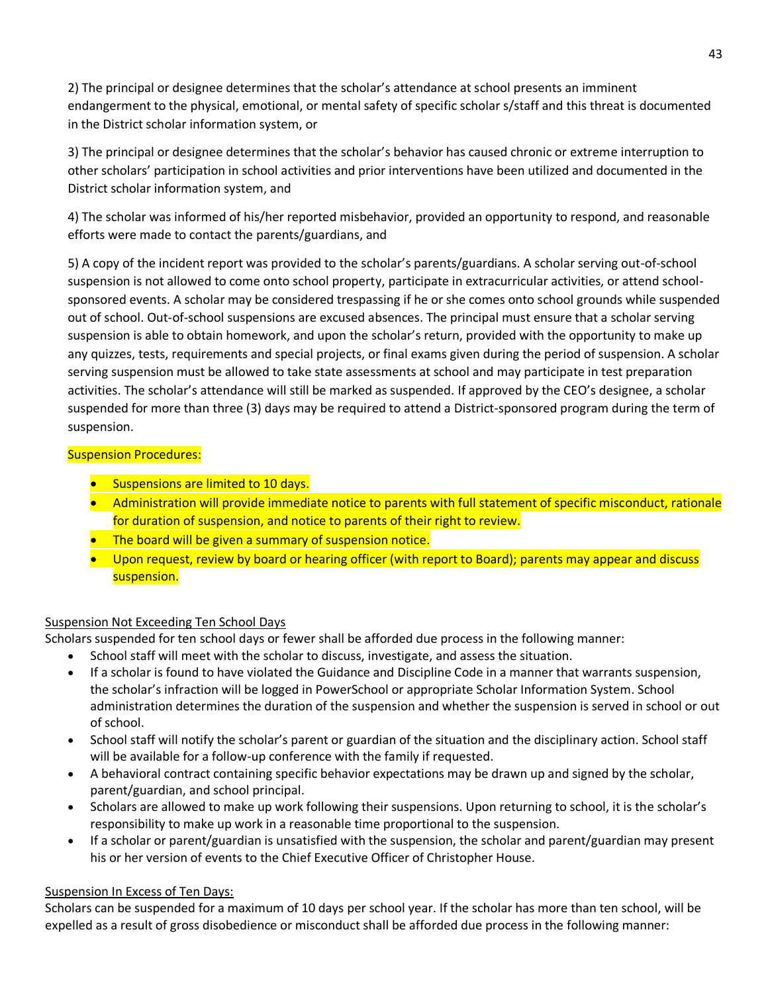2) The principal or designee determines that the scholar's attendance at school presents an imminent endangerment to the physical, emotional, or mental safety of specific scholar s/staff and this threat is documented in the District scholar information system, or

3) The principal or designee determines that the scholar's behavior has caused chronic or extreme interruption to other scholars' participation in school activities and prior interventions have been utilized and documented in the District scholar information system, and

4) The scholar was informed of his/her reported misbehavior, provided an opportunity to respond, and reasonable efforts were made to contact the parents/guardians, and

5) A copy of the incident report was provided to the scholar's parents/guardians. A scholar serving out-of-school suspension is not allowed to come onto school property, participate in extracurricular activities, or attend schoolsponsored events. A scholar may be considered trespassing if he or she comes onto school grounds while suspended out of school. Out-of-school suspensions are excused absences. The principal must ensure that a scholar serving suspension is able to obtain homework, and upon the scholar's return, provided with the opportunity to make up any quizzes, tests, requirements and special projects, or final exams given during the period of suspension. A scholar serving suspension must be allowed to take state assessments at school and may participate in test preparation activities. The scholar's attendance will still be marked as suspended. If approved by the CEO's designee, a scholar suspended for more than three (3) days may be required to attend a District-sponsored program during the term of suspension.

## Suspension Procedures:

- Suspensions are limited to 10 days.
- Administration will provide immediate notice to parents with full statement of specific misconduct, rationale for duration of suspension, and notice to parents of their right to review.
- **The board will be given a summary of suspension notice.**
- Upon request, review by board or hearing officer (with report to Board); parents may appear and discuss suspension.

## Suspension Not Exceeding Ten School Days

Scholars suspended for ten school days or fewer shall be afforded due process in the following manner:

- School staff will meet with the scholar to discuss, investigate, and assess the situation.
- If a scholar is found to have violated the Guidance and Discipline Code in a manner that warrants suspension, the scholar's infraction will be logged in PowerSchool or appropriate Scholar Information System. School administration determines the duration of the suspension and whether the suspension is served in school or out of school.
- School staff will notify the scholar's parent or guardian of the situation and the disciplinary action. School staff will be available for a follow-up conference with the family if requested.
- A behavioral contract containing specific behavior expectations may be drawn up and signed by the scholar, parent/guardian, and school principal.
- Scholars are allowed to make up work following their suspensions. Upon returning to school, it is the scholar's responsibility to make up work in a reasonable time proportional to the suspension.
- If a scholar or parent/guardian is unsatisfied with the suspension, the scholar and parent/guardian may present his or her version of events to the Chief Executive Officer of Christopher House.

## Suspension In Excess of Ten Days:

Scholars can be suspended for a maximum of 10 days per school year. If the scholar has more than ten school, will be expelled as a result of gross disobedience or misconduct shall be afforded due process in the following manner: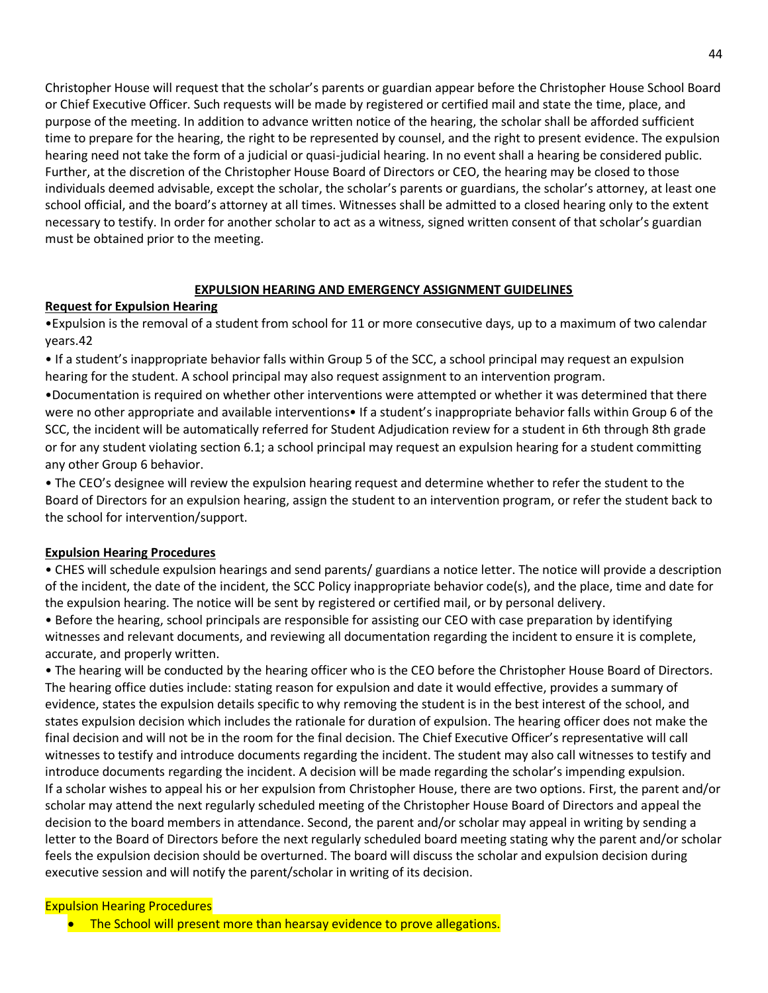Christopher House will request that the scholar's parents or guardian appear before the Christopher House School Board or Chief Executive Officer. Such requests will be made by registered or certified mail and state the time, place, and purpose of the meeting. In addition to advance written notice of the hearing, the scholar shall be afforded sufficient time to prepare for the hearing, the right to be represented by counsel, and the right to present evidence. The expulsion hearing need not take the form of a judicial or quasi-judicial hearing. In no event shall a hearing be considered public. Further, at the discretion of the Christopher House Board of Directors or CEO, the hearing may be closed to those individuals deemed advisable, except the scholar, the scholar's parents or guardians, the scholar's attorney, at least one school official, and the board's attorney at all times. Witnesses shall be admitted to a closed hearing only to the extent necessary to testify. In order for another scholar to act as a witness, signed written consent of that scholar's guardian must be obtained prior to the meeting.

### **EXPULSION HEARING AND EMERGENCY ASSIGNMENT GUIDELINES**

### **Request for Expulsion Hearing**

•Expulsion is the removal of a student from school for 11 or more consecutive days, up to a maximum of two calendar years.42

• If a student's inappropriate behavior falls within Group 5 of the SCC, a school principal may request an expulsion hearing for the student. A school principal may also request assignment to an intervention program.

•Documentation is required on whether other interventions were attempted or whether it was determined that there were no other appropriate and available interventions• If a student's inappropriate behavior falls within Group 6 of the SCC, the incident will be automatically referred for Student Adjudication review for a student in 6th through 8th grade or for any student violating section 6.1; a school principal may request an expulsion hearing for a student committing any other Group 6 behavior.

• The CEO's designee will review the expulsion hearing request and determine whether to refer the student to the Board of Directors for an expulsion hearing, assign the student to an intervention program, or refer the student back to the school for intervention/support.

## **Expulsion Hearing Procedures**

• CHES will schedule expulsion hearings and send parents/ guardians a notice letter. The notice will provide a description of the incident, the date of the incident, the SCC Policy inappropriate behavior code(s), and the place, time and date for the expulsion hearing. The notice will be sent by registered or certified mail, or by personal delivery.

• Before the hearing, school principals are responsible for assisting our CEO with case preparation by identifying witnesses and relevant documents, and reviewing all documentation regarding the incident to ensure it is complete, accurate, and properly written.

• The hearing will be conducted by the hearing officer who is the CEO before the Christopher House Board of Directors. The hearing office duties include: stating reason for expulsion and date it would effective, provides a summary of evidence, states the expulsion details specific to why removing the student is in the best interest of the school, and states expulsion decision which includes the rationale for duration of expulsion. The hearing officer does not make the final decision and will not be in the room for the final decision. The Chief Executive Officer's representative will call witnesses to testify and introduce documents regarding the incident. The student may also call witnesses to testify and introduce documents regarding the incident. A decision will be made regarding the scholar's impending expulsion. If a scholar wishes to appeal his or her expulsion from Christopher House, there are two options. First, the parent and/or scholar may attend the next regularly scheduled meeting of the Christopher House Board of Directors and appeal the decision to the board members in attendance. Second, the parent and/or scholar may appeal in writing by sending a letter to the Board of Directors before the next regularly scheduled board meeting stating why the parent and/or scholar feels the expulsion decision should be overturned. The board will discuss the scholar and expulsion decision during executive session and will notify the parent/scholar in writing of its decision.

### Expulsion Hearing Procedures

• The School will present more than hearsay evidence to prove allegations.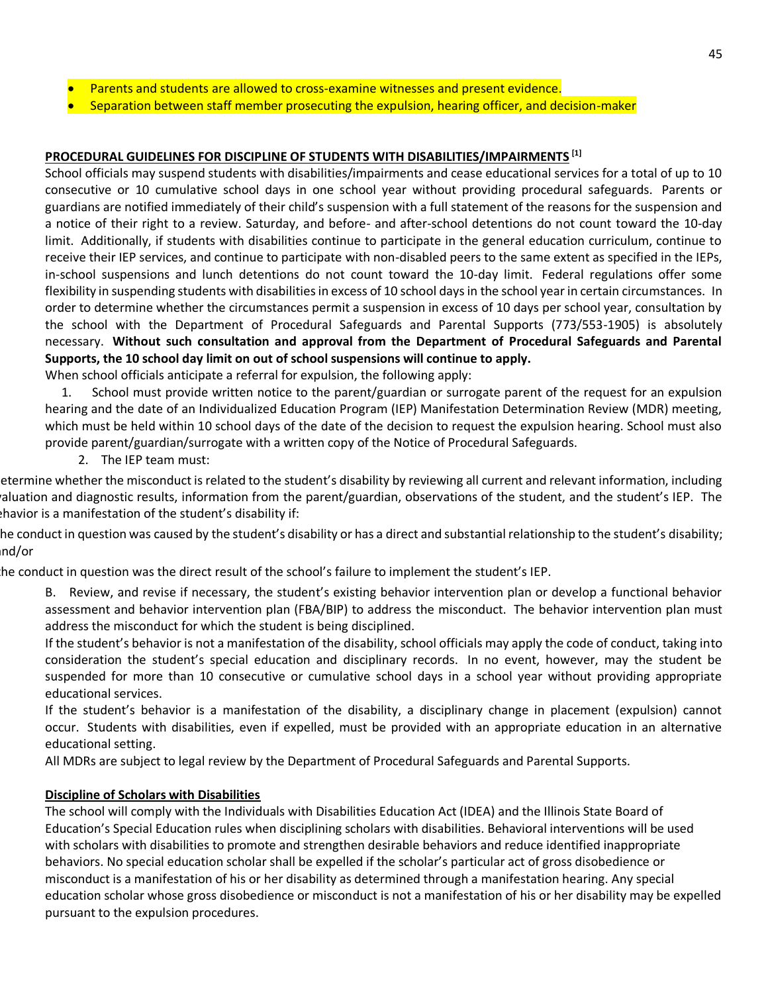- Parents and students are allowed to cross-examine witnesses and present evidence.
- Separation between staff member prosecuting the expulsion, hearing officer, and decision-maker

### **PROCEDURAL GUIDELINES FOR DISCIPLINE OF STUDENTS WITH DISABILITIES/IMPAIRMENTS [1]**

School officials may suspend students with disabilities/impairments and cease educational services for a total of up to 10 consecutive or 10 cumulative school days in one school year without providing procedural safeguards. Parents or guardians are notified immediately of their child's suspension with a full statement of the reasons for the suspension and a notice of their right to a review. Saturday, and before- and after-school detentions do not count toward the 10-day limit. Additionally, if students with disabilities continue to participate in the general education curriculum, continue to receive their IEP services, and continue to participate with non-disabled peers to the same extent as specified in the IEPs, in-school suspensions and lunch detentions do not count toward the 10-day limit. Federal regulations offer some flexibility in suspending students with disabilities in excess of 10 school days in the school year in certain circumstances. In order to determine whether the circumstances permit a suspension in excess of 10 days per school year, consultation by the school with the Department of Procedural Safeguards and Parental Supports (773/553-1905) is absolutely necessary. **Without such consultation and approval from the Department of Procedural Safeguards and Parental Supports, the 10 school day limit on out of school suspensions will continue to apply.**

When school officials anticipate a referral for expulsion, the following apply:

 1. School must provide written notice to the parent/guardian or surrogate parent of the request for an expulsion hearing and the date of an Individualized Education Program (IEP) Manifestation Determination Review (MDR) meeting, which must be held within 10 school days of the date of the decision to request the expulsion hearing. School must also provide parent/guardian/surrogate with a written copy of the Notice of Procedural Safeguards.

2. The IEP team must:

etermine whether the misconduct is related to the student's disability by reviewing all current and relevant information, including raluation and diagnostic results, information from the parent/guardian, observations of the student, and the student's IEP. The behavior is a manifestation of the student's disability if:

he conduct in question was caused by the student's disability or has a direct and substantial relationship to the student's disability; and/or

the conduct in question was the direct result of the school's failure to implement the student's IEP.

- B. Review, and revise if necessary, the student's existing behavior intervention plan or develop a functional behavior assessment and behavior intervention plan (FBA/BIP) to address the misconduct. The behavior intervention plan must address the misconduct for which the student is being disciplined.
- If the student's behavior is not a manifestation of the disability, school officials may apply the code of conduct, taking into consideration the student's special education and disciplinary records. In no event, however, may the student be suspended for more than 10 consecutive or cumulative school days in a school year without providing appropriate educational services.

If the student's behavior is a manifestation of the disability, a disciplinary change in placement (expulsion) cannot occur. Students with disabilities, even if expelled, must be provided with an appropriate education in an alternative educational setting.

All MDRs are subject to legal review by the Department of Procedural Safeguards and Parental Supports.

## **Discipline of Scholars with Disabilities**

The school will comply with the Individuals with Disabilities Education Act (IDEA) and the Illinois State Board of Education's Special Education rules when disciplining scholars with disabilities. Behavioral interventions will be used with scholars with disabilities to promote and strengthen desirable behaviors and reduce identified inappropriate behaviors. No special education scholar shall be expelled if the scholar's particular act of gross disobedience or misconduct is a manifestation of his or her disability as determined through a manifestation hearing. Any special education scholar whose gross disobedience or misconduct is not a manifestation of his or her disability may be expelled pursuant to the expulsion procedures.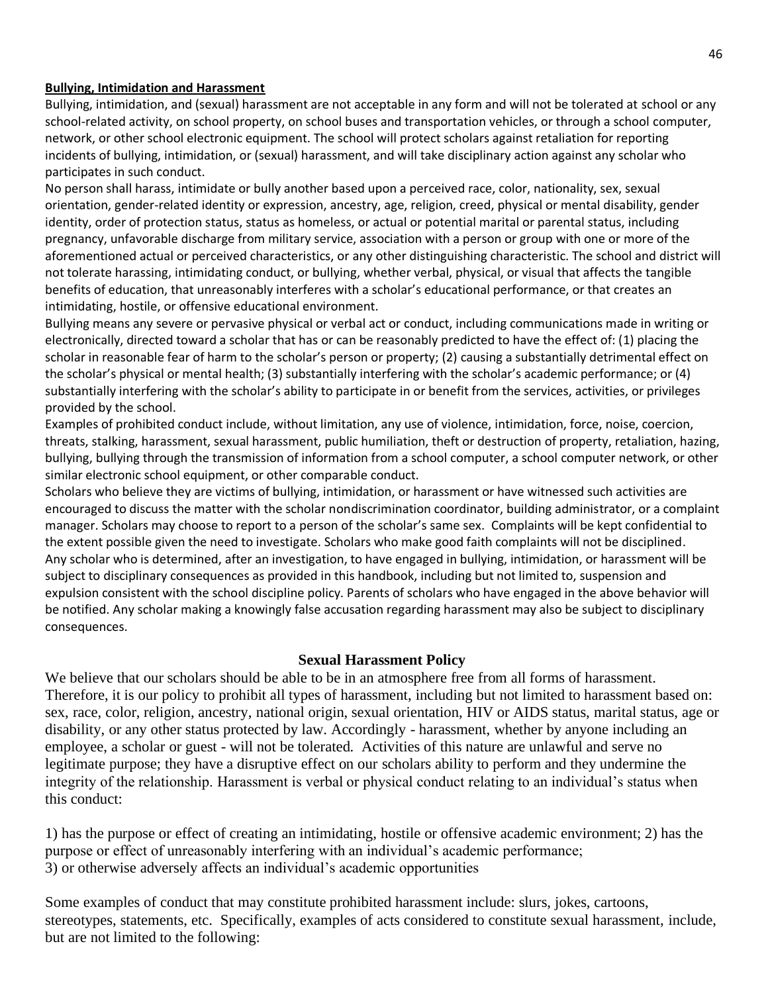### **Bullying, Intimidation and Harassment**

Bullying, intimidation, and (sexual) harassment are not acceptable in any form and will not be tolerated at school or any school-related activity, on school property, on school buses and transportation vehicles, or through a school computer, network, or other school electronic equipment. The school will protect scholars against retaliation for reporting incidents of bullying, intimidation, or (sexual) harassment, and will take disciplinary action against any scholar who participates in such conduct.

No person shall harass, intimidate or bully another based upon a perceived race, color, nationality, sex, sexual orientation, gender-related identity or expression, ancestry, age, religion, creed, physical or mental disability, gender identity, order of protection status, status as homeless, or actual or potential marital or parental status, including pregnancy, unfavorable discharge from military service, association with a person or group with one or more of the aforementioned actual or perceived characteristics, or any other distinguishing characteristic. The school and district will not tolerate harassing, intimidating conduct, or bullying, whether verbal, physical, or visual that affects the tangible benefits of education, that unreasonably interferes with a scholar's educational performance, or that creates an intimidating, hostile, or offensive educational environment.

Bullying means any severe or pervasive physical or verbal act or conduct, including communications made in writing or electronically, directed toward a scholar that has or can be reasonably predicted to have the effect of: (1) placing the scholar in reasonable fear of harm to the scholar's person or property; (2) causing a substantially detrimental effect on the scholar's physical or mental health; (3) substantially interfering with the scholar's academic performance; or (4) substantially interfering with the scholar's ability to participate in or benefit from the services, activities, or privileges provided by the school.

Examples of prohibited conduct include, without limitation, any use of violence, intimidation, force, noise, coercion, threats, stalking, harassment, sexual harassment, public humiliation, theft or destruction of property, retaliation, hazing, bullying, bullying through the transmission of information from a school computer, a school computer network, or other similar electronic school equipment, or other comparable conduct.

Scholars who believe they are victims of bullying, intimidation, or harassment or have witnessed such activities are encouraged to discuss the matter with the scholar nondiscrimination coordinator, building administrator, or a complaint manager. Scholars may choose to report to a person of the scholar's same sex. Complaints will be kept confidential to the extent possible given the need to investigate. Scholars who make good faith complaints will not be disciplined. Any scholar who is determined, after an investigation, to have engaged in bullying, intimidation, or harassment will be subject to disciplinary consequences as provided in this handbook, including but not limited to, suspension and expulsion consistent with the school discipline policy. Parents of scholars who have engaged in the above behavior will be notified. Any scholar making a knowingly false accusation regarding harassment may also be subject to disciplinary consequences.

## **Sexual Harassment Policy**

We believe that our scholars should be able to be in an atmosphere free from all forms of harassment. Therefore, it is our policy to prohibit all types of harassment, including but not limited to harassment based on: sex, race, color, religion, ancestry, national origin, sexual orientation, HIV or AIDS status, marital status, age or disability, or any other status protected by law. Accordingly - harassment, whether by anyone including an employee, a scholar or guest - will not be tolerated. Activities of this nature are unlawful and serve no legitimate purpose; they have a disruptive effect on our scholars ability to perform and they undermine the integrity of the relationship. Harassment is verbal or physical conduct relating to an individual's status when this conduct:

1) has the purpose or effect of creating an intimidating, hostile or offensive academic environment; 2) has the purpose or effect of unreasonably interfering with an individual's academic performance; 3) or otherwise adversely affects an individual's academic opportunities

Some examples of conduct that may constitute prohibited harassment include: slurs, jokes, cartoons, stereotypes, statements, etc. Specifically, examples of acts considered to constitute sexual harassment, include, but are not limited to the following: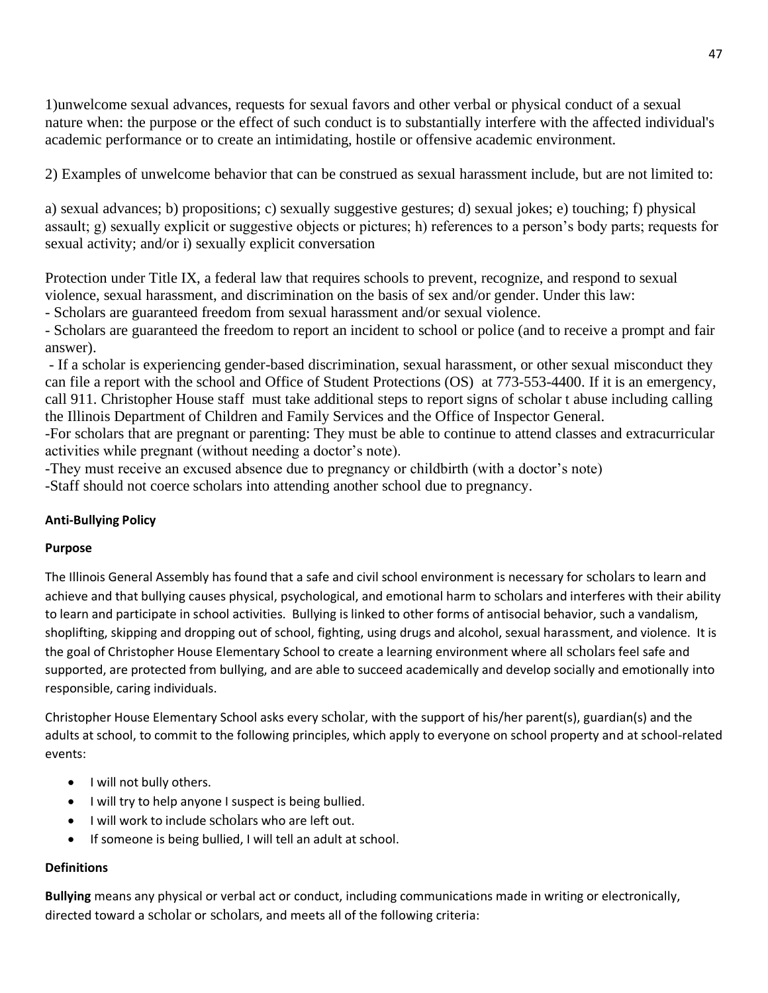1)unwelcome sexual advances, requests for sexual favors and other verbal or physical conduct of a sexual nature when: the purpose or the effect of such conduct is to substantially interfere with the affected individual's academic performance or to create an intimidating, hostile or offensive academic environment.

2) Examples of unwelcome behavior that can be construed as sexual harassment include, but are not limited to:

a) sexual advances; b) propositions; c) sexually suggestive gestures; d) sexual jokes; e) touching; f) physical assault; g) sexually explicit or suggestive objects or pictures; h) references to a person's body parts; requests for sexual activity; and/or i) sexually explicit conversation

Protection under Title IX, a federal law that requires schools to prevent, recognize, and respond to sexual violence, sexual harassment, and discrimination on the basis of sex and/or gender. Under this law:

- Scholars are guaranteed freedom from sexual harassment and/or sexual violence.

- Scholars are guaranteed the freedom to report an incident to school or police (and to receive a prompt and fair answer).

- If a scholar is experiencing gender-based discrimination, sexual harassment, or other sexual misconduct they can file a report with the school and Office of Student Protections (OS) at 773-553-4400. If it is an emergency, call 911. Christopher House staff must take additional steps to report signs of scholar t abuse including calling the Illinois Department of Children and Family Services and the Office of Inspector General.

-For scholars that are pregnant or parenting: They must be able to continue to attend classes and extracurricular activities while pregnant (without needing a doctor's note).

-They must receive an excused absence due to pregnancy or childbirth (with a doctor's note)

-Staff should not coerce scholars into attending another school due to pregnancy.

## **Anti-Bullying Policy**

## **Purpose**

The Illinois General Assembly has found that a safe and civil school environment is necessary for scholars to learn and achieve and that bullying causes physical, psychological, and emotional harm to scholars and interferes with their ability to learn and participate in school activities. Bullying is linked to other forms of antisocial behavior, such a vandalism, shoplifting, skipping and dropping out of school, fighting, using drugs and alcohol, sexual harassment, and violence. It is the goal of Christopher House Elementary School to create a learning environment where all scholars feel safe and supported, are protected from bullying, and are able to succeed academically and develop socially and emotionally into responsible, caring individuals.

Christopher House Elementary School asks every scholar, with the support of his/her parent(s), guardian(s) and the adults at school, to commit to the following principles, which apply to everyone on school property and at school-related events:

- I will not bully others.
- I will try to help anyone I suspect is being bullied.
- I will work to include scholars who are left out.
- If someone is being bullied, I will tell an adult at school.

## **Definitions**

**Bullying** means any physical or verbal act or conduct, including communications made in writing or electronically, directed toward a scholar or scholars, and meets all of the following criteria: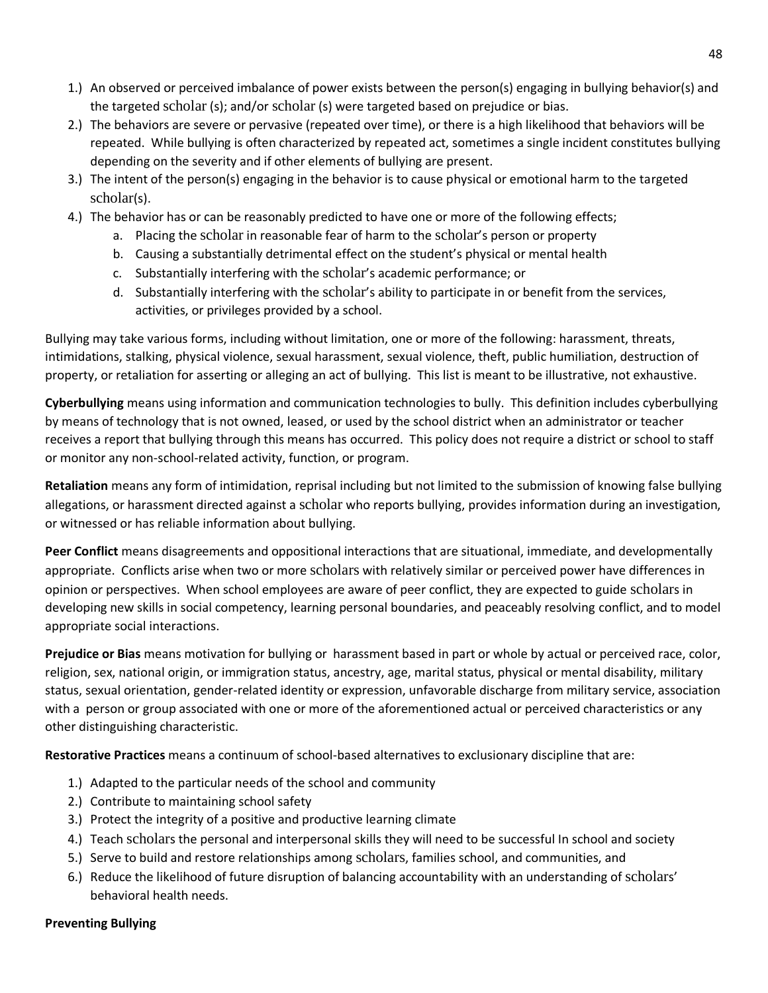- 1.) An observed or perceived imbalance of power exists between the person(s) engaging in bullying behavior(s) and the targeted scholar (s); and/or scholar (s) were targeted based on prejudice or bias.
- 2.) The behaviors are severe or pervasive (repeated over time), or there is a high likelihood that behaviors will be repeated. While bullying is often characterized by repeated act, sometimes a single incident constitutes bullying depending on the severity and if other elements of bullying are present.
- 3.) The intent of the person(s) engaging in the behavior is to cause physical or emotional harm to the targeted scholar(s).
- 4.) The behavior has or can be reasonably predicted to have one or more of the following effects;
	- a. Placing the scholar in reasonable fear of harm to the scholar's person or property
	- b. Causing a substantially detrimental effect on the student's physical or mental health
	- c. Substantially interfering with the scholar's academic performance; or
	- d. Substantially interfering with the scholar's ability to participate in or benefit from the services, activities, or privileges provided by a school.

Bullying may take various forms, including without limitation, one or more of the following: harassment, threats, intimidations, stalking, physical violence, sexual harassment, sexual violence, theft, public humiliation, destruction of property, or retaliation for asserting or alleging an act of bullying. This list is meant to be illustrative, not exhaustive.

**Cyberbullying** means using information and communication technologies to bully. This definition includes cyberbullying by means of technology that is not owned, leased, or used by the school district when an administrator or teacher receives a report that bullying through this means has occurred. This policy does not require a district or school to staff or monitor any non-school-related activity, function, or program.

**Retaliation** means any form of intimidation, reprisal including but not limited to the submission of knowing false bullying allegations, or harassment directed against a scholar who reports bullying, provides information during an investigation, or witnessed or has reliable information about bullying.

**Peer Conflict** means disagreements and oppositional interactions that are situational, immediate, and developmentally appropriate. Conflicts arise when two or more scholars with relatively similar or perceived power have differences in opinion or perspectives. When school employees are aware of peer conflict, they are expected to guide scholars in developing new skills in social competency, learning personal boundaries, and peaceably resolving conflict, and to model appropriate social interactions.

**Prejudice or Bias** means motivation for bullying or harassment based in part or whole by actual or perceived race, color, religion, sex, national origin, or immigration status, ancestry, age, marital status, physical or mental disability, military status, sexual orientation, gender-related identity or expression, unfavorable discharge from military service, association with a person or group associated with one or more of the aforementioned actual or perceived characteristics or any other distinguishing characteristic.

**Restorative Practices** means a continuum of school-based alternatives to exclusionary discipline that are:

- 1.) Adapted to the particular needs of the school and community
- 2.) Contribute to maintaining school safety
- 3.) Protect the integrity of a positive and productive learning climate
- 4.) Teach scholars the personal and interpersonal skills they will need to be successful In school and society
- 5.) Serve to build and restore relationships among scholars, families school, and communities, and
- 6.) Reduce the likelihood of future disruption of balancing accountability with an understanding of scholars' behavioral health needs.

## **Preventing Bullying**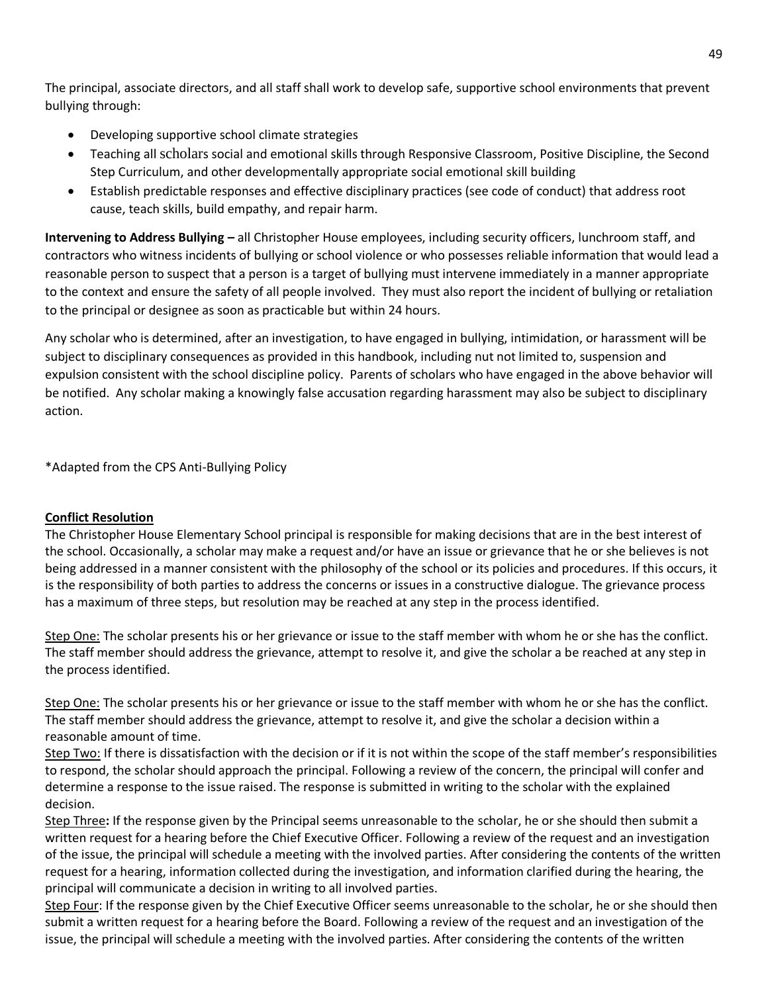The principal, associate directors, and all staff shall work to develop safe, supportive school environments that prevent bullying through:

- Developing supportive school climate strategies
- Teaching all scholars social and emotional skills through Responsive Classroom, Positive Discipline, the Second Step Curriculum, and other developmentally appropriate social emotional skill building
- Establish predictable responses and effective disciplinary practices (see code of conduct) that address root cause, teach skills, build empathy, and repair harm.

**Intervening to Address Bullying –** all Christopher House employees, including security officers, lunchroom staff, and contractors who witness incidents of bullying or school violence or who possesses reliable information that would lead a reasonable person to suspect that a person is a target of bullying must intervene immediately in a manner appropriate to the context and ensure the safety of all people involved. They must also report the incident of bullying or retaliation to the principal or designee as soon as practicable but within 24 hours.

Any scholar who is determined, after an investigation, to have engaged in bullying, intimidation, or harassment will be subject to disciplinary consequences as provided in this handbook, including nut not limited to, suspension and expulsion consistent with the school discipline policy. Parents of scholars who have engaged in the above behavior will be notified. Any scholar making a knowingly false accusation regarding harassment may also be subject to disciplinary action.

\*Adapted from the CPS Anti-Bullying Policy

### **Conflict Resolution**

The Christopher House Elementary School principal is responsible for making decisions that are in the best interest of the school. Occasionally, a scholar may make a request and/or have an issue or grievance that he or she believes is not being addressed in a manner consistent with the philosophy of the school or its policies and procedures. If this occurs, it is the responsibility of both parties to address the concerns or issues in a constructive dialogue. The grievance process has a maximum of three steps, but resolution may be reached at any step in the process identified.

Step One: The scholar presents his or her grievance or issue to the staff member with whom he or she has the conflict. The staff member should address the grievance, attempt to resolve it, and give the scholar a be reached at any step in the process identified.

Step One: The scholar presents his or her grievance or issue to the staff member with whom he or she has the conflict. The staff member should address the grievance, attempt to resolve it, and give the scholar a decision within a reasonable amount of time.

Step Two: If there is dissatisfaction with the decision or if it is not within the scope of the staff member's responsibilities to respond, the scholar should approach the principal. Following a review of the concern, the principal will confer and determine a response to the issue raised. The response is submitted in writing to the scholar with the explained decision.

Step Three**:** If the response given by the Principal seems unreasonable to the scholar, he or she should then submit a written request for a hearing before the Chief Executive Officer. Following a review of the request and an investigation of the issue, the principal will schedule a meeting with the involved parties. After considering the contents of the written request for a hearing, information collected during the investigation, and information clarified during the hearing, the principal will communicate a decision in writing to all involved parties.

Step Four: If the response given by the Chief Executive Officer seems unreasonable to the scholar, he or she should then submit a written request for a hearing before the Board. Following a review of the request and an investigation of the issue, the principal will schedule a meeting with the involved parties. After considering the contents of the written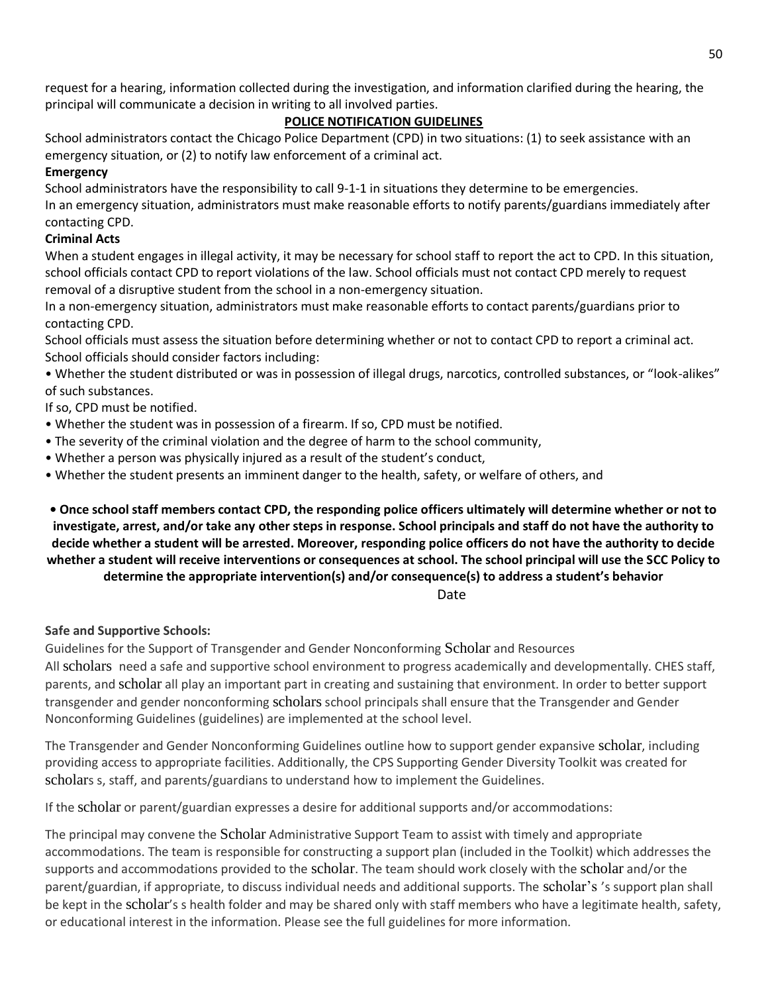request for a hearing, information collected during the investigation, and information clarified during the hearing, the principal will communicate a decision in writing to all involved parties.

## **POLICE NOTIFICATION GUIDELINES**

School administrators contact the Chicago Police Department (CPD) in two situations: (1) to seek assistance with an emergency situation, or (2) to notify law enforcement of a criminal act.

## **Emergency**

School administrators have the responsibility to call 9-1-1 in situations they determine to be emergencies. In an emergency situation, administrators must make reasonable efforts to notify parents/guardians immediately after contacting CPD.

## **Criminal Acts**

When a student engages in illegal activity, it may be necessary for school staff to report the act to CPD. In this situation, school officials contact CPD to report violations of the law. School officials must not contact CPD merely to request removal of a disruptive student from the school in a non-emergency situation.

In a non-emergency situation, administrators must make reasonable efforts to contact parents/guardians prior to contacting CPD.

School officials must assess the situation before determining whether or not to contact CPD to report a criminal act. School officials should consider factors including:

• Whether the student distributed or was in possession of illegal drugs, narcotics, controlled substances, or "look-alikes" of such substances.

If so, CPD must be notified.

- Whether the student was in possession of a firearm. If so, CPD must be notified.
- The severity of the criminal violation and the degree of harm to the school community,
- Whether a person was physically injured as a result of the student's conduct,
- Whether the student presents an imminent danger to the health, safety, or welfare of others, and

**• Once school staff members contact CPD, the responding police officers ultimately will determine whether or not to investigate, arrest, and/or take any other steps in response. School principals and staff do not have the authority to decide whether a student will be arrested. Moreover, responding police officers do not have the authority to decide whether a student will receive interventions or consequences at school. The school principal will use the SCC Policy to determine the appropriate intervention(s) and/or consequence(s) to address a student's behavior**

Date

## **Safe and Supportive Schools:**

Guidelines for the Support of Transgender and Gender Nonconforming Scholar and Resources

All scholars need a safe and supportive school environment to progress academically and developmentally. CHES staff, parents, and scholar all play an important part in creating and sustaining that environment. In order to better support transgender and gender nonconforming scholars school principals shall ensure that the Transgender and Gender Nonconforming Guidelines (guidelines) are implemented at the school level.

The Transgender and Gender Nonconforming Guidelines outline how to support gender expansive scholar, including providing access to appropriate facilities. Additionally, the CPS Supporting Gender Diversity Toolkit was created for scholars s, staff, and parents/guardians to understand how to implement the Guidelines.

If the scholar or parent/guardian expresses a desire for additional supports and/or accommodations:

The principal may convene the Scholar Administrative Support Team to assist with timely and appropriate accommodations. The team is responsible for constructing a support plan (included in the Toolkit) which addresses the supports and accommodations provided to the scholar. The team should work closely with the scholar and/or the parent/guardian, if appropriate, to discuss individual needs and additional supports. The scholar's 's support plan shall be kept in the scholar's s health folder and may be shared only with staff members who have a legitimate health, safety, or educational interest in the information. Please see the full guidelines for more information.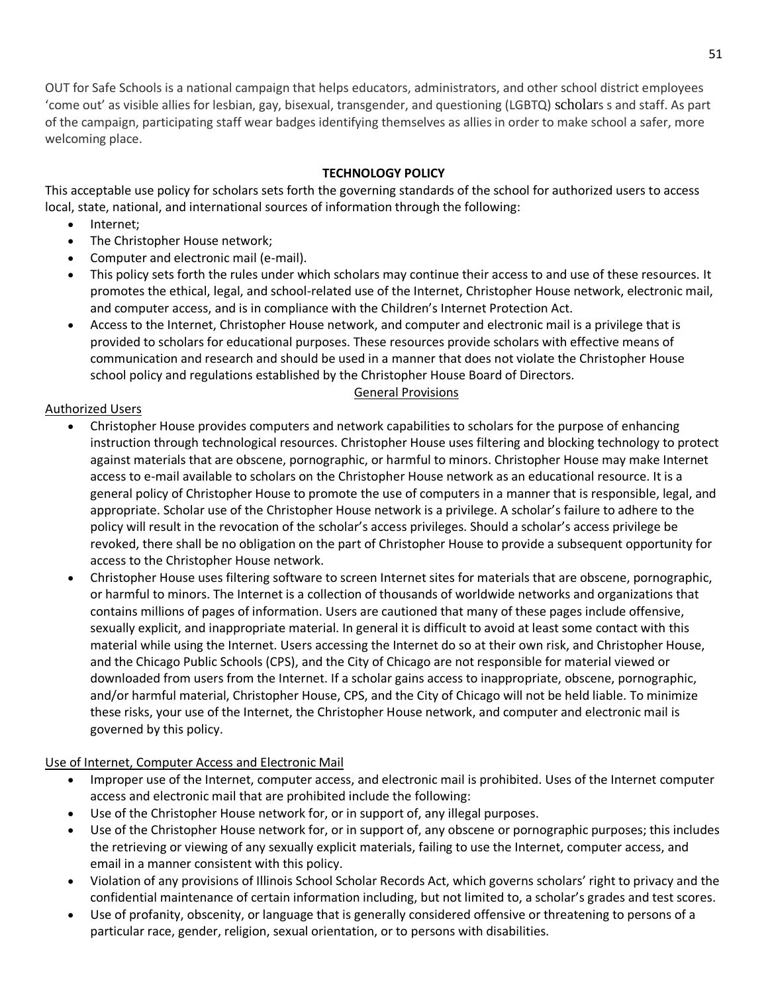OUT for Safe Schools is a national campaign that helps educators, administrators, and other school district employees 'come out' as visible allies for lesbian, gay, bisexual, transgender, and questioning (LGBTQ) scholars s and staff. As part of the campaign, participating staff wear badges identifying themselves as allies in order to make school a safer, more welcoming place.

## **TECHNOLOGY POLICY**

This acceptable use policy for scholars sets forth the governing standards of the school for authorized users to access local, state, national, and international sources of information through the following:

- Internet;
- The Christopher House network;
- Computer and electronic mail (e-mail).
- This policy sets forth the rules under which scholars may continue their access to and use of these resources. It promotes the ethical, legal, and school-related use of the Internet, Christopher House network, electronic mail, and computer access, and is in compliance with the Children's Internet Protection Act.
- Access to the Internet, Christopher House network, and computer and electronic mail is a privilege that is provided to scholars for educational purposes. These resources provide scholars with effective means of communication and research and should be used in a manner that does not violate the Christopher House school policy and regulations established by the Christopher House Board of Directors.

### General Provisions

### Authorized Users

- Christopher House provides computers and network capabilities to scholars for the purpose of enhancing instruction through technological resources. Christopher House uses filtering and blocking technology to protect against materials that are obscene, pornographic, or harmful to minors. Christopher House may make Internet access to e-mail available to scholars on the Christopher House network as an educational resource. It is a general policy of Christopher House to promote the use of computers in a manner that is responsible, legal, and appropriate. Scholar use of the Christopher House network is a privilege. A scholar's failure to adhere to the policy will result in the revocation of the scholar's access privileges. Should a scholar's access privilege be revoked, there shall be no obligation on the part of Christopher House to provide a subsequent opportunity for access to the Christopher House network.
- Christopher House uses filtering software to screen Internet sites for materials that are obscene, pornographic, or harmful to minors. The Internet is a collection of thousands of worldwide networks and organizations that contains millions of pages of information. Users are cautioned that many of these pages include offensive, sexually explicit, and inappropriate material. In general it is difficult to avoid at least some contact with this material while using the Internet. Users accessing the Internet do so at their own risk, and Christopher House, and the Chicago Public Schools (CPS), and the City of Chicago are not responsible for material viewed or downloaded from users from the Internet. If a scholar gains access to inappropriate, obscene, pornographic, and/or harmful material, Christopher House, CPS, and the City of Chicago will not be held liable. To minimize these risks, your use of the Internet, the Christopher House network, and computer and electronic mail is governed by this policy.

### Use of Internet, Computer Access and Electronic Mail

- Improper use of the Internet, computer access, and electronic mail is prohibited. Uses of the Internet computer access and electronic mail that are prohibited include the following:
- Use of the Christopher House network for, or in support of, any illegal purposes.
- Use of the Christopher House network for, or in support of, any obscene or pornographic purposes; this includes the retrieving or viewing of any sexually explicit materials, failing to use the Internet, computer access, and email in a manner consistent with this policy.
- Violation of any provisions of Illinois School Scholar Records Act, which governs scholars' right to privacy and the confidential maintenance of certain information including, but not limited to, a scholar's grades and test scores.
- Use of profanity, obscenity, or language that is generally considered offensive or threatening to persons of a particular race, gender, religion, sexual orientation, or to persons with disabilities.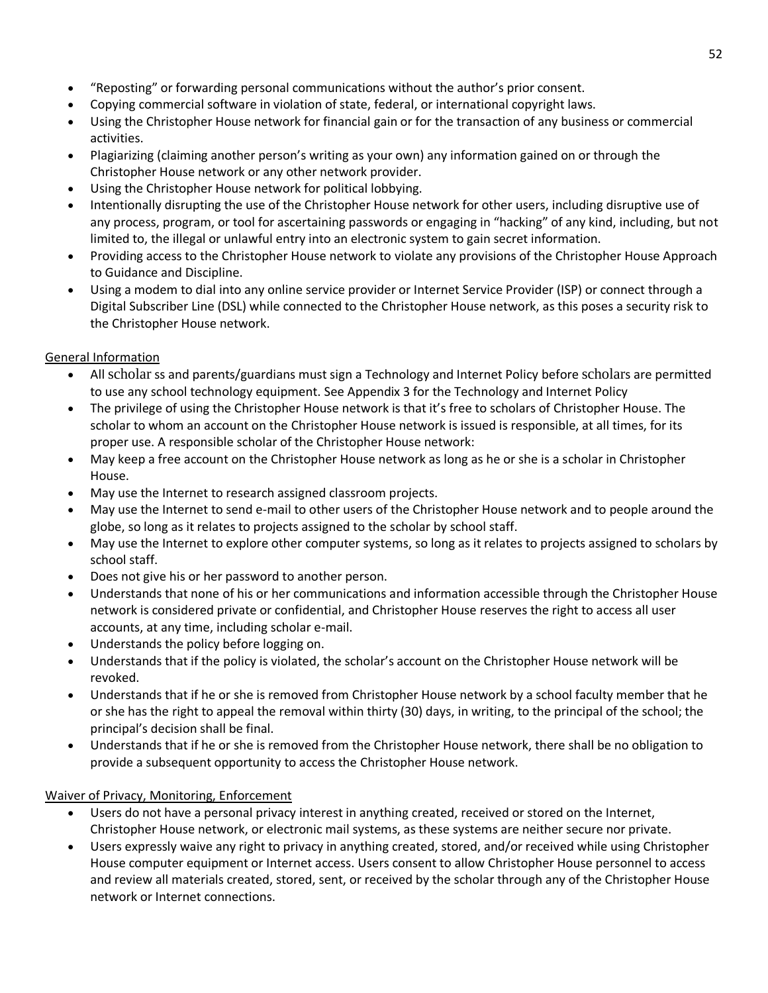- "Reposting" or forwarding personal communications without the author's prior consent.
- Copying commercial software in violation of state, federal, or international copyright laws.
- Using the Christopher House network for financial gain or for the transaction of any business or commercial activities.
- Plagiarizing (claiming another person's writing as your own) any information gained on or through the Christopher House network or any other network provider.
- Using the Christopher House network for political lobbying.
- Intentionally disrupting the use of the Christopher House network for other users, including disruptive use of any process, program, or tool for ascertaining passwords or engaging in "hacking" of any kind, including, but not limited to, the illegal or unlawful entry into an electronic system to gain secret information.
- Providing access to the Christopher House network to violate any provisions of the Christopher House Approach to Guidance and Discipline.
- Using a modem to dial into any online service provider or Internet Service Provider (ISP) or connect through a Digital Subscriber Line (DSL) while connected to the Christopher House network, as this poses a security risk to the Christopher House network.

## General Information

- All scholar ss and parents/guardians must sign a Technology and Internet Policy before scholars are permitted to use any school technology equipment. See Appendix 3 for the Technology and Internet Policy
- The privilege of using the Christopher House network is that it's free to scholars of Christopher House. The scholar to whom an account on the Christopher House network is issued is responsible, at all times, for its proper use. A responsible scholar of the Christopher House network:
- May keep a free account on the Christopher House network as long as he or she is a scholar in Christopher House.
- May use the Internet to research assigned classroom projects.
- May use the Internet to send e-mail to other users of the Christopher House network and to people around the globe, so long as it relates to projects assigned to the scholar by school staff.
- May use the Internet to explore other computer systems, so long as it relates to projects assigned to scholars by school staff.
- Does not give his or her password to another person.
- Understands that none of his or her communications and information accessible through the Christopher House network is considered private or confidential, and Christopher House reserves the right to access all user accounts, at any time, including scholar e-mail.
- Understands the policy before logging on.
- Understands that if the policy is violated, the scholar's account on the Christopher House network will be revoked.
- Understands that if he or she is removed from Christopher House network by a school faculty member that he or she has the right to appeal the removal within thirty (30) days, in writing, to the principal of the school; the principal's decision shall be final.
- Understands that if he or she is removed from the Christopher House network, there shall be no obligation to provide a subsequent opportunity to access the Christopher House network.

## Waiver of Privacy, Monitoring, Enforcement

- Users do not have a personal privacy interest in anything created, received or stored on the Internet, Christopher House network, or electronic mail systems, as these systems are neither secure nor private.
- Users expressly waive any right to privacy in anything created, stored, and/or received while using Christopher House computer equipment or Internet access. Users consent to allow Christopher House personnel to access and review all materials created, stored, sent, or received by the scholar through any of the Christopher House network or Internet connections.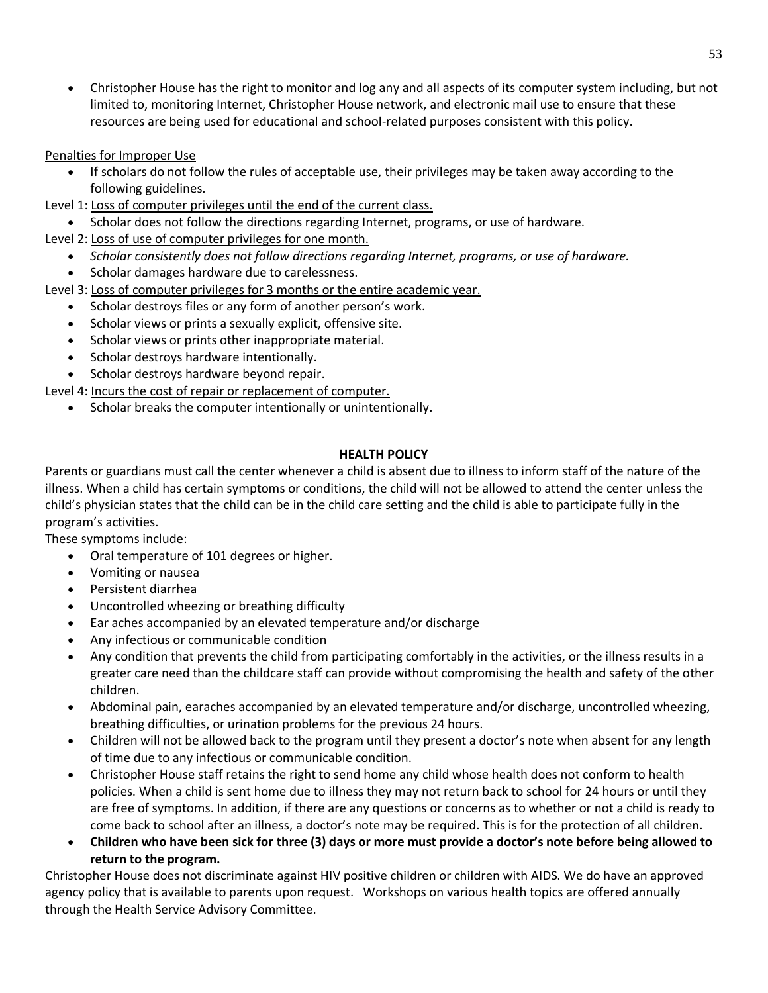• Christopher House has the right to monitor and log any and all aspects of its computer system including, but not limited to, monitoring Internet, Christopher House network, and electronic mail use to ensure that these resources are being used for educational and school-related purposes consistent with this policy.

Penalties for Improper Use

- If scholars do not follow the rules of acceptable use, their privileges may be taken away according to the following guidelines.
- Level 1: Loss of computer privileges until the end of the current class.
- Scholar does not follow the directions regarding Internet, programs, or use of hardware.
- Level 2: Loss of use of computer privileges for one month.
	- *Scholar consistently does not follow directions regarding Internet, programs, or use of hardware.*
	- Scholar damages hardware due to carelessness.

Level 3: Loss of computer privileges for 3 months or the entire academic year.

- Scholar destroys files or any form of another person's work.
- Scholar views or prints a sexually explicit, offensive site.
- Scholar views or prints other inappropriate material.
- Scholar destroys hardware intentionally.
- Scholar destroys hardware beyond repair.
- Level 4: Incurs the cost of repair or replacement of computer.
	- Scholar breaks the computer intentionally or unintentionally.

### **HEALTH POLICY**

Parents or guardians must call the center whenever a child is absent due to illness to inform staff of the nature of the illness. When a child has certain symptoms or conditions, the child will not be allowed to attend the center unless the child's physician states that the child can be in the child care setting and the child is able to participate fully in the program's activities.

These symptoms include:

- Oral temperature of 101 degrees or higher.
- Vomiting or nausea
- Persistent diarrhea
- Uncontrolled wheezing or breathing difficulty
- Ear aches accompanied by an elevated temperature and/or discharge
- Any infectious or communicable condition
- Any condition that prevents the child from participating comfortably in the activities, or the illness results in a greater care need than the childcare staff can provide without compromising the health and safety of the other children.
- Abdominal pain, earaches accompanied by an elevated temperature and/or discharge, uncontrolled wheezing, breathing difficulties, or urination problems for the previous 24 hours.
- Children will not be allowed back to the program until they present a doctor's note when absent for any length of time due to any infectious or communicable condition.
- Christopher House staff retains the right to send home any child whose health does not conform to health policies. When a child is sent home due to illness they may not return back to school for 24 hours or until they are free of symptoms. In addition, if there are any questions or concerns as to whether or not a child is ready to come back to school after an illness, a doctor's note may be required. This is for the protection of all children.
- **Children who have been sick for three (3) days or more must provide a doctor's note before being allowed to return to the program.**

Christopher House does not discriminate against HIV positive children or children with AIDS. We do have an approved agency policy that is available to parents upon request. Workshops on various health topics are offered annually through the Health Service Advisory Committee.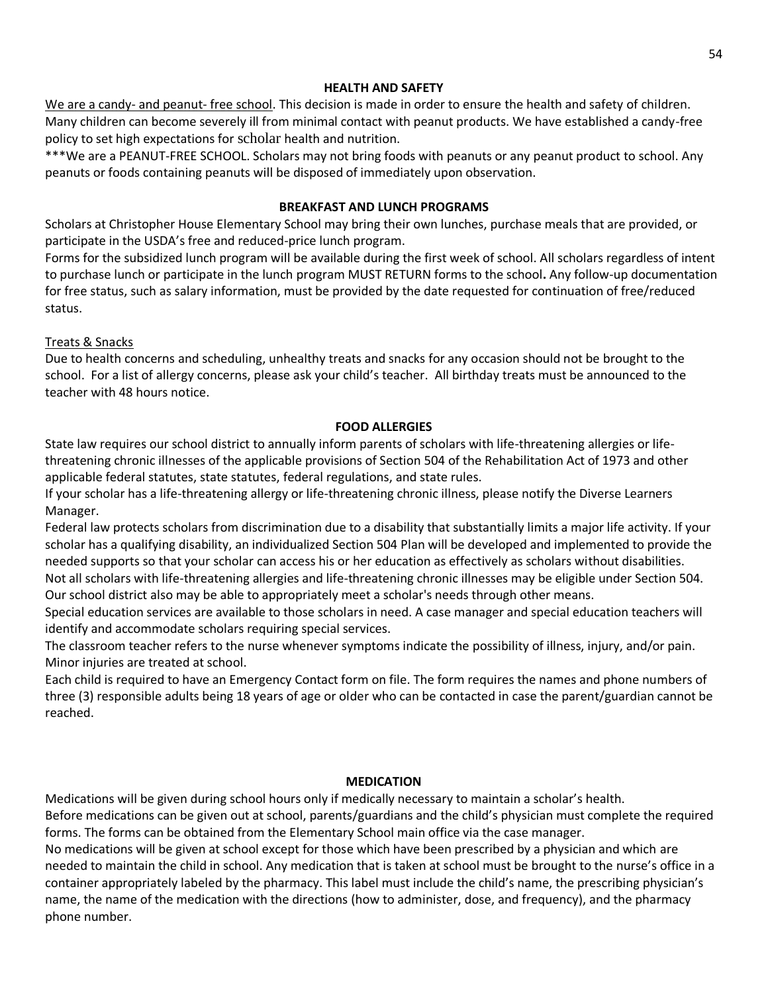#### **HEALTH AND SAFETY**

We are a candy- and peanut- free school. This decision is made in order to ensure the health and safety of children. Many children can become severely ill from minimal contact with peanut products. We have established a candy-free policy to set high expectations for scholar health and nutrition.

\*\*\*We are a PEANUT-FREE SCHOOL. Scholars may not bring foods with peanuts or any peanut product to school. Any peanuts or foods containing peanuts will be disposed of immediately upon observation.

#### **BREAKFAST AND LUNCH PROGRAMS**

Scholars at Christopher House Elementary School may bring their own lunches, purchase meals that are provided, or participate in the USDA's free and reduced-price lunch program.

Forms for the subsidized lunch program will be available during the first week of school. All scholars regardless of intent to purchase lunch or participate in the lunch program MUST RETURN forms to the school**.** Any follow-up documentation for free status, such as salary information, must be provided by the date requested for continuation of free/reduced status.

#### Treats & Snacks

Due to health concerns and scheduling, unhealthy treats and snacks for any occasion should not be brought to the school. For a list of allergy concerns, please ask your child's teacher. All birthday treats must be announced to the teacher with 48 hours notice.

#### **FOOD ALLERGIES**

State law requires our school district to annually inform parents of scholars with life-threatening allergies or lifethreatening chronic illnesses of the applicable provisions of Section 504 of the Rehabilitation Act of 1973 and other applicable federal statutes, state statutes, federal regulations, and state rules.

If your scholar has a life-threatening allergy or life-threatening chronic illness, please notify the Diverse Learners Manager.

Federal law protects scholars from discrimination due to a disability that substantially limits a major life activity. If your scholar has a qualifying disability, an individualized Section 504 Plan will be developed and implemented to provide the needed supports so that your scholar can access his or her education as effectively as scholars without disabilities. Not all scholars with life-threatening allergies and life-threatening chronic illnesses may be eligible under Section 504. Our school district also may be able to appropriately meet a scholar's needs through other means.

Special education services are available to those scholars in need. A case manager and special education teachers will identify and accommodate scholars requiring special services.

The classroom teacher refers to the nurse whenever symptoms indicate the possibility of illness, injury, and/or pain. Minor injuries are treated at school.

Each child is required to have an Emergency Contact form on file. The form requires the names and phone numbers of three (3) responsible adults being 18 years of age or older who can be contacted in case the parent/guardian cannot be reached.

#### **MEDICATION**

Medications will be given during school hours only if medically necessary to maintain a scholar's health.

Before medications can be given out at school, parents/guardians and the child's physician must complete the required forms. The forms can be obtained from the Elementary School main office via the case manager.

No medications will be given at school except for those which have been prescribed by a physician and which are needed to maintain the child in school. Any medication that is taken at school must be brought to the nurse's office in a container appropriately labeled by the pharmacy. This label must include the child's name, the prescribing physician's name, the name of the medication with the directions (how to administer, dose, and frequency), and the pharmacy phone number.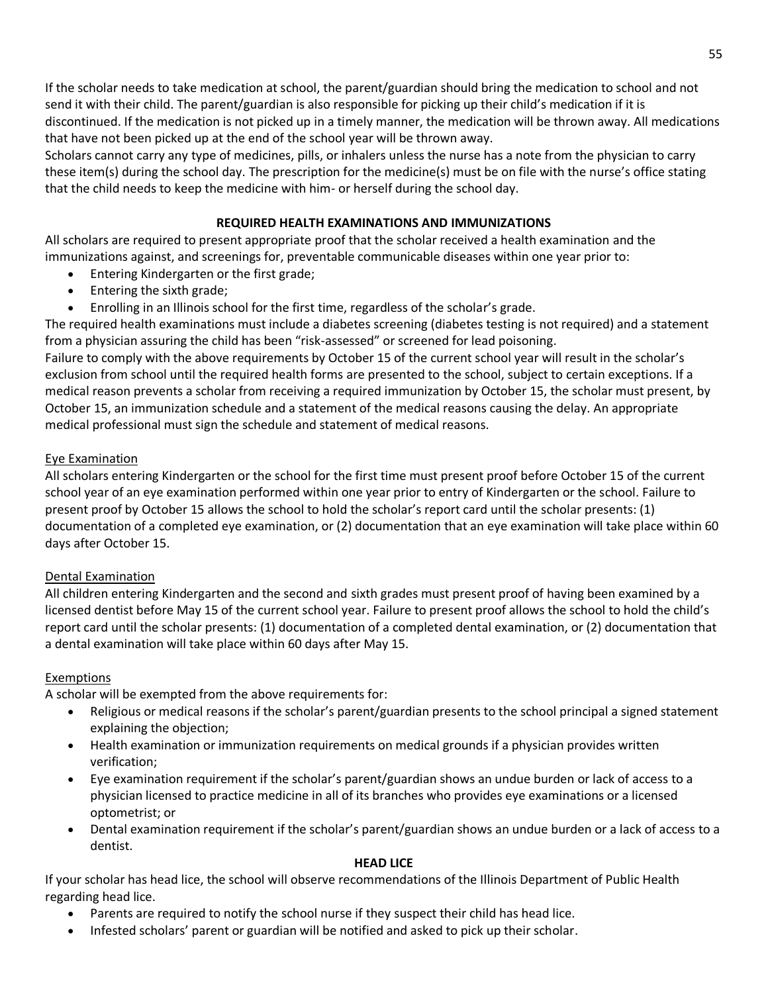If the scholar needs to take medication at school, the parent/guardian should bring the medication to school and not send it with their child. The parent/guardian is also responsible for picking up their child's medication if it is discontinued. If the medication is not picked up in a timely manner, the medication will be thrown away. All medications that have not been picked up at the end of the school year will be thrown away.

Scholars cannot carry any type of medicines, pills, or inhalers unless the nurse has a note from the physician to carry these item(s) during the school day. The prescription for the medicine(s) must be on file with the nurse's office stating that the child needs to keep the medicine with him- or herself during the school day.

## **REQUIRED HEALTH EXAMINATIONS AND IMMUNIZATIONS**

All scholars are required to present appropriate proof that the scholar received a health examination and the immunizations against, and screenings for, preventable communicable diseases within one year prior to:

- Entering Kindergarten or the first grade;
- Entering the sixth grade;
- Enrolling in an Illinois school for the first time, regardless of the scholar's grade.

The required health examinations must include a diabetes screening (diabetes testing is not required) and a statement from a physician assuring the child has been "risk-assessed" or screened for lead poisoning.

Failure to comply with the above requirements by October 15 of the current school year will result in the scholar's exclusion from school until the required health forms are presented to the school, subject to certain exceptions. If a medical reason prevents a scholar from receiving a required immunization by October 15, the scholar must present, by October 15, an immunization schedule and a statement of the medical reasons causing the delay. An appropriate medical professional must sign the schedule and statement of medical reasons.

### Eye Examination

All scholars entering Kindergarten or the school for the first time must present proof before October 15 of the current school year of an eye examination performed within one year prior to entry of Kindergarten or the school. Failure to present proof by October 15 allows the school to hold the scholar's report card until the scholar presents: (1) documentation of a completed eye examination, or (2) documentation that an eye examination will take place within 60 days after October 15.

## Dental Examination

All children entering Kindergarten and the second and sixth grades must present proof of having been examined by a licensed dentist before May 15 of the current school year. Failure to present proof allows the school to hold the child's report card until the scholar presents: (1) documentation of a completed dental examination, or (2) documentation that a dental examination will take place within 60 days after May 15.

### Exemptions

A scholar will be exempted from the above requirements for:

- Religious or medical reasons if the scholar's parent/guardian presents to the school principal a signed statement explaining the objection;
- Health examination or immunization requirements on medical grounds if a physician provides written verification;
- Eye examination requirement if the scholar's parent/guardian shows an undue burden or lack of access to a physician licensed to practice medicine in all of its branches who provides eye examinations or a licensed optometrist; or
- Dental examination requirement if the scholar's parent/guardian shows an undue burden or a lack of access to a dentist.

### **HEAD LICE**

If your scholar has head lice, the school will observe recommendations of the Illinois Department of Public Health regarding head lice.

- Parents are required to notify the school nurse if they suspect their child has head lice.
- Infested scholars' parent or guardian will be notified and asked to pick up their scholar.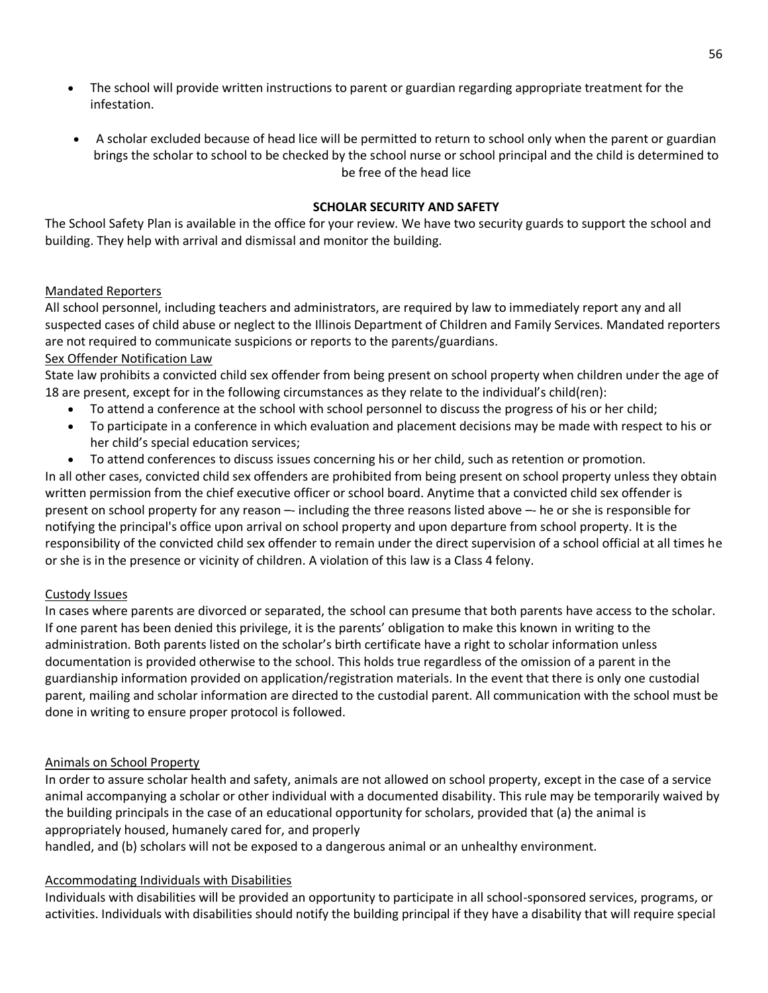- The school will provide written instructions to parent or guardian regarding appropriate treatment for the infestation.
- A scholar excluded because of head lice will be permitted to return to school only when the parent or guardian brings the scholar to school to be checked by the school nurse or school principal and the child is determined to be free of the head lice

## **SCHOLAR SECURITY AND SAFETY**

The School Safety Plan is available in the office for your review. We have two security guards to support the school and building. They help with arrival and dismissal and monitor the building.

### Mandated Reporters

All school personnel, including teachers and administrators, are required by law to immediately report any and all suspected cases of child abuse or neglect to the Illinois Department of Children and Family Services. Mandated reporters are not required to communicate suspicions or reports to the parents/guardians.

## Sex Offender Notification Law

State law prohibits a convicted child sex offender from being present on school property when children under the age of 18 are present, except for in the following circumstances as they relate to the individual's child(ren):

- To attend a conference at the school with school personnel to discuss the progress of his or her child;
- To participate in a conference in which evaluation and placement decisions may be made with respect to his or her child's special education services;
- To attend conferences to discuss issues concerning his or her child, such as retention or promotion.

In all other cases, convicted child sex offenders are prohibited from being present on school property unless they obtain written permission from the chief executive officer or school board. Anytime that a convicted child sex offender is present on school property for any reason -- including the three reasons listed above -- he or she is responsible for notifying the principal's office upon arrival on school property and upon departure from school property. It is the responsibility of the convicted child sex offender to remain under the direct supervision of a school official at all times he or she is in the presence or vicinity of children. A violation of this law is a Class 4 felony.

### Custody Issues

In cases where parents are divorced or separated, the school can presume that both parents have access to the scholar. If one parent has been denied this privilege, it is the parents' obligation to make this known in writing to the administration. Both parents listed on the scholar's birth certificate have a right to scholar information unless documentation is provided otherwise to the school. This holds true regardless of the omission of a parent in the guardianship information provided on application/registration materials. In the event that there is only one custodial parent, mailing and scholar information are directed to the custodial parent. All communication with the school must be done in writing to ensure proper protocol is followed.

### Animals on School Property

In order to assure scholar health and safety, animals are not allowed on school property, except in the case of a service animal accompanying a scholar or other individual with a documented disability. This rule may be temporarily waived by the building principals in the case of an educational opportunity for scholars, provided that (a) the animal is appropriately housed, humanely cared for, and properly

handled, and (b) scholars will not be exposed to a dangerous animal or an unhealthy environment.

### Accommodating Individuals with Disabilities

Individuals with disabilities will be provided an opportunity to participate in all school-sponsored services, programs, or activities. Individuals with disabilities should notify the building principal if they have a disability that will require special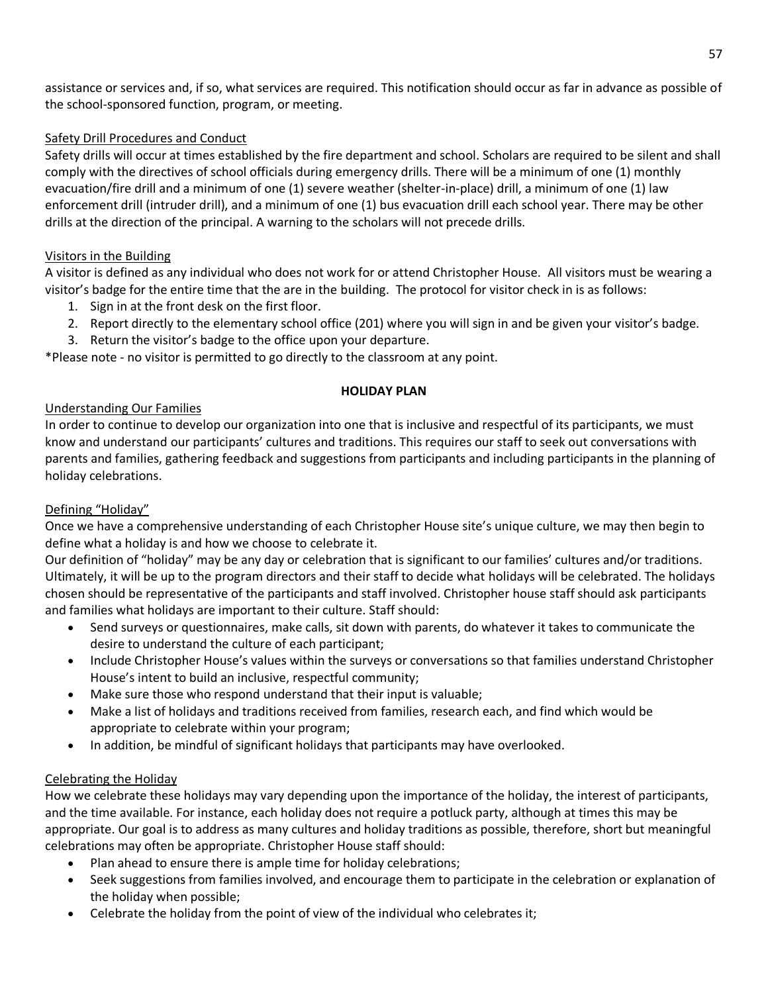assistance or services and, if so, what services are required. This notification should occur as far in advance as possible of the school-sponsored function, program, or meeting.

## Safety Drill Procedures and Conduct

Safety drills will occur at times established by the fire department and school. Scholars are required to be silent and shall comply with the directives of school officials during emergency drills. There will be a minimum of one (1) monthly evacuation/fire drill and a minimum of one (1) severe weather (shelter-in-place) drill, a minimum of one (1) law enforcement drill (intruder drill), and a minimum of one (1) bus evacuation drill each school year. There may be other drills at the direction of the principal. A warning to the scholars will not precede drills.

### Visitors in the Building

A visitor is defined as any individual who does not work for or attend Christopher House. All visitors must be wearing a visitor's badge for the entire time that the are in the building. The protocol for visitor check in is as follows:

- 1. Sign in at the front desk on the first floor.
- 2. Report directly to the elementary school office (201) where you will sign in and be given your visitor's badge.
- 3. Return the visitor's badge to the office upon your departure.

\*Please note - no visitor is permitted to go directly to the classroom at any point.

### **HOLIDAY PLAN**

### Understanding Our Families

In order to continue to develop our organization into one that is inclusive and respectful of its participants, we must know and understand our participants' cultures and traditions. This requires our staff to seek out conversations with parents and families, gathering feedback and suggestions from participants and including participants in the planning of holiday celebrations.

## Defining "Holiday"

Once we have a comprehensive understanding of each Christopher House site's unique culture, we may then begin to define what a holiday is and how we choose to celebrate it.

Our definition of "holiday" may be any day or celebration that is significant to our families' cultures and/or traditions. Ultimately, it will be up to the program directors and their staff to decide what holidays will be celebrated. The holidays chosen should be representative of the participants and staff involved. Christopher house staff should ask participants and families what holidays are important to their culture. Staff should:

- Send surveys or questionnaires, make calls, sit down with parents, do whatever it takes to communicate the desire to understand the culture of each participant;
- Include Christopher House's values within the surveys or conversations so that families understand Christopher House's intent to build an inclusive, respectful community;
- Make sure those who respond understand that their input is valuable;
- Make a list of holidays and traditions received from families, research each, and find which would be appropriate to celebrate within your program;
- In addition, be mindful of significant holidays that participants may have overlooked.

## Celebrating the Holiday

How we celebrate these holidays may vary depending upon the importance of the holiday, the interest of participants, and the time available. For instance, each holiday does not require a potluck party, although at times this may be appropriate. Our goal is to address as many cultures and holiday traditions as possible, therefore, short but meaningful celebrations may often be appropriate. Christopher House staff should:

- Plan ahead to ensure there is ample time for holiday celebrations;
- Seek suggestions from families involved, and encourage them to participate in the celebration or explanation of the holiday when possible;
- Celebrate the holiday from the point of view of the individual who celebrates it;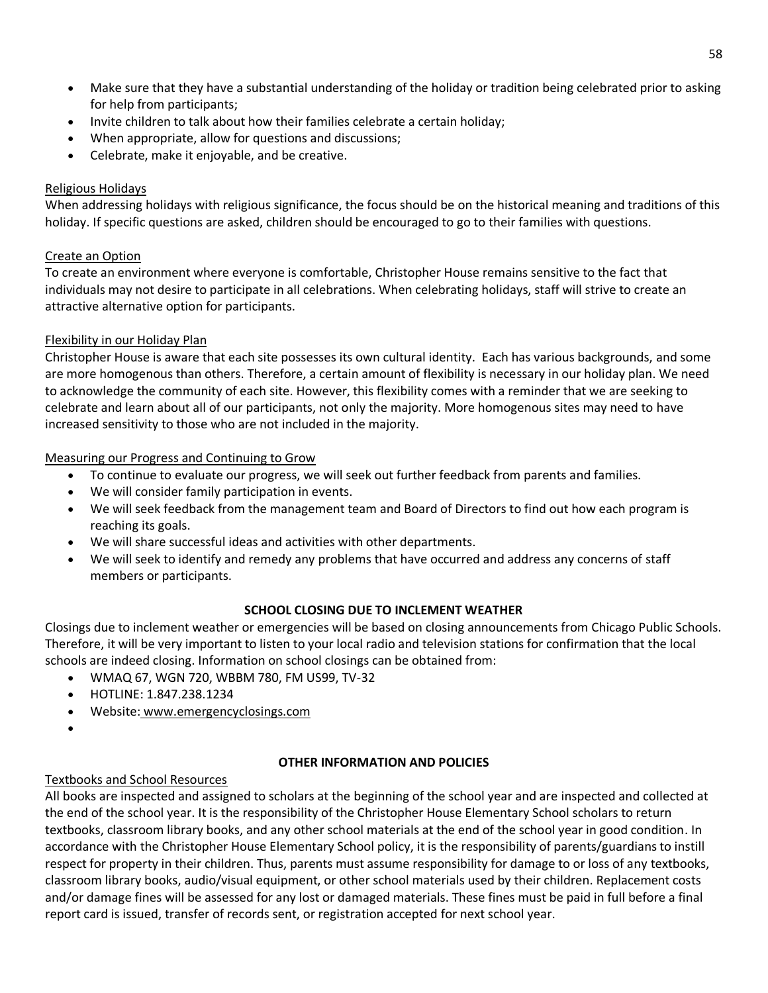- Make sure that they have a substantial understanding of the holiday or tradition being celebrated prior to asking for help from participants;
- Invite children to talk about how their families celebrate a certain holiday;
- When appropriate, allow for questions and discussions;
- Celebrate, make it enjoyable, and be creative.

## Religious Holidays

When addressing holidays with religious significance, the focus should be on the historical meaning and traditions of this holiday. If specific questions are asked, children should be encouraged to go to their families with questions.

## Create an Option

To create an environment where everyone is comfortable, Christopher House remains sensitive to the fact that individuals may not desire to participate in all celebrations. When celebrating holidays, staff will strive to create an attractive alternative option for participants.

## Flexibility in our Holiday Plan

Christopher House is aware that each site possesses its own cultural identity. Each has various backgrounds, and some are more homogenous than others. Therefore, a certain amount of flexibility is necessary in our holiday plan. We need to acknowledge the community of each site. However, this flexibility comes with a reminder that we are seeking to celebrate and learn about all of our participants, not only the majority. More homogenous sites may need to have increased sensitivity to those who are not included in the majority.

## Measuring our Progress and Continuing to Grow

- To continue to evaluate our progress, we will seek out further feedback from parents and families.
- We will consider family participation in events.
- We will seek feedback from the management team and Board of Directors to find out how each program is reaching its goals.
- We will share successful ideas and activities with other departments.
- We will seek to identify and remedy any problems that have occurred and address any concerns of staff members or participants.

## **SCHOOL CLOSING DUE TO INCLEMENT WEATHER**

Closings due to inclement weather or emergencies will be based on closing announcements from Chicago Public Schools. Therefore, it will be very important to listen to your local radio and television stations for confirmation that the local schools are indeed closing. Information on school closings can be obtained from:

- WMAQ 67, WGN 720, WBBM 780, FM US99, TV-32
- HOTLINE: 1.847.238.1234
- Website: [www.emergencyclosings.com](http://www.emergencyclosings.com/)
- •

## **OTHER INFORMATION AND POLICIES**

## Textbooks and School Resources

All books are inspected and assigned to scholars at the beginning of the school year and are inspected and collected at the end of the school year. It is the responsibility of the Christopher House Elementary School scholars to return textbooks, classroom library books, and any other school materials at the end of the school year in good condition. In accordance with the Christopher House Elementary School policy, it is the responsibility of parents/guardians to instill respect for property in their children. Thus, parents must assume responsibility for damage to or loss of any textbooks, classroom library books, audio/visual equipment, or other school materials used by their children. Replacement costs and/or damage fines will be assessed for any lost or damaged materials. These fines must be paid in full before a final report card is issued, transfer of records sent, or registration accepted for next school year.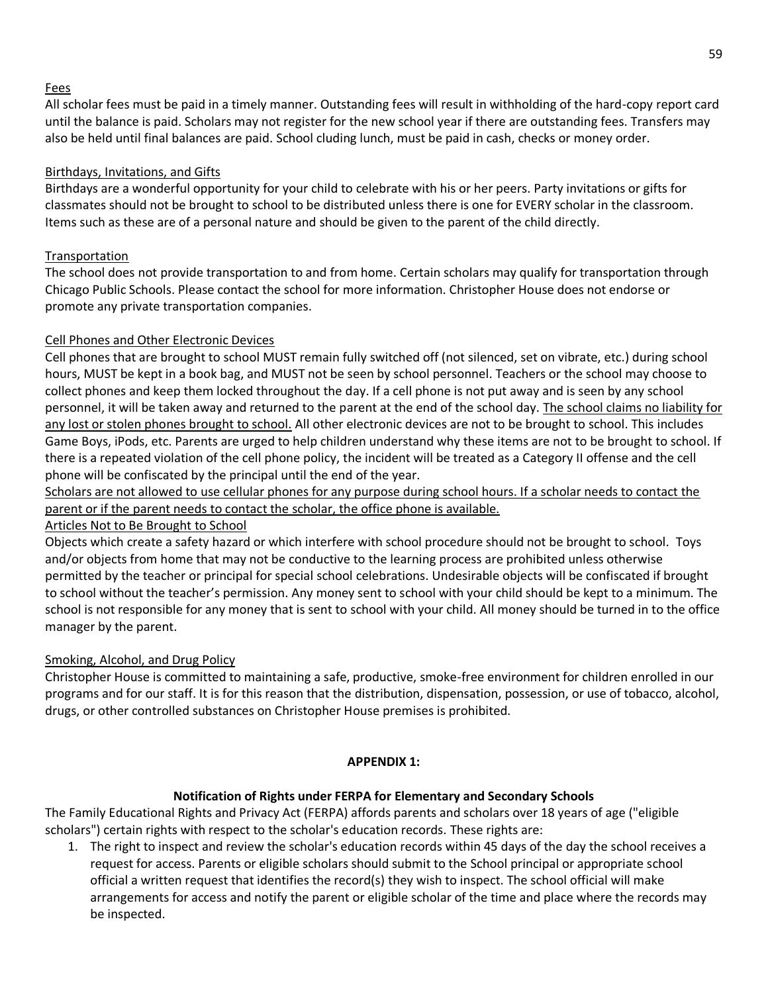## Fees

All scholar fees must be paid in a timely manner. Outstanding fees will result in withholding of the hard-copy report card until the balance is paid. Scholars may not register for the new school year if there are outstanding fees. Transfers may also be held until final balances are paid. School cluding lunch, must be paid in cash, checks or money order.

## Birthdays, Invitations, and Gifts

Birthdays are a wonderful opportunity for your child to celebrate with his or her peers. Party invitations or gifts for classmates should not be brought to school to be distributed unless there is one for EVERY scholar in the classroom. Items such as these are of a personal nature and should be given to the parent of the child directly.

## Transportation

The school does not provide transportation to and from home. Certain scholars may qualify for transportation through Chicago Public Schools. Please contact the school for more information. Christopher House does not endorse or promote any private transportation companies.

## Cell Phones and Other Electronic Devices

Cell phones that are brought to school MUST remain fully switched off (not silenced, set on vibrate, etc.) during school hours, MUST be kept in a book bag, and MUST not be seen by school personnel. Teachers or the school may choose to collect phones and keep them locked throughout the day. If a cell phone is not put away and is seen by any school personnel, it will be taken away and returned to the parent at the end of the school day. The school claims no liability for any lost or stolen phones brought to school. All other electronic devices are not to be brought to school. This includes Game Boys, iPods, etc. Parents are urged to help children understand why these items are not to be brought to school. If there is a repeated violation of the cell phone policy, the incident will be treated as a Category II offense and the cell phone will be confiscated by the principal until the end of the year.

Scholars are not allowed to use cellular phones for any purpose during school hours. If a scholar needs to contact the parent or if the parent needs to contact the scholar, the office phone is available.

## Articles Not to Be Brought to School

Objects which create a safety hazard or which interfere with school procedure should not be brought to school. Toys and/or objects from home that may not be conductive to the learning process are prohibited unless otherwise permitted by the teacher or principal for special school celebrations. Undesirable objects will be confiscated if brought to school without the teacher's permission. Any money sent to school with your child should be kept to a minimum. The school is not responsible for any money that is sent to school with your child. All money should be turned in to the office manager by the parent.

## Smoking, Alcohol, and Drug Policy

Christopher House is committed to maintaining a safe, productive, smoke-free environment for children enrolled in our programs and for our staff. It is for this reason that the distribution, dispensation, possession, or use of tobacco, alcohol, drugs, or other controlled substances on Christopher House premises is prohibited.

### **APPENDIX 1:**

## **Notification of Rights under FERPA for Elementary and Secondary Schools**

The Family Educational Rights and Privacy Act (FERPA) affords parents and scholars over 18 years of age ("eligible scholars") certain rights with respect to the scholar's education records. These rights are:

1. The right to inspect and review the scholar's education records within 45 days of the day the school receives a request for access. Parents or eligible scholars should submit to the School principal or appropriate school official a written request that identifies the record(s) they wish to inspect. The school official will make arrangements for access and notify the parent or eligible scholar of the time and place where the records may be inspected.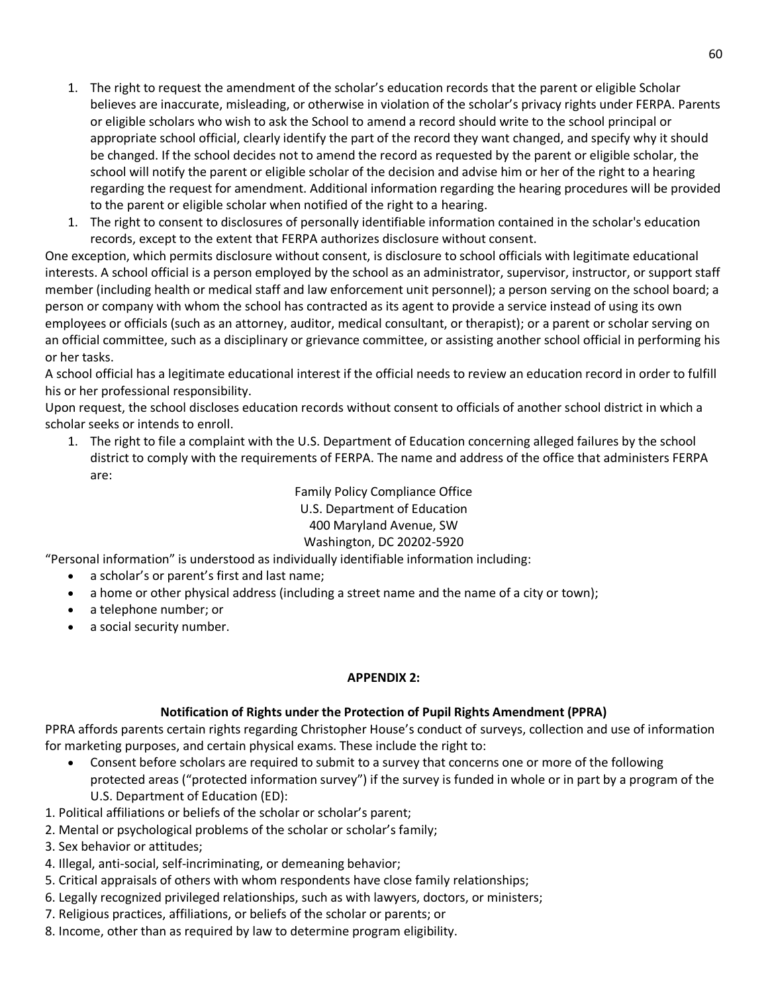- 1. The right to request the amendment of the scholar's education records that the parent or eligible Scholar believes are inaccurate, misleading, or otherwise in violation of the scholar's privacy rights under FERPA. Parents or eligible scholars who wish to ask the School to amend a record should write to the school principal or appropriate school official, clearly identify the part of the record they want changed, and specify why it should be changed. If the school decides not to amend the record as requested by the parent or eligible scholar, the school will notify the parent or eligible scholar of the decision and advise him or her of the right to a hearing regarding the request for amendment. Additional information regarding the hearing procedures will be provided to the parent or eligible scholar when notified of the right to a hearing.
- 1. The right to consent to disclosures of personally identifiable information contained in the scholar's education records, except to the extent that FERPA authorizes disclosure without consent.

One exception, which permits disclosure without consent, is disclosure to school officials with legitimate educational interests. A school official is a person employed by the school as an administrator, supervisor, instructor, or support staff member (including health or medical staff and law enforcement unit personnel); a person serving on the school board; a person or company with whom the school has contracted as its agent to provide a service instead of using its own employees or officials (such as an attorney, auditor, medical consultant, or therapist); or a parent or scholar serving on an official committee, such as a disciplinary or grievance committee, or assisting another school official in performing his or her tasks.

A school official has a legitimate educational interest if the official needs to review an education record in order to fulfill his or her professional responsibility.

Upon request, the school discloses education records without consent to officials of another school district in which a scholar seeks or intends to enroll.

1. The right to file a complaint with the U.S. Department of Education concerning alleged failures by the school district to comply with the requirements of FERPA. The name and address of the office that administers FERPA are:

> Family Policy Compliance Office U.S. Department of Education 400 Maryland Avenue, SW Washington, DC 20202-5920

"Personal information" is understood as individually identifiable information including:

- a scholar's or parent's first and last name;
- a home or other physical address (including a street name and the name of a city or town);
- a telephone number; or
- a social security number.

### **APPENDIX 2:**

## **Notification of Rights under the Protection of Pupil Rights Amendment (PPRA)**

PPRA affords parents certain rights regarding Christopher House's conduct of surveys, collection and use of information for marketing purposes, and certain physical exams. These include the right to:

- Consent before scholars are required to submit to a survey that concerns one or more of the following protected areas ("protected information survey") if the survey is funded in whole or in part by a program of the U.S. Department of Education (ED):
- 1. Political affiliations or beliefs of the scholar or scholar's parent;
- 2. Mental or psychological problems of the scholar or scholar's family;
- 3. Sex behavior or attitudes;
- 4. Illegal, anti-social, self-incriminating, or demeaning behavior;
- 5. Critical appraisals of others with whom respondents have close family relationships;
- 6. Legally recognized privileged relationships, such as with lawyers, doctors, or ministers;
- 7. Religious practices, affiliations, or beliefs of the scholar or parents; or
- 8. Income, other than as required by law to determine program eligibility.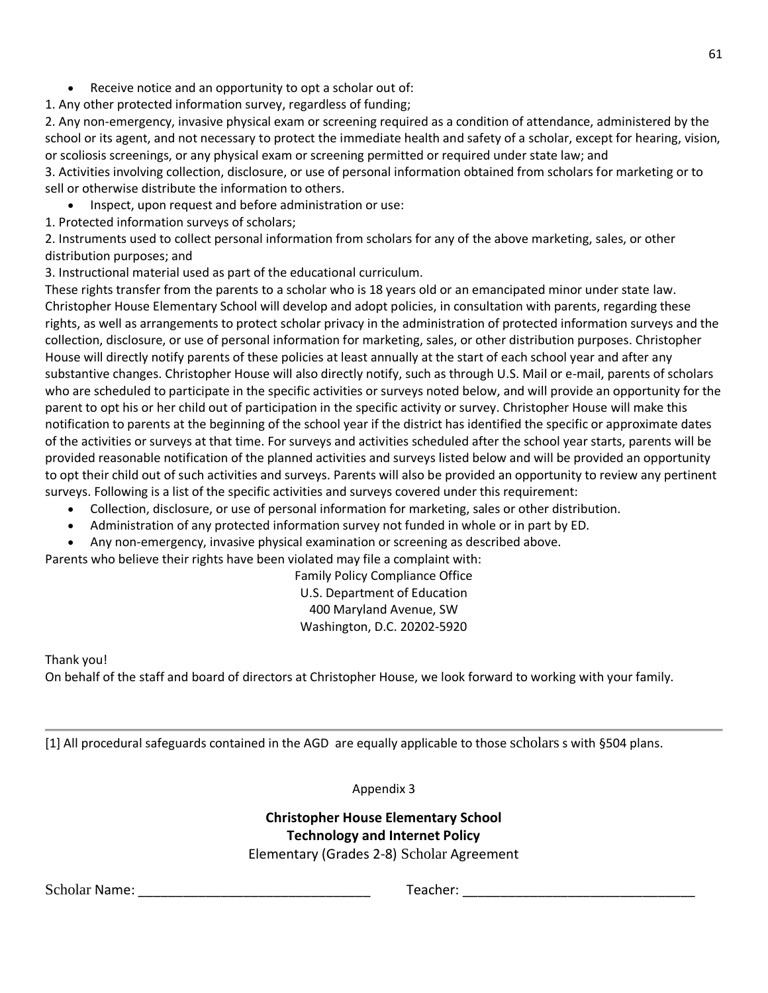• Receive notice and an opportunity to opt a scholar out of:

1. Any other protected information survey, regardless of funding;

2. Any non-emergency, invasive physical exam or screening required as a condition of attendance, administered by the school or its agent, and not necessary to protect the immediate health and safety of a scholar, except for hearing, vision, or scoliosis screenings, or any physical exam or screening permitted or required under state law; and

3. Activities involving collection, disclosure, or use of personal information obtained from scholars for marketing or to sell or otherwise distribute the information to others.

• Inspect, upon request and before administration or use:

1. Protected information surveys of scholars;

2. Instruments used to collect personal information from scholars for any of the above marketing, sales, or other distribution purposes; and

3. Instructional material used as part of the educational curriculum.

These rights transfer from the parents to a scholar who is 18 years old or an emancipated minor under state law. Christopher House Elementary School will develop and adopt policies, in consultation with parents, regarding these rights, as well as arrangements to protect scholar privacy in the administration of protected information surveys and the collection, disclosure, or use of personal information for marketing, sales, or other distribution purposes. Christopher House will directly notify parents of these policies at least annually at the start of each school year and after any substantive changes. Christopher House will also directly notify, such as through U.S. Mail or e-mail, parents of scholars who are scheduled to participate in the specific activities or surveys noted below, and will provide an opportunity for the parent to opt his or her child out of participation in the specific activity or survey. Christopher House will make this notification to parents at the beginning of the school year if the district has identified the specific or approximate dates of the activities or surveys at that time. For surveys and activities scheduled after the school year starts, parents will be provided reasonable notification of the planned activities and surveys listed below and will be provided an opportunity to opt their child out of such activities and surveys. Parents will also be provided an opportunity to review any pertinent surveys. Following is a list of the specific activities and surveys covered under this requirement:

- Collection, disclosure, or use of personal information for marketing, sales or other distribution.
- Administration of any protected information survey not funded in whole or in part by ED.
- Any non-emergency, invasive physical examination or screening as described above.

Parents who believe their rights have been violated may file a complaint with:

Family Policy Compliance Office U.S. Department of Education 400 Maryland Avenue, SW Washington, D.C. 20202-5920

Thank you!

On behalf of the staff and board of directors at Christopher House, we look forward to working with your family.

[1] All procedural safeguards contained in the AGD are equally applicable to those scholars s with §504 plans.

Appendix 3

# **Christopher House Elementary School Technology and Internet Policy**

Elementary (Grades 2-8) Scholar Agreement

Scholar Name: \_\_\_\_\_\_\_\_\_\_\_\_\_\_\_\_\_\_\_\_\_\_\_\_\_\_\_\_\_\_\_ Teacher: \_\_\_\_\_\_\_\_\_\_\_\_\_\_\_\_\_\_\_\_\_\_\_\_\_\_\_\_\_\_\_